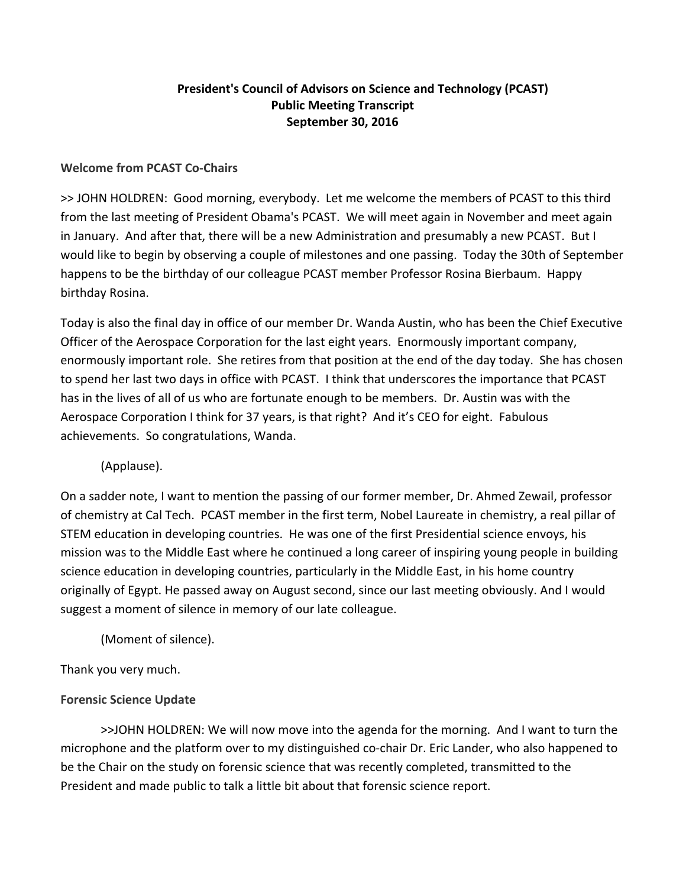# **President's Council of Advisors on Science and Technology (PCAST) Public Meeting Transcript September 30, 2016**

### **Welcome from PCAST Co‐Chairs**

>> JOHN HOLDREN: Good morning, everybody. Let me welcome the members of PCAST to this third from the last meeting of President Obama's PCAST. We will meet again in November and meet again in January. And after that, there will be a new Administration and presumably a new PCAST. But I would like to begin by observing a couple of milestones and one passing. Today the 30th of September happens to be the birthday of our colleague PCAST member Professor Rosina Bierbaum. Happy birthday Rosina.

Today is also the final day in office of our member Dr. Wanda Austin, who has been the Chief Executive Officer of the Aerospace Corporation for the last eight years. Enormously important company, enormously important role. She retires from that position at the end of the day today. She has chosen to spend her last two days in office with PCAST. I think that underscores the importance that PCAST has in the lives of all of us who are fortunate enough to be members. Dr. Austin was with the Aerospace Corporation I think for 37 years, is that right? And it's CEO for eight. Fabulous achievements. So congratulations, Wanda.

# (Applause).

On a sadder note, I want to mention the passing of our former member, Dr. Ahmed Zewail, professor of chemistry at Cal Tech. PCAST member in the first term, Nobel Laureate in chemistry, a real pillar of STEM education in developing countries. He was one of the first Presidential science envoys, his mission was to the Middle East where he continued a long career of inspiring young people in building science education in developing countries, particularly in the Middle East, in his home country originally of Egypt. He passed away on August second, since our last meeting obviously. And I would suggest a moment of silence in memory of our late colleague.

(Moment of silence).

Thank you very much.

# **Forensic Science Update**

>>JOHN HOLDREN: We will now move into the agenda for the morning. And I want to turn the microphone and the platform over to my distinguished co-chair Dr. Eric Lander, who also happened to be the Chair on the study on forensic science that was recently completed, transmitted to the President and made public to talk a little bit about that forensic science report.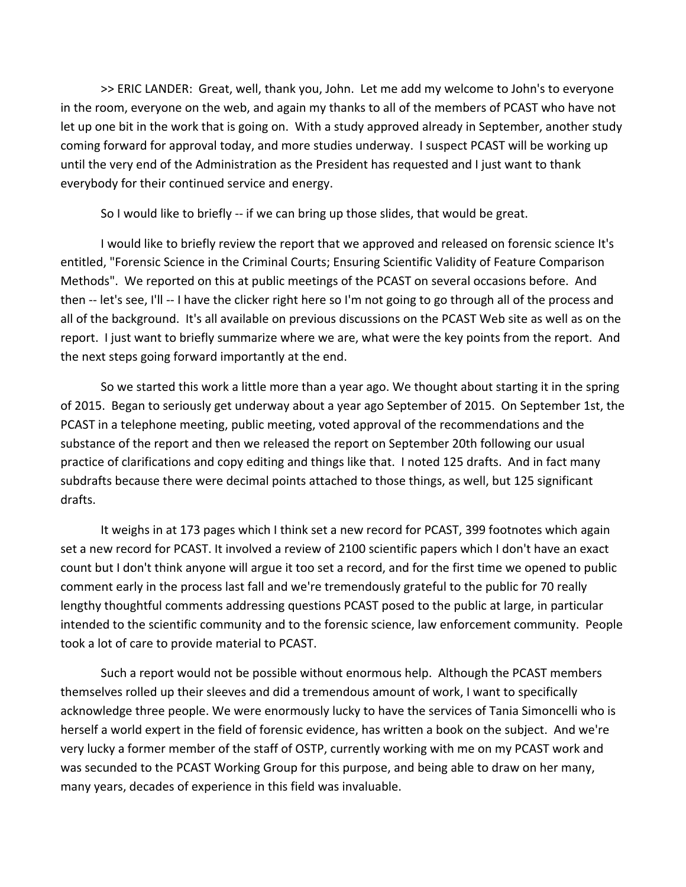>> ERIC LANDER: Great, well, thank you, John. Let me add my welcome to John's to everyone in the room, everyone on the web, and again my thanks to all of the members of PCAST who have not let up one bit in the work that is going on. With a study approved already in September, another study coming forward for approval today, and more studies underway. I suspect PCAST will be working up until the very end of the Administration as the President has requested and I just want to thank everybody for their continued service and energy.

So I would like to briefly -- if we can bring up those slides, that would be great.

I would like to briefly review the report that we approved and released on forensic science It's entitled, "Forensic Science in the Criminal Courts; Ensuring Scientific Validity of Feature Comparison Methods". We reported on this at public meetings of the PCAST on several occasions before. And then ‐‐ let's see, I'll ‐‐ I have the clicker right here so I'm not going to go through all of the process and all of the background. It's all available on previous discussions on the PCAST Web site as well as on the report. I just want to briefly summarize where we are, what were the key points from the report. And the next steps going forward importantly at the end.

So we started this work a little more than a year ago. We thought about starting it in the spring of 2015. Began to seriously get underway about a year ago September of 2015. On September 1st, the PCAST in a telephone meeting, public meeting, voted approval of the recommendations and the substance of the report and then we released the report on September 20th following our usual practice of clarifications and copy editing and things like that. I noted 125 drafts. And in fact many subdrafts because there were decimal points attached to those things, as well, but 125 significant drafts.

It weighs in at 173 pages which I think set a new record for PCAST, 399 footnotes which again set a new record for PCAST. It involved a review of 2100 scientific papers which I don't have an exact count but I don't think anyone will argue it too set a record, and for the first time we opened to public comment early in the process last fall and we're tremendously grateful to the public for 70 really lengthy thoughtful comments addressing questions PCAST posed to the public at large, in particular intended to the scientific community and to the forensic science, law enforcement community. People took a lot of care to provide material to PCAST.

Such a report would not be possible without enormous help. Although the PCAST members themselves rolled up their sleeves and did a tremendous amount of work, I want to specifically acknowledge three people. We were enormously lucky to have the services of Tania Simoncelli who is herself a world expert in the field of forensic evidence, has written a book on the subject. And we're very lucky a former member of the staff of OSTP, currently working with me on my PCAST work and was secunded to the PCAST Working Group for this purpose, and being able to draw on her many, many years, decades of experience in this field was invaluable.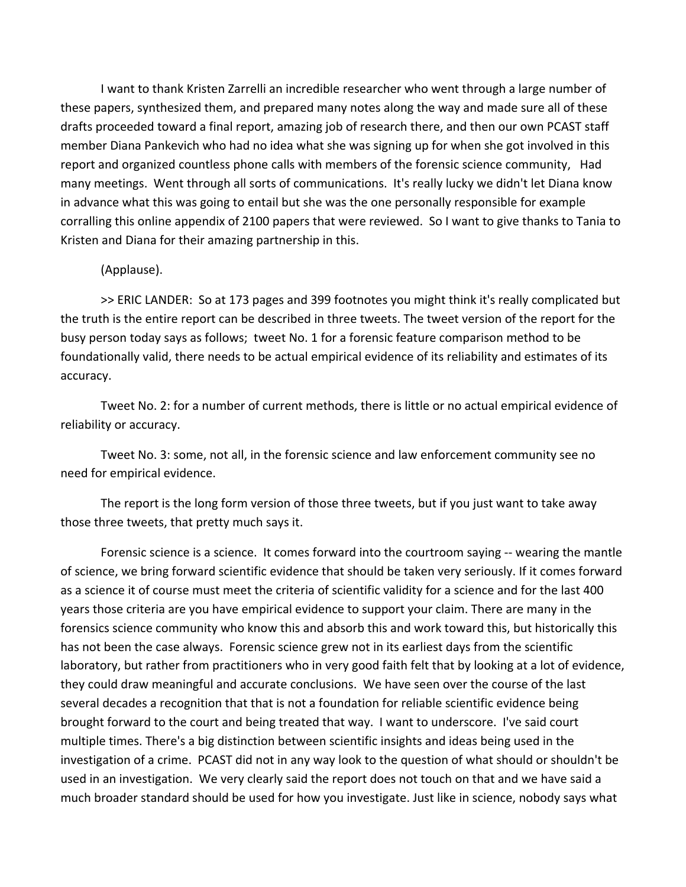I want to thank Kristen Zarrelli an incredible researcher who went through a large number of these papers, synthesized them, and prepared many notes along the way and made sure all of these drafts proceeded toward a final report, amazing job of research there, and then our own PCAST staff member Diana Pankevich who had no idea what she was signing up for when she got involved in this report and organized countless phone calls with members of the forensic science community, Had many meetings. Went through all sorts of communications. It's really lucky we didn't let Diana know in advance what this was going to entail but she was the one personally responsible for example corralling this online appendix of 2100 papers that were reviewed. So I want to give thanks to Tania to Kristen and Diana for their amazing partnership in this.

#### (Applause).

>> ERIC LANDER: So at 173 pages and 399 footnotes you might think it's really complicated but the truth is the entire report can be described in three tweets. The tweet version of the report for the busy person today says as follows; tweet No. 1 for a forensic feature comparison method to be foundationally valid, there needs to be actual empirical evidence of its reliability and estimates of its accuracy.

Tweet No. 2: for a number of current methods, there is little or no actual empirical evidence of reliability or accuracy.

Tweet No. 3: some, not all, in the forensic science and law enforcement community see no need for empirical evidence.

The report is the long form version of those three tweets, but if you just want to take away those three tweets, that pretty much says it.

Forensic science is a science. It comes forward into the courtroom saying -- wearing the mantle of science, we bring forward scientific evidence that should be taken very seriously. If it comes forward as a science it of course must meet the criteria of scientific validity for a science and for the last 400 years those criteria are you have empirical evidence to support your claim. There are many in the forensics science community who know this and absorb this and work toward this, but historically this has not been the case always. Forensic science grew not in its earliest days from the scientific laboratory, but rather from practitioners who in very good faith felt that by looking at a lot of evidence, they could draw meaningful and accurate conclusions. We have seen over the course of the last several decades a recognition that that is not a foundation for reliable scientific evidence being brought forward to the court and being treated that way. I want to underscore. I've said court multiple times. There's a big distinction between scientific insights and ideas being used in the investigation of a crime. PCAST did not in any way look to the question of what should or shouldn't be used in an investigation. We very clearly said the report does not touch on that and we have said a much broader standard should be used for how you investigate. Just like in science, nobody says what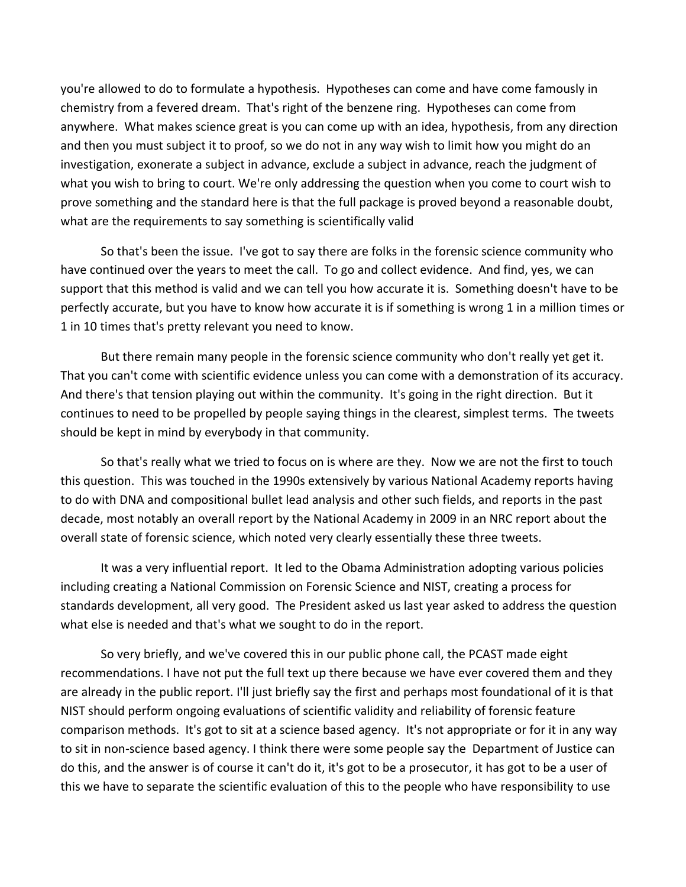you're allowed to do to formulate a hypothesis. Hypotheses can come and have come famously in chemistry from a fevered dream. That's right of the benzene ring. Hypotheses can come from anywhere. What makes science great is you can come up with an idea, hypothesis, from any direction and then you must subject it to proof, so we do not in any way wish to limit how you might do an investigation, exonerate a subject in advance, exclude a subject in advance, reach the judgment of what you wish to bring to court. We're only addressing the question when you come to court wish to prove something and the standard here is that the full package is proved beyond a reasonable doubt, what are the requirements to say something is scientifically valid

So that's been the issue. I've got to say there are folks in the forensic science community who have continued over the years to meet the call. To go and collect evidence. And find, yes, we can support that this method is valid and we can tell you how accurate it is. Something doesn't have to be perfectly accurate, but you have to know how accurate it is if something is wrong 1 in a million times or 1 in 10 times that's pretty relevant you need to know.

But there remain many people in the forensic science community who don't really yet get it. That you can't come with scientific evidence unless you can come with a demonstration of its accuracy. And there's that tension playing out within the community. It's going in the right direction. But it continues to need to be propelled by people saying things in the clearest, simplest terms. The tweets should be kept in mind by everybody in that community.

So that's really what we tried to focus on is where are they. Now we are not the first to touch this question. This was touched in the 1990s extensively by various National Academy reports having to do with DNA and compositional bullet lead analysis and other such fields, and reports in the past decade, most notably an overall report by the National Academy in 2009 in an NRC report about the overall state of forensic science, which noted very clearly essentially these three tweets.

It was a very influential report. It led to the Obama Administration adopting various policies including creating a National Commission on Forensic Science and NIST, creating a process for standards development, all very good. The President asked us last year asked to address the question what else is needed and that's what we sought to do in the report.

So very briefly, and we've covered this in our public phone call, the PCAST made eight recommendations. I have not put the full text up there because we have ever covered them and they are already in the public report. I'll just briefly say the first and perhaps most foundational of it is that NIST should perform ongoing evaluations of scientific validity and reliability of forensic feature comparison methods. It's got to sit at a science based agency. It's not appropriate or for it in any way to sit in non‐science based agency. I think there were some people say the Department of Justice can do this, and the answer is of course it can't do it, it's got to be a prosecutor, it has got to be a user of this we have to separate the scientific evaluation of this to the people who have responsibility to use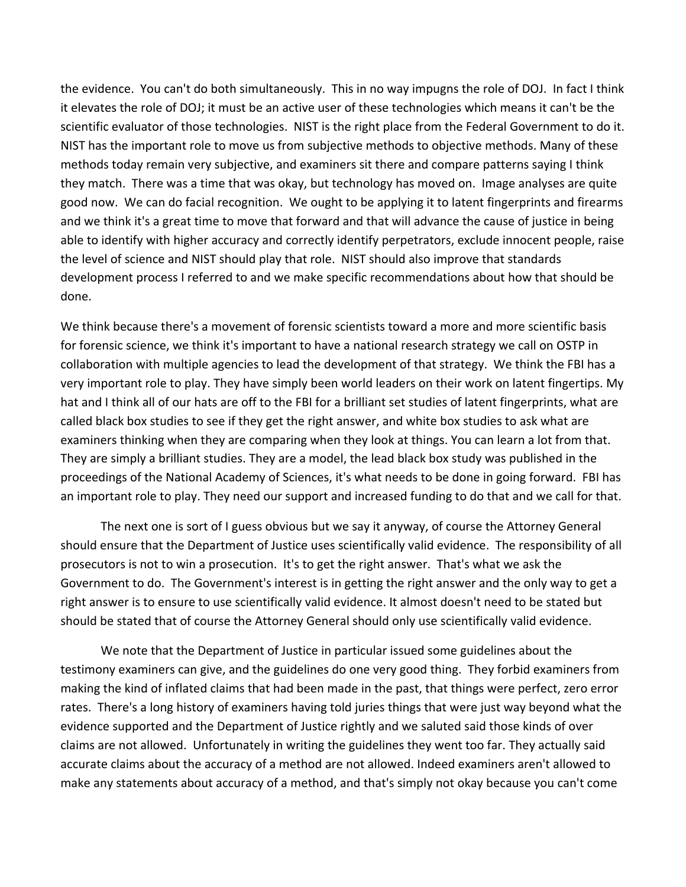the evidence. You can't do both simultaneously. This in no way impugns the role of DOJ. In fact I think it elevates the role of DOJ; it must be an active user of these technologies which means it can't be the scientific evaluator of those technologies. NIST is the right place from the Federal Government to do it. NIST has the important role to move us from subjective methods to objective methods. Many of these methods today remain very subjective, and examiners sit there and compare patterns saying I think they match. There was a time that was okay, but technology has moved on. Image analyses are quite good now. We can do facial recognition. We ought to be applying it to latent fingerprints and firearms and we think it's a great time to move that forward and that will advance the cause of justice in being able to identify with higher accuracy and correctly identify perpetrators, exclude innocent people, raise the level of science and NIST should play that role. NIST should also improve that standards development process I referred to and we make specific recommendations about how that should be done.

We think because there's a movement of forensic scientists toward a more and more scientific basis for forensic science, we think it's important to have a national research strategy we call on OSTP in collaboration with multiple agencies to lead the development of that strategy. We think the FBI has a very important role to play. They have simply been world leaders on their work on latent fingertips. My hat and I think all of our hats are off to the FBI for a brilliant set studies of latent fingerprints, what are called black box studies to see if they get the right answer, and white box studies to ask what are examiners thinking when they are comparing when they look at things. You can learn a lot from that. They are simply a brilliant studies. They are a model, the lead black box study was published in the proceedings of the National Academy of Sciences, it's what needs to be done in going forward. FBI has an important role to play. They need our support and increased funding to do that and we call for that.

The next one is sort of I guess obvious but we say it anyway, of course the Attorney General should ensure that the Department of Justice uses scientifically valid evidence. The responsibility of all prosecutors is not to win a prosecution. It's to get the right answer. That's what we ask the Government to do. The Government's interest is in getting the right answer and the only way to get a right answer is to ensure to use scientifically valid evidence. It almost doesn't need to be stated but should be stated that of course the Attorney General should only use scientifically valid evidence.

We note that the Department of Justice in particular issued some guidelines about the testimony examiners can give, and the guidelines do one very good thing. They forbid examiners from making the kind of inflated claims that had been made in the past, that things were perfect, zero error rates. There's a long history of examiners having told juries things that were just way beyond what the evidence supported and the Department of Justice rightly and we saluted said those kinds of over claims are not allowed. Unfortunately in writing the guidelines they went too far. They actually said accurate claims about the accuracy of a method are not allowed. Indeed examiners aren't allowed to make any statements about accuracy of a method, and that's simply not okay because you can't come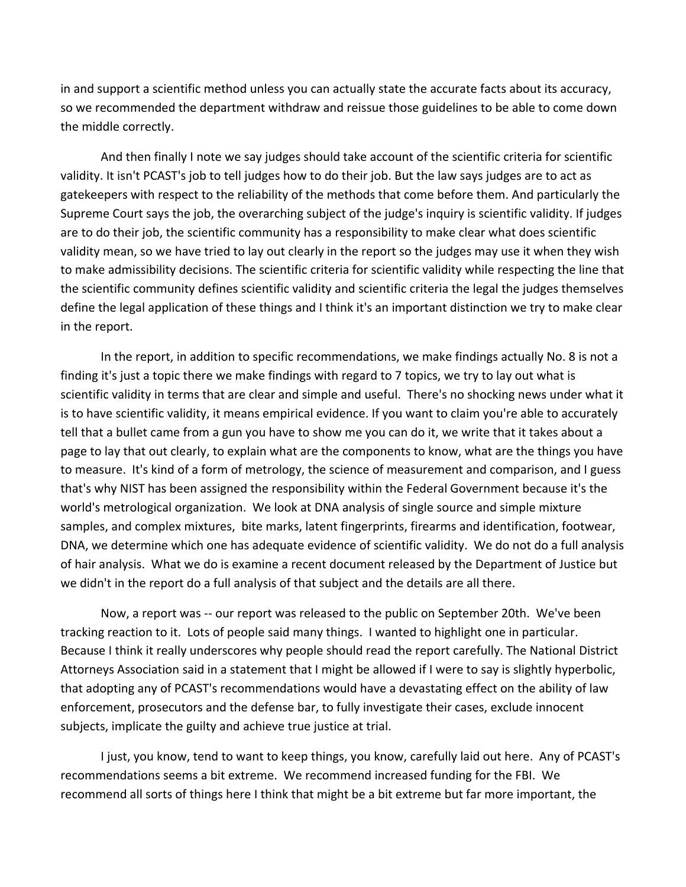in and support a scientific method unless you can actually state the accurate facts about its accuracy, so we recommended the department withdraw and reissue those guidelines to be able to come down the middle correctly.

And then finally I note we say judges should take account of the scientific criteria for scientific validity. It isn't PCAST's job to tell judges how to do their job. But the law says judges are to act as gatekeepers with respect to the reliability of the methods that come before them. And particularly the Supreme Court says the job, the overarching subject of the judge's inquiry is scientific validity. If judges are to do their job, the scientific community has a responsibility to make clear what does scientific validity mean, so we have tried to lay out clearly in the report so the judges may use it when they wish to make admissibility decisions. The scientific criteria for scientific validity while respecting the line that the scientific community defines scientific validity and scientific criteria the legal the judges themselves define the legal application of these things and I think it's an important distinction we try to make clear in the report.

In the report, in addition to specific recommendations, we make findings actually No. 8 is not a finding it's just a topic there we make findings with regard to 7 topics, we try to lay out what is scientific validity in terms that are clear and simple and useful. There's no shocking news under what it is to have scientific validity, it means empirical evidence. If you want to claim you're able to accurately tell that a bullet came from a gun you have to show me you can do it, we write that it takes about a page to lay that out clearly, to explain what are the components to know, what are the things you have to measure. It's kind of a form of metrology, the science of measurement and comparison, and I guess that's why NIST has been assigned the responsibility within the Federal Government because it's the world's metrological organization. We look at DNA analysis of single source and simple mixture samples, and complex mixtures, bite marks, latent fingerprints, firearms and identification, footwear, DNA, we determine which one has adequate evidence of scientific validity. We do not do a full analysis of hair analysis. What we do is examine a recent document released by the Department of Justice but we didn't in the report do a full analysis of that subject and the details are all there.

Now, a report was ‐‐ our report was released to the public on September 20th. We've been tracking reaction to it. Lots of people said many things. I wanted to highlight one in particular. Because I think it really underscores why people should read the report carefully. The National District Attorneys Association said in a statement that I might be allowed if I were to say is slightly hyperbolic, that adopting any of PCAST's recommendations would have a devastating effect on the ability of law enforcement, prosecutors and the defense bar, to fully investigate their cases, exclude innocent subjects, implicate the guilty and achieve true justice at trial.

I just, you know, tend to want to keep things, you know, carefully laid out here. Any of PCAST's recommendations seems a bit extreme. We recommend increased funding for the FBI. We recommend all sorts of things here I think that might be a bit extreme but far more important, the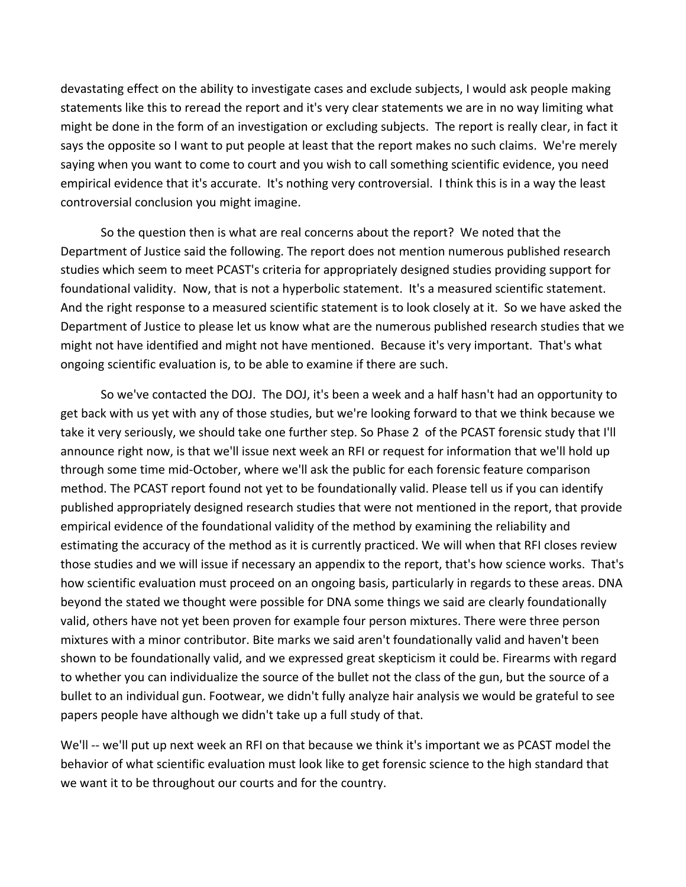devastating effect on the ability to investigate cases and exclude subjects, I would ask people making statements like this to reread the report and it's very clear statements we are in no way limiting what might be done in the form of an investigation or excluding subjects. The report is really clear, in fact it says the opposite so I want to put people at least that the report makes no such claims. We're merely saying when you want to come to court and you wish to call something scientific evidence, you need empirical evidence that it's accurate. It's nothing very controversial. I think this is in a way the least controversial conclusion you might imagine.

So the question then is what are real concerns about the report? We noted that the Department of Justice said the following. The report does not mention numerous published research studies which seem to meet PCAST's criteria for appropriately designed studies providing support for foundational validity. Now, that is not a hyperbolic statement. It's a measured scientific statement. And the right response to a measured scientific statement is to look closely at it. So we have asked the Department of Justice to please let us know what are the numerous published research studies that we might not have identified and might not have mentioned. Because it's very important. That's what ongoing scientific evaluation is, to be able to examine if there are such.

So we've contacted the DOJ. The DOJ, it's been a week and a half hasn't had an opportunity to get back with us yet with any of those studies, but we're looking forward to that we think because we take it very seriously, we should take one further step. So Phase 2 of the PCAST forensic study that I'll announce right now, is that we'll issue next week an RFI or request for information that we'll hold up through some time mid‐October, where we'll ask the public for each forensic feature comparison method. The PCAST report found not yet to be foundationally valid. Please tell us if you can identify published appropriately designed research studies that were not mentioned in the report, that provide empirical evidence of the foundational validity of the method by examining the reliability and estimating the accuracy of the method as it is currently practiced. We will when that RFI closes review those studies and we will issue if necessary an appendix to the report, that's how science works. That's how scientific evaluation must proceed on an ongoing basis, particularly in regards to these areas. DNA beyond the stated we thought were possible for DNA some things we said are clearly foundationally valid, others have not yet been proven for example four person mixtures. There were three person mixtures with a minor contributor. Bite marks we said aren't foundationally valid and haven't been shown to be foundationally valid, and we expressed great skepticism it could be. Firearms with regard to whether you can individualize the source of the bullet not the class of the gun, but the source of a bullet to an individual gun. Footwear, we didn't fully analyze hair analysis we would be grateful to see papers people have although we didn't take up a full study of that.

We'll -- we'll put up next week an RFI on that because we think it's important we as PCAST model the behavior of what scientific evaluation must look like to get forensic science to the high standard that we want it to be throughout our courts and for the country.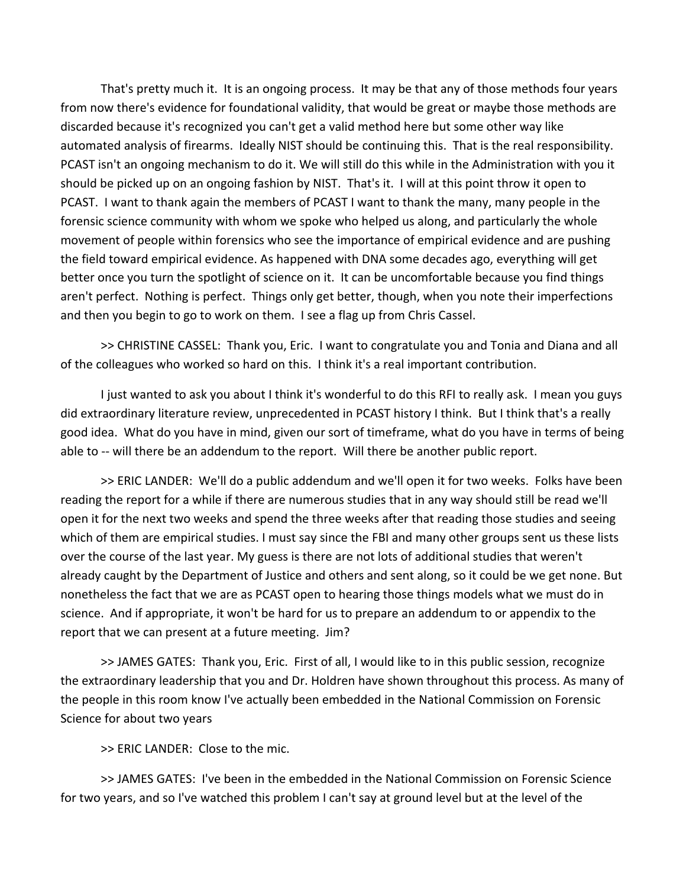That's pretty much it. It is an ongoing process. It may be that any of those methods four years from now there's evidence for foundational validity, that would be great or maybe those methods are discarded because it's recognized you can't get a valid method here but some other way like automated analysis of firearms. Ideally NIST should be continuing this. That is the real responsibility. PCAST isn't an ongoing mechanism to do it. We will still do this while in the Administration with you it should be picked up on an ongoing fashion by NIST. That's it. I will at this point throw it open to PCAST. I want to thank again the members of PCAST I want to thank the many, many people in the forensic science community with whom we spoke who helped us along, and particularly the whole movement of people within forensics who see the importance of empirical evidence and are pushing the field toward empirical evidence. As happened with DNA some decades ago, everything will get better once you turn the spotlight of science on it. It can be uncomfortable because you find things aren't perfect. Nothing is perfect. Things only get better, though, when you note their imperfections and then you begin to go to work on them. I see a flag up from Chris Cassel.

>> CHRISTINE CASSEL: Thank you, Eric. I want to congratulate you and Tonia and Diana and all of the colleagues who worked so hard on this. I think it's a real important contribution.

I just wanted to ask you about I think it's wonderful to do this RFI to really ask. I mean you guys did extraordinary literature review, unprecedented in PCAST history I think. But I think that's a really good idea. What do you have in mind, given our sort of timeframe, what do you have in terms of being able to -- will there be an addendum to the report. Will there be another public report.

>> ERIC LANDER: We'll do a public addendum and we'll open it for two weeks. Folks have been reading the report for a while if there are numerous studies that in any way should still be read we'll open it for the next two weeks and spend the three weeks after that reading those studies and seeing which of them are empirical studies. I must say since the FBI and many other groups sent us these lists over the course of the last year. My guess is there are not lots of additional studies that weren't already caught by the Department of Justice and others and sent along, so it could be we get none. But nonetheless the fact that we are as PCAST open to hearing those things models what we must do in science. And if appropriate, it won't be hard for us to prepare an addendum to or appendix to the report that we can present at a future meeting. Jim?

>> JAMES GATES: Thank you, Eric. First of all, I would like to in this public session, recognize the extraordinary leadership that you and Dr. Holdren have shown throughout this process. As many of the people in this room know I've actually been embedded in the National Commission on Forensic Science for about two years

>> ERIC LANDER: Close to the mic.

>> JAMES GATES: I've been in the embedded in the National Commission on Forensic Science for two years, and so I've watched this problem I can't say at ground level but at the level of the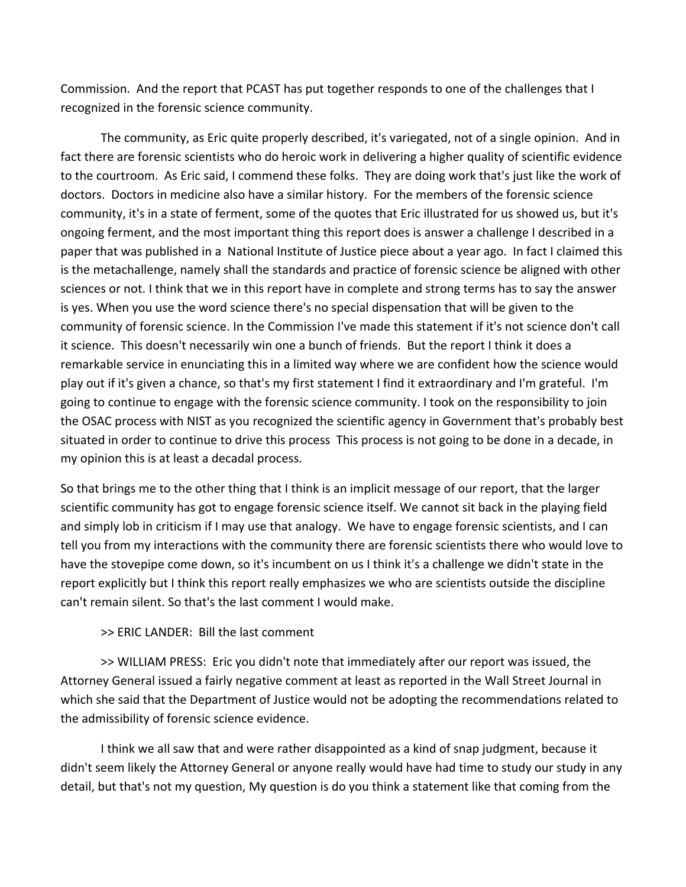Commission. And the report that PCAST has put together responds to one of the challenges that I recognized in the forensic science community.

The community, as Eric quite properly described, it's variegated, not of a single opinion. And in fact there are forensic scientists who do heroic work in delivering a higher quality of scientific evidence to the courtroom. As Eric said, I commend these folks. They are doing work that's just like the work of doctors. Doctors in medicine also have a similar history. For the members of the forensic science community, it's in a state of ferment, some of the quotes that Eric illustrated for us showed us, but it's ongoing ferment, and the most important thing this report does is answer a challenge I described in a paper that was published in a National Institute of Justice piece about a year ago. In fact I claimed this is the metachallenge, namely shall the standards and practice of forensic science be aligned with other sciences or not. I think that we in this report have in complete and strong terms has to say the answer is yes. When you use the word science there's no special dispensation that will be given to the community of forensic science. In the Commission I've made this statement if it's not science don't call it science. This doesn't necessarily win one a bunch of friends. But the report I think it does a remarkable service in enunciating this in a limited way where we are confident how the science would play out if it's given a chance, so that's my first statement I find it extraordinary and I'm grateful. I'm going to continue to engage with the forensic science community. I took on the responsibility to join the OSAC process with NIST as you recognized the scientific agency in Government that's probably best situated in order to continue to drive this process This process is not going to be done in a decade, in my opinion this is at least a decadal process.

So that brings me to the other thing that I think is an implicit message of our report, that the larger scientific community has got to engage forensic science itself. We cannot sit back in the playing field and simply lob in criticism if I may use that analogy. We have to engage forensic scientists, and I can tell you from my interactions with the community there are forensic scientists there who would love to have the stovepipe come down, so it's incumbent on us I think it's a challenge we didn't state in the report explicitly but I think this report really emphasizes we who are scientists outside the discipline can't remain silent. So that's the last comment I would make.

>> ERIC LANDER: Bill the last comment

>> WILLIAM PRESS: Eric you didn't note that immediately after our report was issued, the Attorney General issued a fairly negative comment at least as reported in the Wall Street Journal in which she said that the Department of Justice would not be adopting the recommendations related to the admissibility of forensic science evidence.

I think we all saw that and were rather disappointed as a kind of snap judgment, because it didn't seem likely the Attorney General or anyone really would have had time to study our study in any detail, but that's not my question, My question is do you think a statement like that coming from the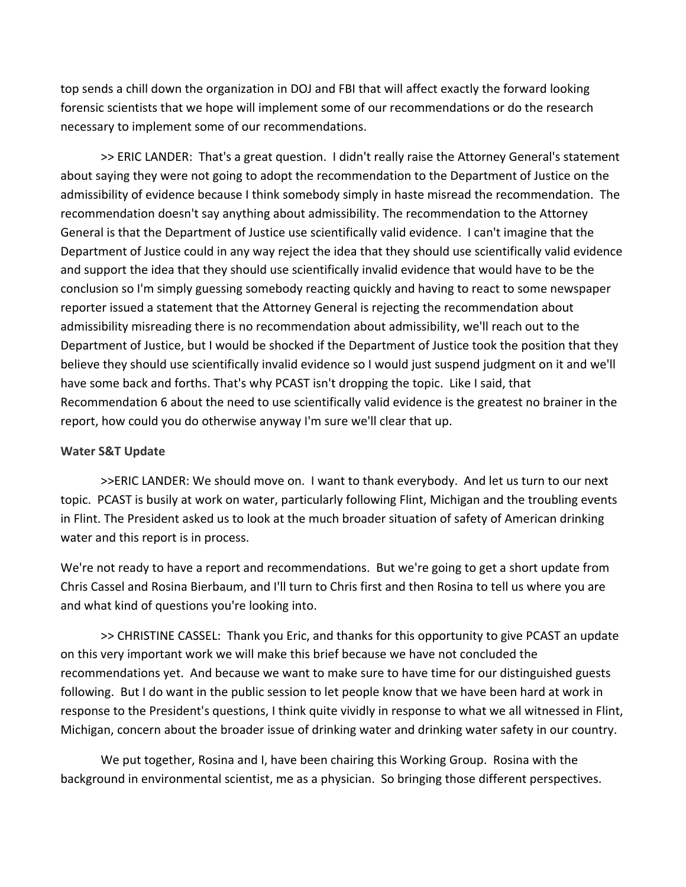top sends a chill down the organization in DOJ and FBI that will affect exactly the forward looking forensic scientists that we hope will implement some of our recommendations or do the research necessary to implement some of our recommendations.

>> ERIC LANDER: That's a great question. I didn't really raise the Attorney General's statement about saying they were not going to adopt the recommendation to the Department of Justice on the admissibility of evidence because I think somebody simply in haste misread the recommendation. The recommendation doesn't say anything about admissibility. The recommendation to the Attorney General is that the Department of Justice use scientifically valid evidence. I can't imagine that the Department of Justice could in any way reject the idea that they should use scientifically valid evidence and support the idea that they should use scientifically invalid evidence that would have to be the conclusion so I'm simply guessing somebody reacting quickly and having to react to some newspaper reporter issued a statement that the Attorney General is rejecting the recommendation about admissibility misreading there is no recommendation about admissibility, we'll reach out to the Department of Justice, but I would be shocked if the Department of Justice took the position that they believe they should use scientifically invalid evidence so I would just suspend judgment on it and we'll have some back and forths. That's why PCAST isn't dropping the topic. Like I said, that Recommendation 6 about the need to use scientifically valid evidence is the greatest no brainer in the report, how could you do otherwise anyway I'm sure we'll clear that up.

### **Water S&T Update**

>>ERIC LANDER: We should move on. I want to thank everybody. And let us turn to our next topic. PCAST is busily at work on water, particularly following Flint, Michigan and the troubling events in Flint. The President asked us to look at the much broader situation of safety of American drinking water and this report is in process.

We're not ready to have a report and recommendations. But we're going to get a short update from Chris Cassel and Rosina Bierbaum, and I'll turn to Chris first and then Rosina to tell us where you are and what kind of questions you're looking into.

>> CHRISTINE CASSEL: Thank you Eric, and thanks for this opportunity to give PCAST an update on this very important work we will make this brief because we have not concluded the recommendations yet. And because we want to make sure to have time for our distinguished guests following. But I do want in the public session to let people know that we have been hard at work in response to the President's questions, I think quite vividly in response to what we all witnessed in Flint, Michigan, concern about the broader issue of drinking water and drinking water safety in our country.

We put together, Rosina and I, have been chairing this Working Group. Rosina with the background in environmental scientist, me as a physician. So bringing those different perspectives.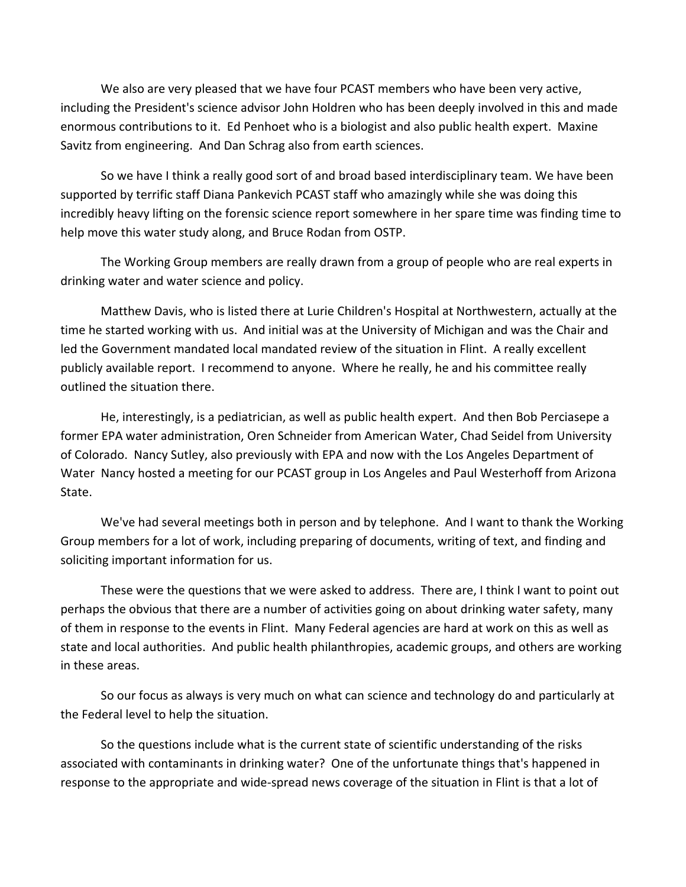We also are very pleased that we have four PCAST members who have been very active, including the President's science advisor John Holdren who has been deeply involved in this and made enormous contributions to it. Ed Penhoet who is a biologist and also public health expert. Maxine Savitz from engineering. And Dan Schrag also from earth sciences.

So we have I think a really good sort of and broad based interdisciplinary team. We have been supported by terrific staff Diana Pankevich PCAST staff who amazingly while she was doing this incredibly heavy lifting on the forensic science report somewhere in her spare time was finding time to help move this water study along, and Bruce Rodan from OSTP.

The Working Group members are really drawn from a group of people who are real experts in drinking water and water science and policy.

Matthew Davis, who is listed there at Lurie Children's Hospital at Northwestern, actually at the time he started working with us. And initial was at the University of Michigan and was the Chair and led the Government mandated local mandated review of the situation in Flint. A really excellent publicly available report. I recommend to anyone. Where he really, he and his committee really outlined the situation there.

He, interestingly, is a pediatrician, as well as public health expert. And then Bob Perciasepe a former EPA water administration, Oren Schneider from American Water, Chad Seidel from University of Colorado. Nancy Sutley, also previously with EPA and now with the Los Angeles Department of Water Nancy hosted a meeting for our PCAST group in Los Angeles and Paul Westerhoff from Arizona State.

We've had several meetings both in person and by telephone. And I want to thank the Working Group members for a lot of work, including preparing of documents, writing of text, and finding and soliciting important information for us.

These were the questions that we were asked to address. There are, I think I want to point out perhaps the obvious that there are a number of activities going on about drinking water safety, many of them in response to the events in Flint. Many Federal agencies are hard at work on this as well as state and local authorities. And public health philanthropies, academic groups, and others are working in these areas.

So our focus as always is very much on what can science and technology do and particularly at the Federal level to help the situation.

So the questions include what is the current state of scientific understanding of the risks associated with contaminants in drinking water? One of the unfortunate things that's happened in response to the appropriate and wide‐spread news coverage of the situation in Flint is that a lot of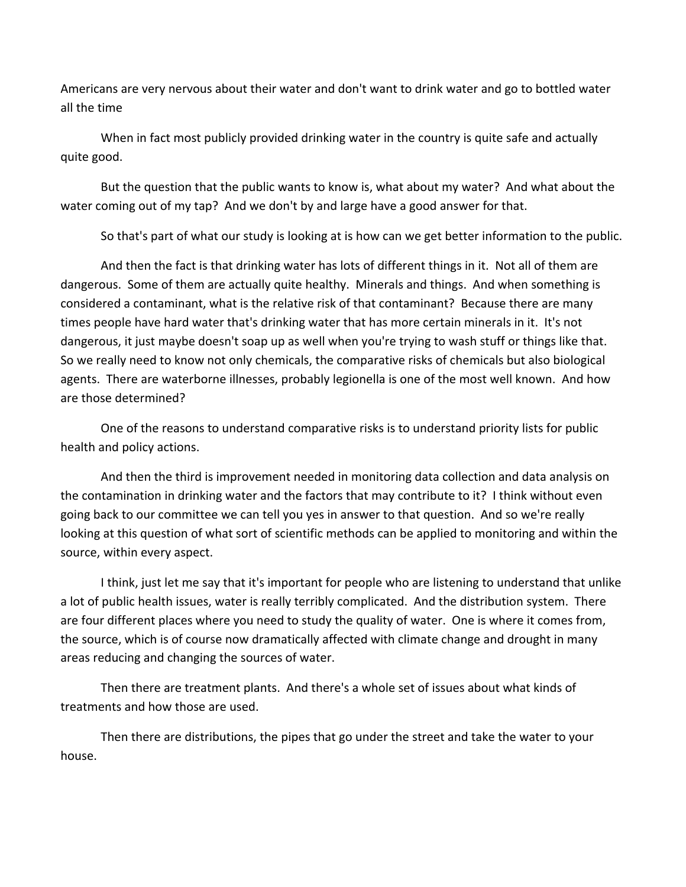Americans are very nervous about their water and don't want to drink water and go to bottled water all the time

When in fact most publicly provided drinking water in the country is quite safe and actually quite good.

But the question that the public wants to know is, what about my water? And what about the water coming out of my tap? And we don't by and large have a good answer for that.

So that's part of what our study is looking at is how can we get better information to the public.

And then the fact is that drinking water has lots of different things in it. Not all of them are dangerous. Some of them are actually quite healthy. Minerals and things. And when something is considered a contaminant, what is the relative risk of that contaminant? Because there are many times people have hard water that's drinking water that has more certain minerals in it. It's not dangerous, it just maybe doesn't soap up as well when you're trying to wash stuff or things like that. So we really need to know not only chemicals, the comparative risks of chemicals but also biological agents. There are waterborne illnesses, probably legionella is one of the most well known. And how are those determined?

One of the reasons to understand comparative risks is to understand priority lists for public health and policy actions.

And then the third is improvement needed in monitoring data collection and data analysis on the contamination in drinking water and the factors that may contribute to it? I think without even going back to our committee we can tell you yes in answer to that question. And so we're really looking at this question of what sort of scientific methods can be applied to monitoring and within the source, within every aspect.

I think, just let me say that it's important for people who are listening to understand that unlike a lot of public health issues, water is really terribly complicated. And the distribution system. There are four different places where you need to study the quality of water. One is where it comes from, the source, which is of course now dramatically affected with climate change and drought in many areas reducing and changing the sources of water.

Then there are treatment plants. And there's a whole set of issues about what kinds of treatments and how those are used.

Then there are distributions, the pipes that go under the street and take the water to your house.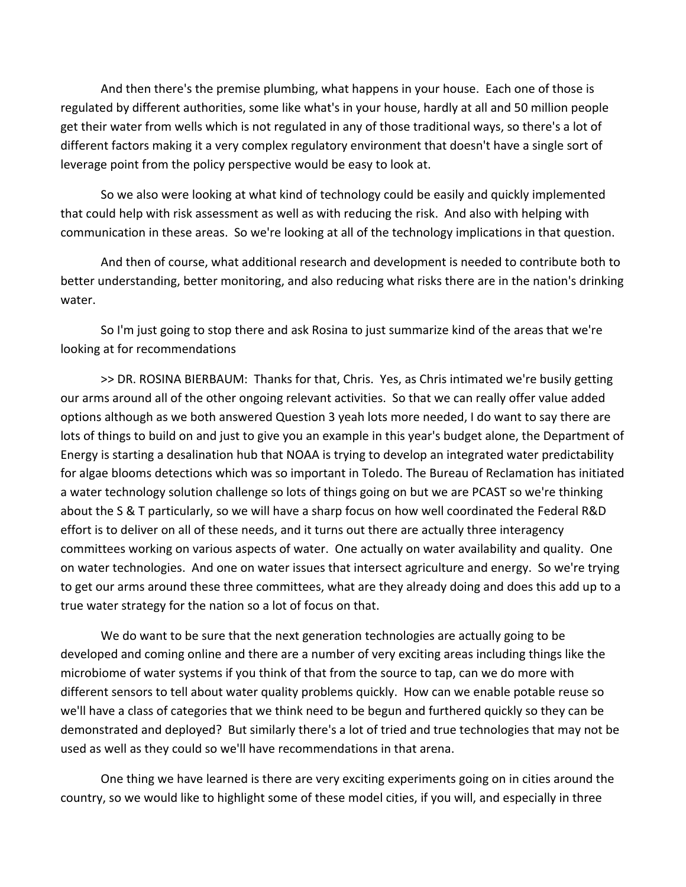And then there's the premise plumbing, what happens in your house. Each one of those is regulated by different authorities, some like what's in your house, hardly at all and 50 million people get their water from wells which is not regulated in any of those traditional ways, so there's a lot of different factors making it a very complex regulatory environment that doesn't have a single sort of leverage point from the policy perspective would be easy to look at.

So we also were looking at what kind of technology could be easily and quickly implemented that could help with risk assessment as well as with reducing the risk. And also with helping with communication in these areas. So we're looking at all of the technology implications in that question.

And then of course, what additional research and development is needed to contribute both to better understanding, better monitoring, and also reducing what risks there are in the nation's drinking water.

So I'm just going to stop there and ask Rosina to just summarize kind of the areas that we're looking at for recommendations

>> DR. ROSINA BIERBAUM: Thanks for that, Chris. Yes, as Chris intimated we're busily getting our arms around all of the other ongoing relevant activities. So that we can really offer value added options although as we both answered Question 3 yeah lots more needed, I do want to say there are lots of things to build on and just to give you an example in this year's budget alone, the Department of Energy is starting a desalination hub that NOAA is trying to develop an integrated water predictability for algae blooms detections which was so important in Toledo. The Bureau of Reclamation has initiated a water technology solution challenge so lots of things going on but we are PCAST so we're thinking about the S & T particularly, so we will have a sharp focus on how well coordinated the Federal R&D effort is to deliver on all of these needs, and it turns out there are actually three interagency committees working on various aspects of water. One actually on water availability and quality. One on water technologies. And one on water issues that intersect agriculture and energy. So we're trying to get our arms around these three committees, what are they already doing and does this add up to a true water strategy for the nation so a lot of focus on that.

We do want to be sure that the next generation technologies are actually going to be developed and coming online and there are a number of very exciting areas including things like the microbiome of water systems if you think of that from the source to tap, can we do more with different sensors to tell about water quality problems quickly. How can we enable potable reuse so we'll have a class of categories that we think need to be begun and furthered quickly so they can be demonstrated and deployed? But similarly there's a lot of tried and true technologies that may not be used as well as they could so we'll have recommendations in that arena.

One thing we have learned is there are very exciting experiments going on in cities around the country, so we would like to highlight some of these model cities, if you will, and especially in three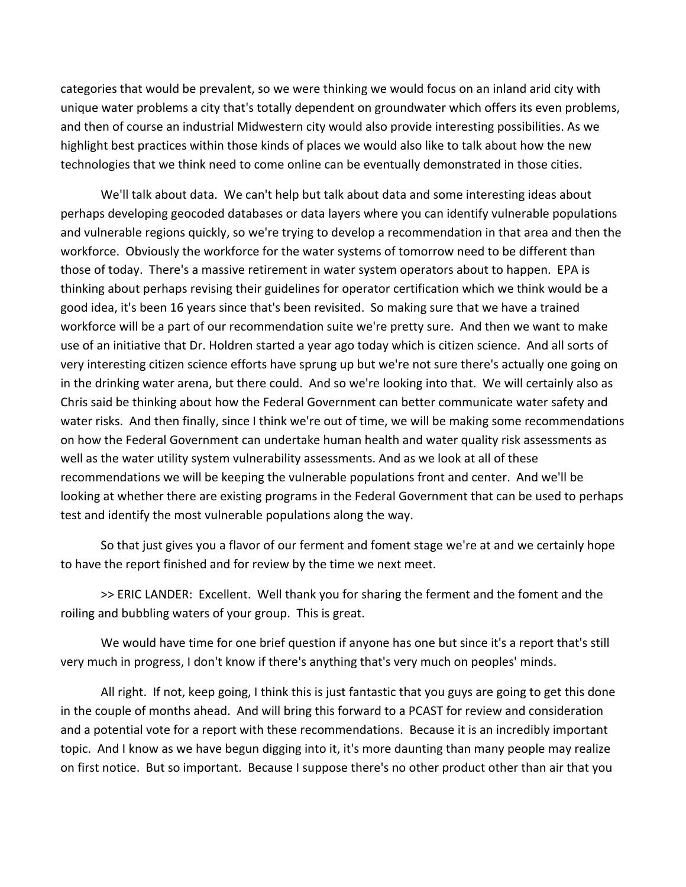categories that would be prevalent, so we were thinking we would focus on an inland arid city with unique water problems a city that's totally dependent on groundwater which offers its even problems, and then of course an industrial Midwestern city would also provide interesting possibilities. As we highlight best practices within those kinds of places we would also like to talk about how the new technologies that we think need to come online can be eventually demonstrated in those cities.

We'll talk about data. We can't help but talk about data and some interesting ideas about perhaps developing geocoded databases or data layers where you can identify vulnerable populations and vulnerable regions quickly, so we're trying to develop a recommendation in that area and then the workforce. Obviously the workforce for the water systems of tomorrow need to be different than those of today. There's a massive retirement in water system operators about to happen. EPA is thinking about perhaps revising their guidelines for operator certification which we think would be a good idea, it's been 16 years since that's been revisited. So making sure that we have a trained workforce will be a part of our recommendation suite we're pretty sure. And then we want to make use of an initiative that Dr. Holdren started a year ago today which is citizen science. And all sorts of very interesting citizen science efforts have sprung up but we're not sure there's actually one going on in the drinking water arena, but there could. And so we're looking into that. We will certainly also as Chris said be thinking about how the Federal Government can better communicate water safety and water risks. And then finally, since I think we're out of time, we will be making some recommendations on how the Federal Government can undertake human health and water quality risk assessments as well as the water utility system vulnerability assessments. And as we look at all of these recommendations we will be keeping the vulnerable populations front and center. And we'll be looking at whether there are existing programs in the Federal Government that can be used to perhaps test and identify the most vulnerable populations along the way.

So that just gives you a flavor of our ferment and foment stage we're at and we certainly hope to have the report finished and for review by the time we next meet.

>> ERIC LANDER: Excellent. Well thank you for sharing the ferment and the foment and the roiling and bubbling waters of your group. This is great.

We would have time for one brief question if anyone has one but since it's a report that's still very much in progress, I don't know if there's anything that's very much on peoples' minds.

All right. If not, keep going, I think this is just fantastic that you guys are going to get this done in the couple of months ahead. And will bring this forward to a PCAST for review and consideration and a potential vote for a report with these recommendations. Because it is an incredibly important topic. And I know as we have begun digging into it, it's more daunting than many people may realize on first notice. But so important. Because I suppose there's no other product other than air that you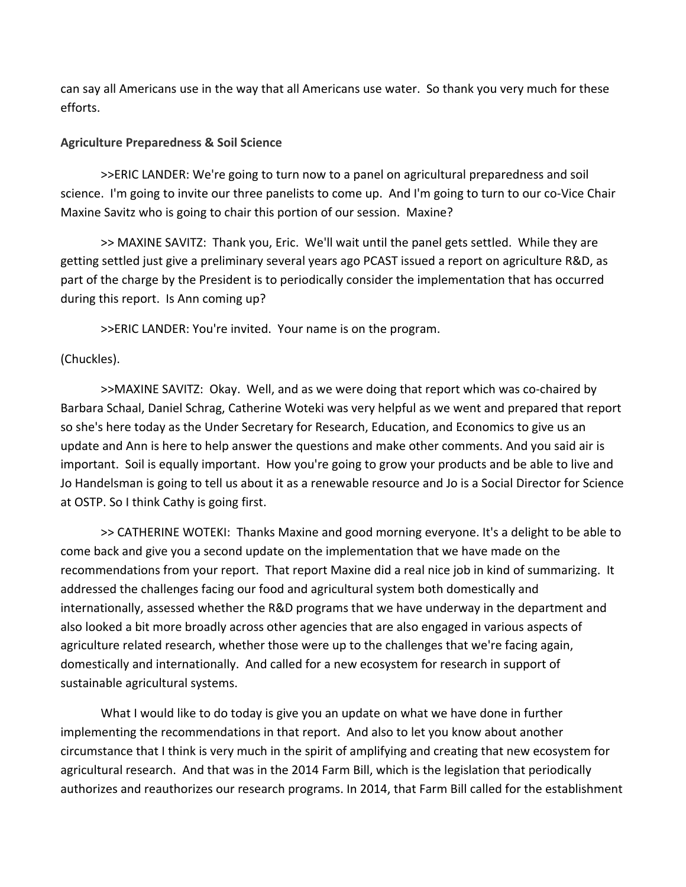can say all Americans use in the way that all Americans use water. So thank you very much for these efforts.

### **Agriculture Preparedness & Soil Science**

>>ERIC LANDER: We're going to turn now to a panel on agricultural preparedness and soil science. I'm going to invite our three panelists to come up. And I'm going to turn to our co-Vice Chair Maxine Savitz who is going to chair this portion of our session. Maxine?

>> MAXINE SAVITZ: Thank you, Eric. We'll wait until the panel gets settled. While they are getting settled just give a preliminary several years ago PCAST issued a report on agriculture R&D, as part of the charge by the President is to periodically consider the implementation that has occurred during this report. Is Ann coming up?

>>ERIC LANDER: You're invited. Your name is on the program.

# (Chuckles).

>>MAXINE SAVITZ: Okay. Well, and as we were doing that report which was co‐chaired by Barbara Schaal, Daniel Schrag, Catherine Woteki was very helpful as we went and prepared that report so she's here today as the Under Secretary for Research, Education, and Economics to give us an update and Ann is here to help answer the questions and make other comments. And you said air is important. Soil is equally important. How you're going to grow your products and be able to live and Jo Handelsman is going to tell us about it as a renewable resource and Jo is a Social Director for Science at OSTP. So I think Cathy is going first.

>> CATHERINE WOTEKI: Thanks Maxine and good morning everyone. It's a delight to be able to come back and give you a second update on the implementation that we have made on the recommendations from your report. That report Maxine did a real nice job in kind of summarizing. It addressed the challenges facing our food and agricultural system both domestically and internationally, assessed whether the R&D programs that we have underway in the department and also looked a bit more broadly across other agencies that are also engaged in various aspects of agriculture related research, whether those were up to the challenges that we're facing again, domestically and internationally. And called for a new ecosystem for research in support of sustainable agricultural systems.

What I would like to do today is give you an update on what we have done in further implementing the recommendations in that report. And also to let you know about another circumstance that I think is very much in the spirit of amplifying and creating that new ecosystem for agricultural research. And that was in the 2014 Farm Bill, which is the legislation that periodically authorizes and reauthorizes our research programs. In 2014, that Farm Bill called for the establishment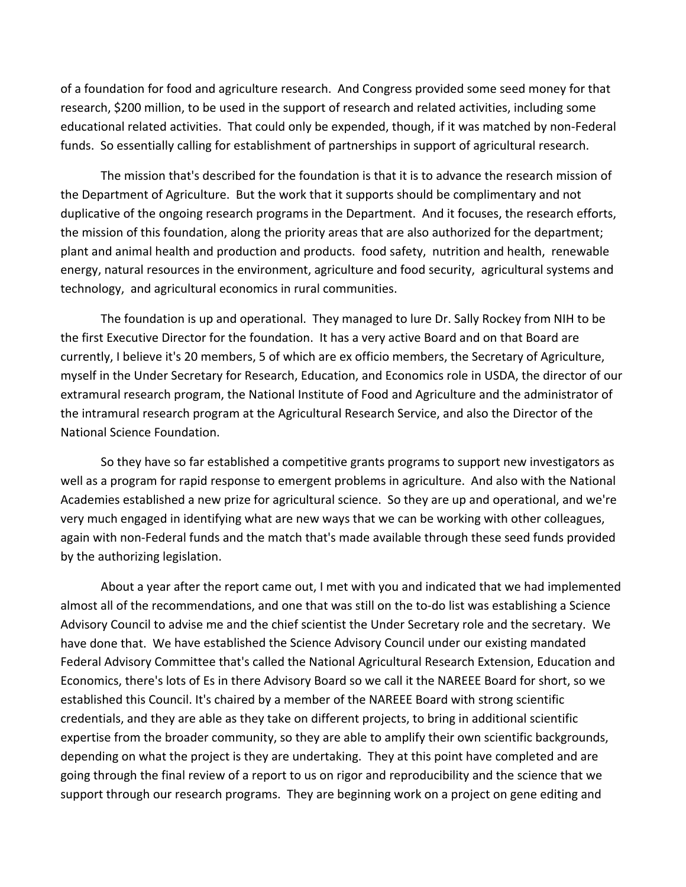of a foundation for food and agriculture research. And Congress provided some seed money for that research, \$200 million, to be used in the support of research and related activities, including some educational related activities. That could only be expended, though, if it was matched by non‐Federal funds. So essentially calling for establishment of partnerships in support of agricultural research.

The mission that's described for the foundation is that it is to advance the research mission of the Department of Agriculture. But the work that it supports should be complimentary and not duplicative of the ongoing research programs in the Department. And it focuses, the research efforts, the mission of this foundation, along the priority areas that are also authorized for the department; plant and animal health and production and products. food safety, nutrition and health, renewable energy, natural resources in the environment, agriculture and food security, agricultural systems and technology, and agricultural economics in rural communities.

The foundation is up and operational. They managed to lure Dr. Sally Rockey from NIH to be the first Executive Director for the foundation. It has a very active Board and on that Board are currently, I believe it's 20 members, 5 of which are ex officio members, the Secretary of Agriculture, myself in the Under Secretary for Research, Education, and Economics role in USDA, the director of our extramural research program, the National Institute of Food and Agriculture and the administrator of the intramural research program at the Agricultural Research Service, and also the Director of the National Science Foundation.

So they have so far established a competitive grants programs to support new investigators as well as a program for rapid response to emergent problems in agriculture. And also with the National Academies established a new prize for agricultural science. So they are up and operational, and we're very much engaged in identifying what are new ways that we can be working with other colleagues, again with non‐Federal funds and the match that's made available through these seed funds provided by the authorizing legislation.

About a year after the report came out, I met with you and indicated that we had implemented almost all of the recommendations, and one that was still on the to‐do list was establishing a Science Advisory Council to advise me and the chief scientist the Under Secretary role and the secretary. We have done that. We have established the Science Advisory Council under our existing mandated Federal Advisory Committee that's called the National Agricultural Research Extension, Education and Economics, there's lots of Es in there Advisory Board so we call it the NAREEE Board for short, so we established this Council. It's chaired by a member of the NAREEE Board with strong scientific credentials, and they are able as they take on different projects, to bring in additional scientific expertise from the broader community, so they are able to amplify their own scientific backgrounds, depending on what the project is they are undertaking. They at this point have completed and are going through the final review of a report to us on rigor and reproducibility and the science that we support through our research programs. They are beginning work on a project on gene editing and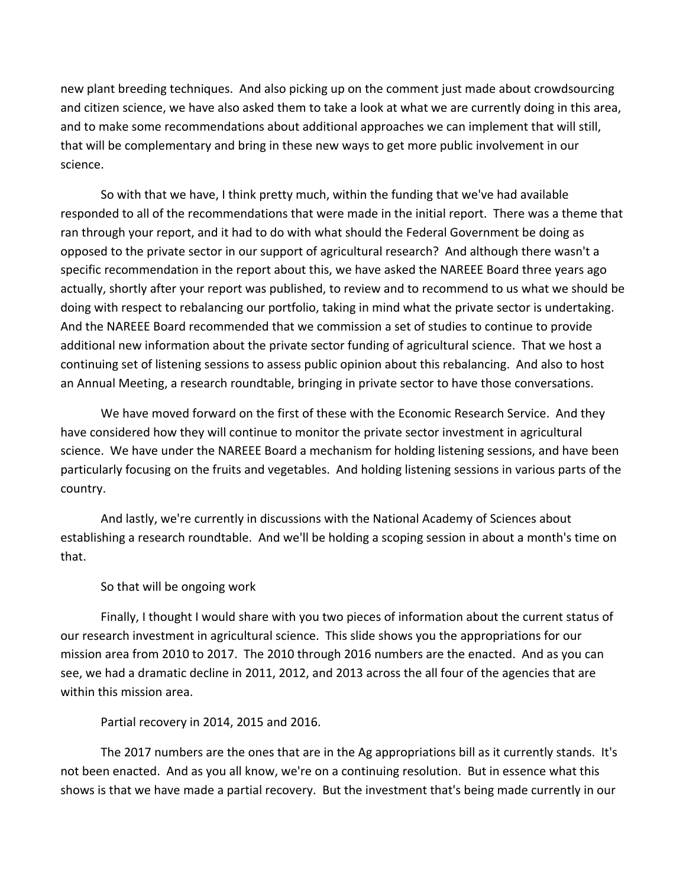new plant breeding techniques. And also picking up on the comment just made about crowdsourcing and citizen science, we have also asked them to take a look at what we are currently doing in this area, and to make some recommendations about additional approaches we can implement that will still, that will be complementary and bring in these new ways to get more public involvement in our science.

So with that we have, I think pretty much, within the funding that we've had available responded to all of the recommendations that were made in the initial report. There was a theme that ran through your report, and it had to do with what should the Federal Government be doing as opposed to the private sector in our support of agricultural research? And although there wasn't a specific recommendation in the report about this, we have asked the NAREEE Board three years ago actually, shortly after your report was published, to review and to recommend to us what we should be doing with respect to rebalancing our portfolio, taking in mind what the private sector is undertaking. And the NAREEE Board recommended that we commission a set of studies to continue to provide additional new information about the private sector funding of agricultural science. That we host a continuing set of listening sessions to assess public opinion about this rebalancing. And also to host an Annual Meeting, a research roundtable, bringing in private sector to have those conversations.

We have moved forward on the first of these with the Economic Research Service. And they have considered how they will continue to monitor the private sector investment in agricultural science. We have under the NAREEE Board a mechanism for holding listening sessions, and have been particularly focusing on the fruits and vegetables. And holding listening sessions in various parts of the country.

And lastly, we're currently in discussions with the National Academy of Sciences about establishing a research roundtable. And we'll be holding a scoping session in about a month's time on that.

So that will be ongoing work

Finally, I thought I would share with you two pieces of information about the current status of our research investment in agricultural science. This slide shows you the appropriations for our mission area from 2010 to 2017. The 2010 through 2016 numbers are the enacted. And as you can see, we had a dramatic decline in 2011, 2012, and 2013 across the all four of the agencies that are within this mission area.

Partial recovery in 2014, 2015 and 2016.

The 2017 numbers are the ones that are in the Ag appropriations bill as it currently stands. It's not been enacted. And as you all know, we're on a continuing resolution. But in essence what this shows is that we have made a partial recovery. But the investment that's being made currently in our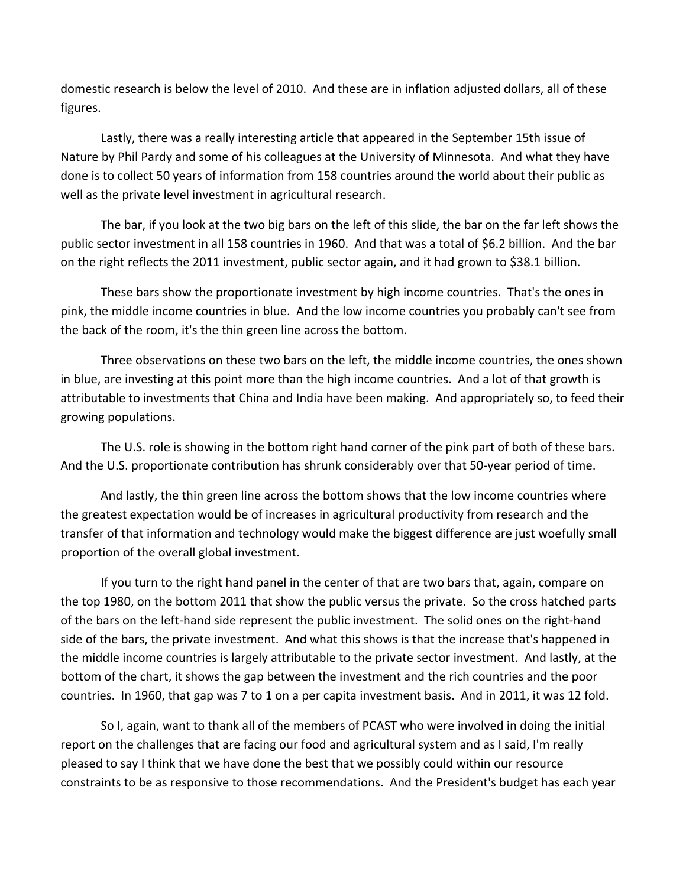domestic research is below the level of 2010. And these are in inflation adjusted dollars, all of these figures.

Lastly, there was a really interesting article that appeared in the September 15th issue of Nature by Phil Pardy and some of his colleagues at the University of Minnesota. And what they have done is to collect 50 years of information from 158 countries around the world about their public as well as the private level investment in agricultural research.

The bar, if you look at the two big bars on the left of this slide, the bar on the far left shows the public sector investment in all 158 countries in 1960. And that was a total of \$6.2 billion. And the bar on the right reflects the 2011 investment, public sector again, and it had grown to \$38.1 billion.

These bars show the proportionate investment by high income countries. That's the ones in pink, the middle income countries in blue. And the low income countries you probably can't see from the back of the room, it's the thin green line across the bottom.

Three observations on these two bars on the left, the middle income countries, the ones shown in blue, are investing at this point more than the high income countries. And a lot of that growth is attributable to investments that China and India have been making. And appropriately so, to feed their growing populations.

The U.S. role is showing in the bottom right hand corner of the pink part of both of these bars. And the U.S. proportionate contribution has shrunk considerably over that 50‐year period of time.

And lastly, the thin green line across the bottom shows that the low income countries where the greatest expectation would be of increases in agricultural productivity from research and the transfer of that information and technology would make the biggest difference are just woefully small proportion of the overall global investment.

If you turn to the right hand panel in the center of that are two bars that, again, compare on the top 1980, on the bottom 2011 that show the public versus the private. So the cross hatched parts of the bars on the left‐hand side represent the public investment. The solid ones on the right‐hand side of the bars, the private investment. And what this shows is that the increase that's happened in the middle income countries is largely attributable to the private sector investment. And lastly, at the bottom of the chart, it shows the gap between the investment and the rich countries and the poor countries. In 1960, that gap was 7 to 1 on a per capita investment basis. And in 2011, it was 12 fold.

So I, again, want to thank all of the members of PCAST who were involved in doing the initial report on the challenges that are facing our food and agricultural system and as I said, I'm really pleased to say I think that we have done the best that we possibly could within our resource constraints to be as responsive to those recommendations. And the President's budget has each year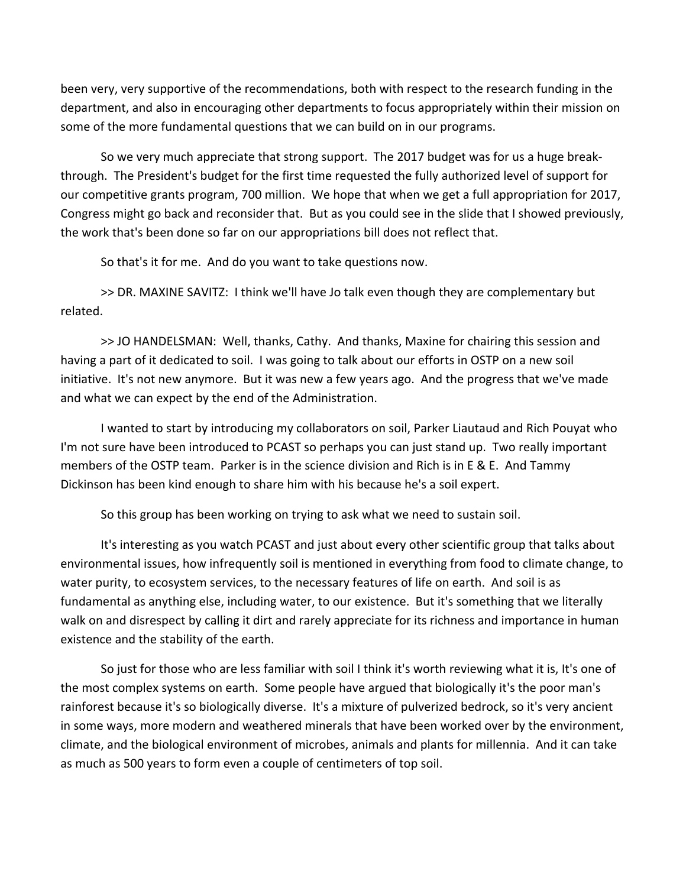been very, very supportive of the recommendations, both with respect to the research funding in the department, and also in encouraging other departments to focus appropriately within their mission on some of the more fundamental questions that we can build on in our programs.

So we very much appreciate that strong support. The 2017 budget was for us a huge break‐ through. The President's budget for the first time requested the fully authorized level of support for our competitive grants program, 700 million. We hope that when we get a full appropriation for 2017, Congress might go back and reconsider that. But as you could see in the slide that I showed previously, the work that's been done so far on our appropriations bill does not reflect that.

So that's it for me. And do you want to take questions now.

>> DR. MAXINE SAVITZ: I think we'll have Jo talk even though they are complementary but related.

>> JO HANDELSMAN: Well, thanks, Cathy. And thanks, Maxine for chairing this session and having a part of it dedicated to soil. I was going to talk about our efforts in OSTP on a new soil initiative. It's not new anymore. But it was new a few years ago. And the progress that we've made and what we can expect by the end of the Administration.

I wanted to start by introducing my collaborators on soil, Parker Liautaud and Rich Pouyat who I'm not sure have been introduced to PCAST so perhaps you can just stand up. Two really important members of the OSTP team. Parker is in the science division and Rich is in E & E. And Tammy Dickinson has been kind enough to share him with his because he's a soil expert.

So this group has been working on trying to ask what we need to sustain soil.

It's interesting as you watch PCAST and just about every other scientific group that talks about environmental issues, how infrequently soil is mentioned in everything from food to climate change, to water purity, to ecosystem services, to the necessary features of life on earth. And soil is as fundamental as anything else, including water, to our existence. But it's something that we literally walk on and disrespect by calling it dirt and rarely appreciate for its richness and importance in human existence and the stability of the earth.

So just for those who are less familiar with soil I think it's worth reviewing what it is, It's one of the most complex systems on earth. Some people have argued that biologically it's the poor man's rainforest because it's so biologically diverse. It's a mixture of pulverized bedrock, so it's very ancient in some ways, more modern and weathered minerals that have been worked over by the environment, climate, and the biological environment of microbes, animals and plants for millennia. And it can take as much as 500 years to form even a couple of centimeters of top soil.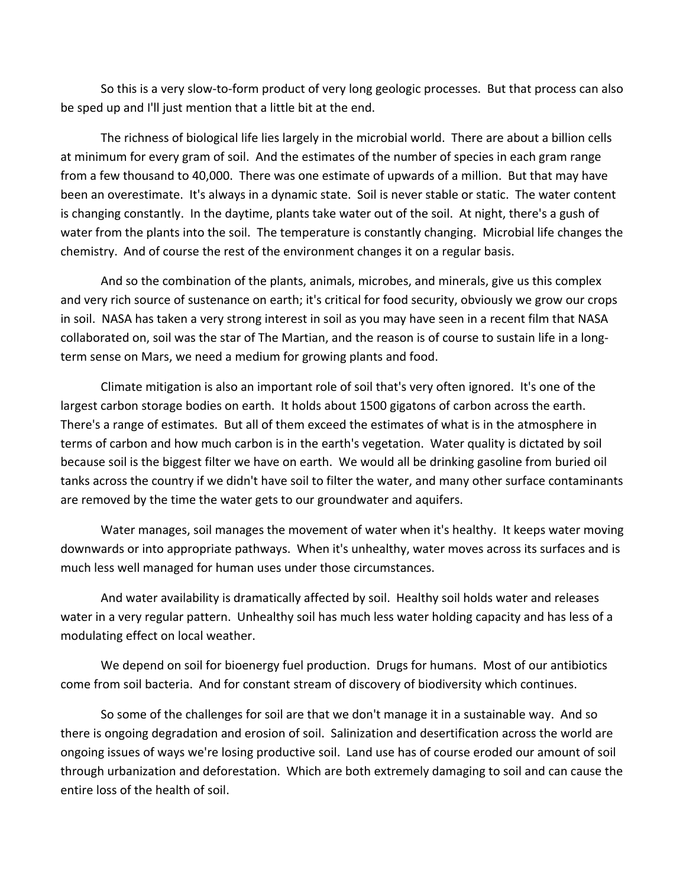So this is a very slow‐to‐form product of very long geologic processes. But that process can also be sped up and I'll just mention that a little bit at the end.

The richness of biological life lies largely in the microbial world. There are about a billion cells at minimum for every gram of soil. And the estimates of the number of species in each gram range from a few thousand to 40,000. There was one estimate of upwards of a million. But that may have been an overestimate. It's always in a dynamic state. Soil is never stable or static. The water content is changing constantly. In the daytime, plants take water out of the soil. At night, there's a gush of water from the plants into the soil. The temperature is constantly changing. Microbial life changes the chemistry. And of course the rest of the environment changes it on a regular basis.

And so the combination of the plants, animals, microbes, and minerals, give us this complex and very rich source of sustenance on earth; it's critical for food security, obviously we grow our crops in soil. NASA has taken a very strong interest in soil as you may have seen in a recent film that NASA collaborated on, soil was the star of The Martian, and the reason is of course to sustain life in a long‐ term sense on Mars, we need a medium for growing plants and food.

Climate mitigation is also an important role of soil that's very often ignored. It's one of the largest carbon storage bodies on earth. It holds about 1500 gigatons of carbon across the earth. There's a range of estimates. But all of them exceed the estimates of what is in the atmosphere in terms of carbon and how much carbon is in the earth's vegetation. Water quality is dictated by soil because soil is the biggest filter we have on earth. We would all be drinking gasoline from buried oil tanks across the country if we didn't have soil to filter the water, and many other surface contaminants are removed by the time the water gets to our groundwater and aquifers.

Water manages, soil manages the movement of water when it's healthy. It keeps water moving downwards or into appropriate pathways. When it's unhealthy, water moves across its surfaces and is much less well managed for human uses under those circumstances.

And water availability is dramatically affected by soil. Healthy soil holds water and releases water in a very regular pattern. Unhealthy soil has much less water holding capacity and has less of a modulating effect on local weather.

We depend on soil for bioenergy fuel production. Drugs for humans. Most of our antibiotics come from soil bacteria. And for constant stream of discovery of biodiversity which continues.

So some of the challenges for soil are that we don't manage it in a sustainable way. And so there is ongoing degradation and erosion of soil. Salinization and desertification across the world are ongoing issues of ways we're losing productive soil. Land use has of course eroded our amount of soil through urbanization and deforestation. Which are both extremely damaging to soil and can cause the entire loss of the health of soil.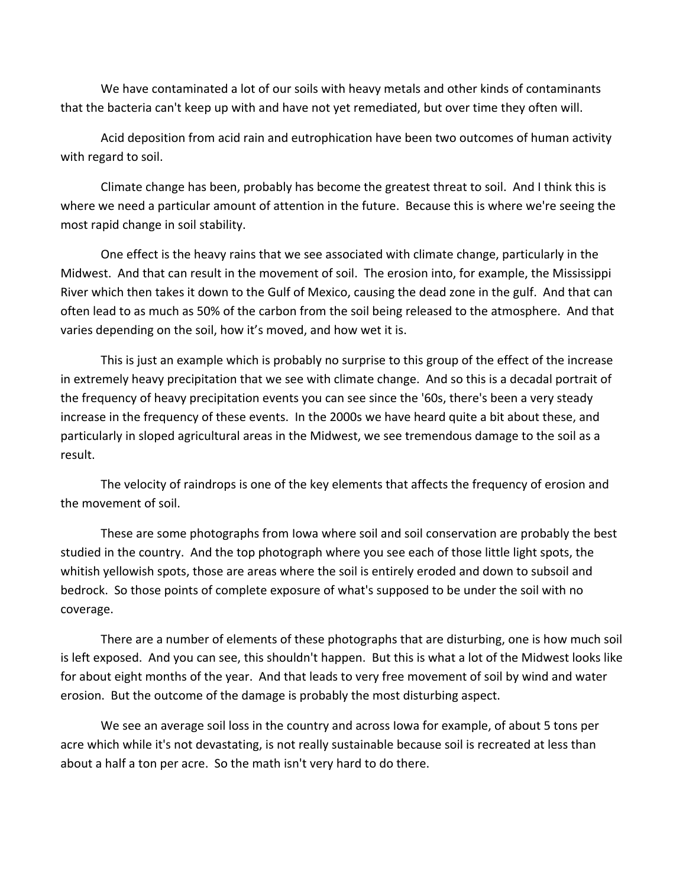We have contaminated a lot of our soils with heavy metals and other kinds of contaminants that the bacteria can't keep up with and have not yet remediated, but over time they often will.

Acid deposition from acid rain and eutrophication have been two outcomes of human activity with regard to soil.

Climate change has been, probably has become the greatest threat to soil. And I think this is where we need a particular amount of attention in the future. Because this is where we're seeing the most rapid change in soil stability.

One effect is the heavy rains that we see associated with climate change, particularly in the Midwest. And that can result in the movement of soil. The erosion into, for example, the Mississippi River which then takes it down to the Gulf of Mexico, causing the dead zone in the gulf. And that can often lead to as much as 50% of the carbon from the soil being released to the atmosphere. And that varies depending on the soil, how it's moved, and how wet it is.

This is just an example which is probably no surprise to this group of the effect of the increase in extremely heavy precipitation that we see with climate change. And so this is a decadal portrait of the frequency of heavy precipitation events you can see since the '60s, there's been a very steady increase in the frequency of these events. In the 2000s we have heard quite a bit about these, and particularly in sloped agricultural areas in the Midwest, we see tremendous damage to the soil as a result.

The velocity of raindrops is one of the key elements that affects the frequency of erosion and the movement of soil.

These are some photographs from Iowa where soil and soil conservation are probably the best studied in the country. And the top photograph where you see each of those little light spots, the whitish yellowish spots, those are areas where the soil is entirely eroded and down to subsoil and bedrock. So those points of complete exposure of what's supposed to be under the soil with no coverage.

There are a number of elements of these photographs that are disturbing, one is how much soil is left exposed. And you can see, this shouldn't happen. But this is what a lot of the Midwest looks like for about eight months of the year. And that leads to very free movement of soil by wind and water erosion. But the outcome of the damage is probably the most disturbing aspect.

We see an average soil loss in the country and across Iowa for example, of about 5 tons per acre which while it's not devastating, is not really sustainable because soil is recreated at less than about a half a ton per acre. So the math isn't very hard to do there.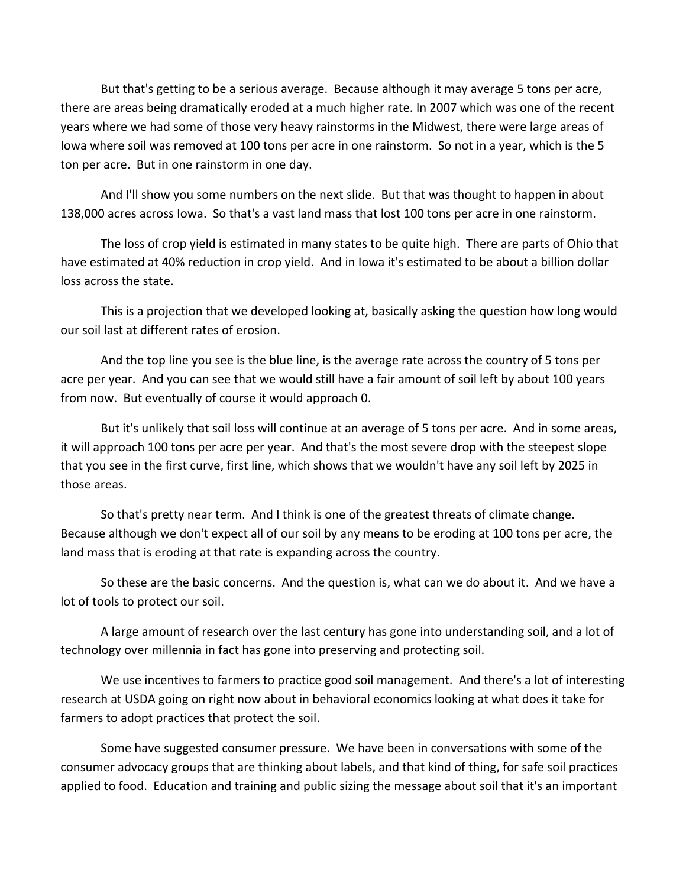But that's getting to be a serious average. Because although it may average 5 tons per acre, there are areas being dramatically eroded at a much higher rate. In 2007 which was one of the recent years where we had some of those very heavy rainstorms in the Midwest, there were large areas of Iowa where soil was removed at 100 tons per acre in one rainstorm. So not in a year, which is the 5 ton per acre. But in one rainstorm in one day.

And I'll show you some numbers on the next slide. But that was thought to happen in about 138,000 acres across Iowa. So that's a vast land mass that lost 100 tons per acre in one rainstorm.

The loss of crop yield is estimated in many states to be quite high. There are parts of Ohio that have estimated at 40% reduction in crop yield. And in Iowa it's estimated to be about a billion dollar loss across the state.

This is a projection that we developed looking at, basically asking the question how long would our soil last at different rates of erosion.

And the top line you see is the blue line, is the average rate across the country of 5 tons per acre per year. And you can see that we would still have a fair amount of soil left by about 100 years from now. But eventually of course it would approach 0.

But it's unlikely that soil loss will continue at an average of 5 tons per acre. And in some areas, it will approach 100 tons per acre per year. And that's the most severe drop with the steepest slope that you see in the first curve, first line, which shows that we wouldn't have any soil left by 2025 in those areas.

So that's pretty near term. And I think is one of the greatest threats of climate change. Because although we don't expect all of our soil by any means to be eroding at 100 tons per acre, the land mass that is eroding at that rate is expanding across the country.

So these are the basic concerns. And the question is, what can we do about it. And we have a lot of tools to protect our soil.

A large amount of research over the last century has gone into understanding soil, and a lot of technology over millennia in fact has gone into preserving and protecting soil.

We use incentives to farmers to practice good soil management. And there's a lot of interesting research at USDA going on right now about in behavioral economics looking at what does it take for farmers to adopt practices that protect the soil.

Some have suggested consumer pressure. We have been in conversations with some of the consumer advocacy groups that are thinking about labels, and that kind of thing, for safe soil practices applied to food. Education and training and public sizing the message about soil that it's an important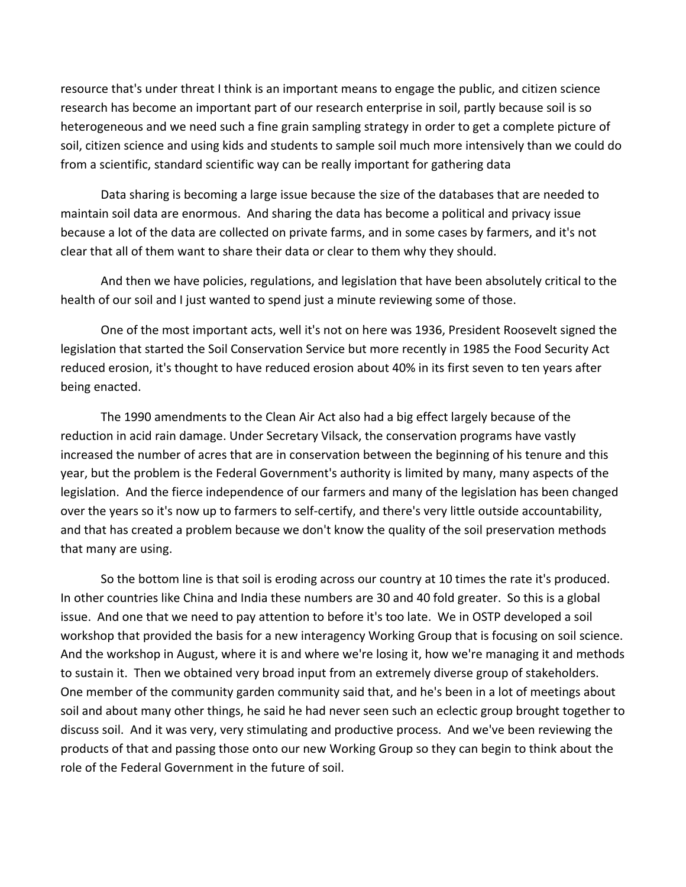resource that's under threat I think is an important means to engage the public, and citizen science research has become an important part of our research enterprise in soil, partly because soil is so heterogeneous and we need such a fine grain sampling strategy in order to get a complete picture of soil, citizen science and using kids and students to sample soil much more intensively than we could do from a scientific, standard scientific way can be really important for gathering data

Data sharing is becoming a large issue because the size of the databases that are needed to maintain soil data are enormous. And sharing the data has become a political and privacy issue because a lot of the data are collected on private farms, and in some cases by farmers, and it's not clear that all of them want to share their data or clear to them why they should.

And then we have policies, regulations, and legislation that have been absolutely critical to the health of our soil and I just wanted to spend just a minute reviewing some of those.

One of the most important acts, well it's not on here was 1936, President Roosevelt signed the legislation that started the Soil Conservation Service but more recently in 1985 the Food Security Act reduced erosion, it's thought to have reduced erosion about 40% in its first seven to ten years after being enacted.

The 1990 amendments to the Clean Air Act also had a big effect largely because of the reduction in acid rain damage. Under Secretary Vilsack, the conservation programs have vastly increased the number of acres that are in conservation between the beginning of his tenure and this year, but the problem is the Federal Government's authority is limited by many, many aspects of the legislation. And the fierce independence of our farmers and many of the legislation has been changed over the years so it's now up to farmers to self‐certify, and there's very little outside accountability, and that has created a problem because we don't know the quality of the soil preservation methods that many are using.

So the bottom line is that soil is eroding across our country at 10 times the rate it's produced. In other countries like China and India these numbers are 30 and 40 fold greater. So this is a global issue. And one that we need to pay attention to before it's too late. We in OSTP developed a soil workshop that provided the basis for a new interagency Working Group that is focusing on soil science. And the workshop in August, where it is and where we're losing it, how we're managing it and methods to sustain it. Then we obtained very broad input from an extremely diverse group of stakeholders. One member of the community garden community said that, and he's been in a lot of meetings about soil and about many other things, he said he had never seen such an eclectic group brought together to discuss soil. And it was very, very stimulating and productive process. And we've been reviewing the products of that and passing those onto our new Working Group so they can begin to think about the role of the Federal Government in the future of soil.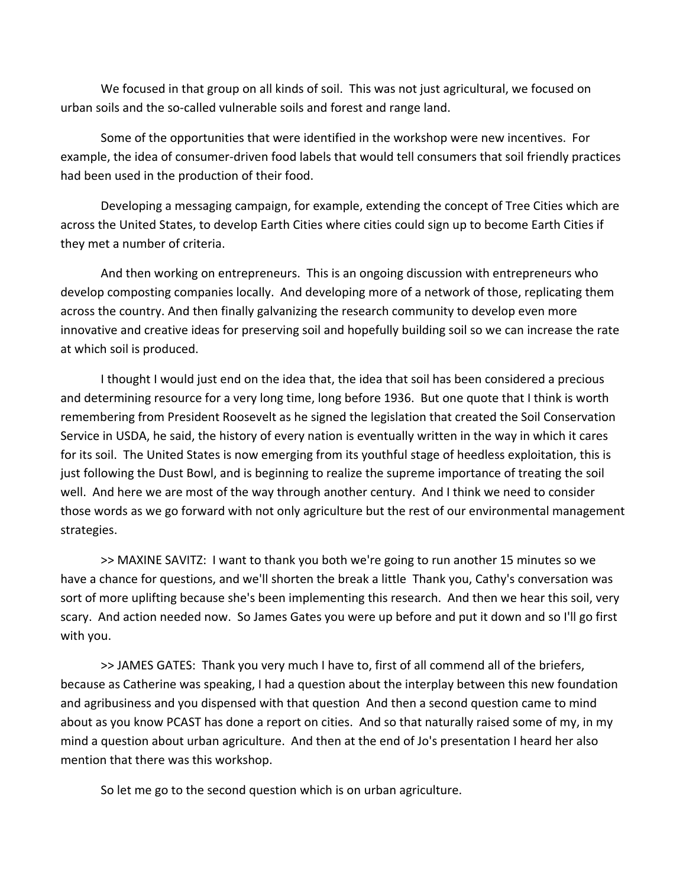We focused in that group on all kinds of soil. This was not just agricultural, we focused on urban soils and the so‐called vulnerable soils and forest and range land.

Some of the opportunities that were identified in the workshop were new incentives. For example, the idea of consumer‐driven food labels that would tell consumers that soil friendly practices had been used in the production of their food.

Developing a messaging campaign, for example, extending the concept of Tree Cities which are across the United States, to develop Earth Cities where cities could sign up to become Earth Cities if they met a number of criteria.

And then working on entrepreneurs. This is an ongoing discussion with entrepreneurs who develop composting companies locally. And developing more of a network of those, replicating them across the country. And then finally galvanizing the research community to develop even more innovative and creative ideas for preserving soil and hopefully building soil so we can increase the rate at which soil is produced.

I thought I would just end on the idea that, the idea that soil has been considered a precious and determining resource for a very long time, long before 1936. But one quote that I think is worth remembering from President Roosevelt as he signed the legislation that created the Soil Conservation Service in USDA, he said, the history of every nation is eventually written in the way in which it cares for its soil. The United States is now emerging from its youthful stage of heedless exploitation, this is just following the Dust Bowl, and is beginning to realize the supreme importance of treating the soil well. And here we are most of the way through another century. And I think we need to consider those words as we go forward with not only agriculture but the rest of our environmental management strategies.

>> MAXINE SAVITZ: I want to thank you both we're going to run another 15 minutes so we have a chance for questions, and we'll shorten the break a little Thank you, Cathy's conversation was sort of more uplifting because she's been implementing this research. And then we hear this soil, very scary. And action needed now. So James Gates you were up before and put it down and so I'll go first with you.

>> JAMES GATES: Thank you very much I have to, first of all commend all of the briefers, because as Catherine was speaking, I had a question about the interplay between this new foundation and agribusiness and you dispensed with that question And then a second question came to mind about as you know PCAST has done a report on cities. And so that naturally raised some of my, in my mind a question about urban agriculture. And then at the end of Jo's presentation I heard her also mention that there was this workshop.

So let me go to the second question which is on urban agriculture.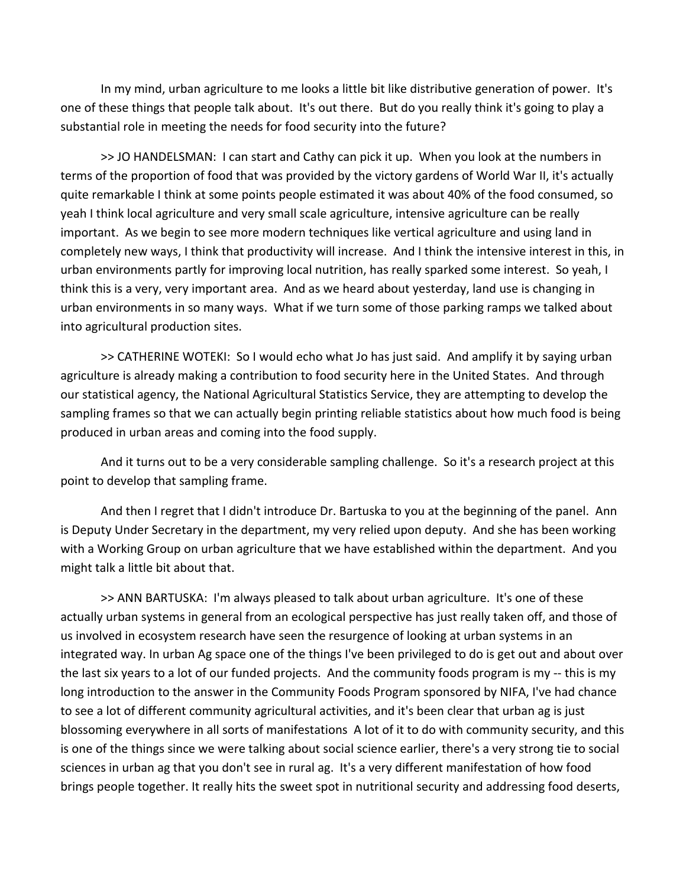In my mind, urban agriculture to me looks a little bit like distributive generation of power. It's one of these things that people talk about. It's out there. But do you really think it's going to play a substantial role in meeting the needs for food security into the future?

>> JO HANDELSMAN: I can start and Cathy can pick it up. When you look at the numbers in terms of the proportion of food that was provided by the victory gardens of World War II, it's actually quite remarkable I think at some points people estimated it was about 40% of the food consumed, so yeah I think local agriculture and very small scale agriculture, intensive agriculture can be really important. As we begin to see more modern techniques like vertical agriculture and using land in completely new ways, I think that productivity will increase. And I think the intensive interest in this, in urban environments partly for improving local nutrition, has really sparked some interest. So yeah, I think this is a very, very important area. And as we heard about yesterday, land use is changing in urban environments in so many ways. What if we turn some of those parking ramps we talked about into agricultural production sites.

>> CATHERINE WOTEKI: So I would echo what Jo has just said. And amplify it by saying urban agriculture is already making a contribution to food security here in the United States. And through our statistical agency, the National Agricultural Statistics Service, they are attempting to develop the sampling frames so that we can actually begin printing reliable statistics about how much food is being produced in urban areas and coming into the food supply.

And it turns out to be a very considerable sampling challenge. So it's a research project at this point to develop that sampling frame.

And then I regret that I didn't introduce Dr. Bartuska to you at the beginning of the panel. Ann is Deputy Under Secretary in the department, my very relied upon deputy. And she has been working with a Working Group on urban agriculture that we have established within the department. And you might talk a little bit about that.

>> ANN BARTUSKA: I'm always pleased to talk about urban agriculture. It's one of these actually urban systems in general from an ecological perspective has just really taken off, and those of us involved in ecosystem research have seen the resurgence of looking at urban systems in an integrated way. In urban Ag space one of the things I've been privileged to do is get out and about over the last six years to a lot of our funded projects. And the community foods program is my ‐‐ this is my long introduction to the answer in the Community Foods Program sponsored by NIFA, I've had chance to see a lot of different community agricultural activities, and it's been clear that urban ag is just blossoming everywhere in all sorts of manifestations A lot of it to do with community security, and this is one of the things since we were talking about social science earlier, there's a very strong tie to social sciences in urban ag that you don't see in rural ag. It's a very different manifestation of how food brings people together. It really hits the sweet spot in nutritional security and addressing food deserts,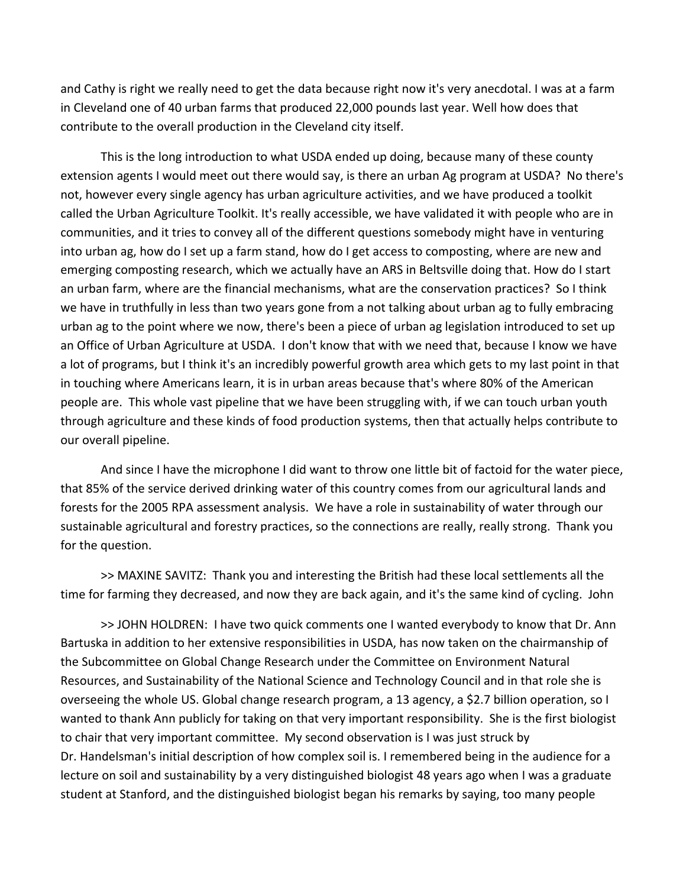and Cathy is right we really need to get the data because right now it's very anecdotal. I was at a farm in Cleveland one of 40 urban farms that produced 22,000 pounds last year. Well how does that contribute to the overall production in the Cleveland city itself.

This is the long introduction to what USDA ended up doing, because many of these county extension agents I would meet out there would say, is there an urban Ag program at USDA? No there's not, however every single agency has urban agriculture activities, and we have produced a toolkit called the Urban Agriculture Toolkit. It's really accessible, we have validated it with people who are in communities, and it tries to convey all of the different questions somebody might have in venturing into urban ag, how do I set up a farm stand, how do I get access to composting, where are new and emerging composting research, which we actually have an ARS in Beltsville doing that. How do I start an urban farm, where are the financial mechanisms, what are the conservation practices? So I think we have in truthfully in less than two years gone from a not talking about urban ag to fully embracing urban ag to the point where we now, there's been a piece of urban ag legislation introduced to set up an Office of Urban Agriculture at USDA. I don't know that with we need that, because I know we have a lot of programs, but I think it's an incredibly powerful growth area which gets to my last point in that in touching where Americans learn, it is in urban areas because that's where 80% of the American people are. This whole vast pipeline that we have been struggling with, if we can touch urban youth through agriculture and these kinds of food production systems, then that actually helps contribute to our overall pipeline.

And since I have the microphone I did want to throw one little bit of factoid for the water piece, that 85% of the service derived drinking water of this country comes from our agricultural lands and forests for the 2005 RPA assessment analysis. We have a role in sustainability of water through our sustainable agricultural and forestry practices, so the connections are really, really strong. Thank you for the question.

>> MAXINE SAVITZ: Thank you and interesting the British had these local settlements all the time for farming they decreased, and now they are back again, and it's the same kind of cycling. John

>> JOHN HOLDREN: I have two quick comments one I wanted everybody to know that Dr. Ann Bartuska in addition to her extensive responsibilities in USDA, has now taken on the chairmanship of the Subcommittee on Global Change Research under the Committee on Environment Natural Resources, and Sustainability of the National Science and Technology Council and in that role she is overseeing the whole US. Global change research program, a 13 agency, a \$2.7 billion operation, so I wanted to thank Ann publicly for taking on that very important responsibility. She is the first biologist to chair that very important committee. My second observation is I was just struck by Dr. Handelsman's initial description of how complex soil is. I remembered being in the audience for a lecture on soil and sustainability by a very distinguished biologist 48 years ago when I was a graduate student at Stanford, and the distinguished biologist began his remarks by saying, too many people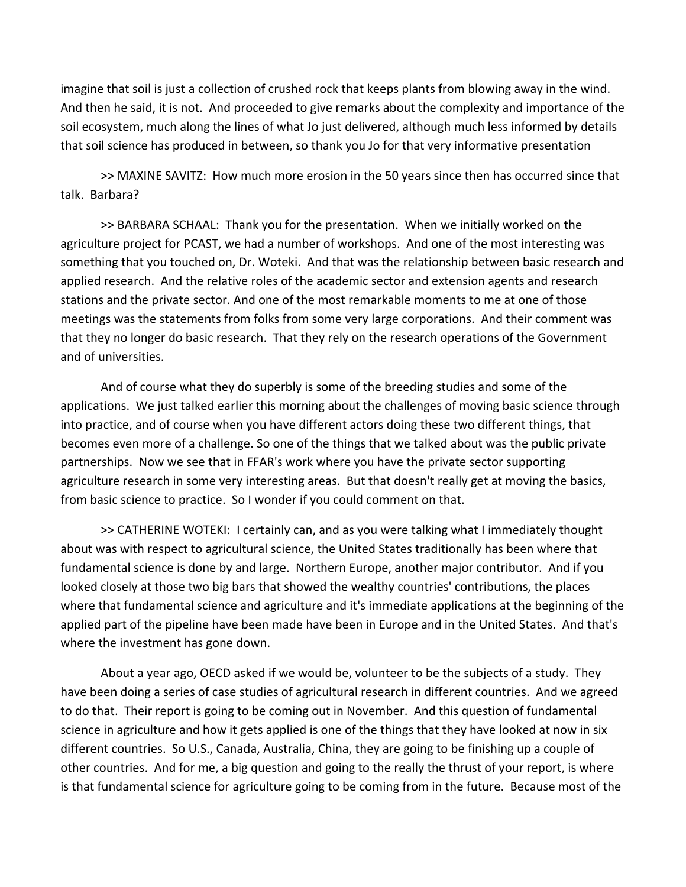imagine that soil is just a collection of crushed rock that keeps plants from blowing away in the wind. And then he said, it is not. And proceeded to give remarks about the complexity and importance of the soil ecosystem, much along the lines of what Jo just delivered, although much less informed by details that soil science has produced in between, so thank you Jo for that very informative presentation

>> MAXINE SAVITZ: How much more erosion in the 50 years since then has occurred since that talk. Barbara?

>> BARBARA SCHAAL: Thank you for the presentation. When we initially worked on the agriculture project for PCAST, we had a number of workshops. And one of the most interesting was something that you touched on, Dr. Woteki. And that was the relationship between basic research and applied research. And the relative roles of the academic sector and extension agents and research stations and the private sector. And one of the most remarkable moments to me at one of those meetings was the statements from folks from some very large corporations. And their comment was that they no longer do basic research. That they rely on the research operations of the Government and of universities.

And of course what they do superbly is some of the breeding studies and some of the applications. We just talked earlier this morning about the challenges of moving basic science through into practice, and of course when you have different actors doing these two different things, that becomes even more of a challenge. So one of the things that we talked about was the public private partnerships. Now we see that in FFAR's work where you have the private sector supporting agriculture research in some very interesting areas. But that doesn't really get at moving the basics, from basic science to practice. So I wonder if you could comment on that.

>> CATHERINE WOTEKI: I certainly can, and as you were talking what I immediately thought about was with respect to agricultural science, the United States traditionally has been where that fundamental science is done by and large. Northern Europe, another major contributor. And if you looked closely at those two big bars that showed the wealthy countries' contributions, the places where that fundamental science and agriculture and it's immediate applications at the beginning of the applied part of the pipeline have been made have been in Europe and in the United States. And that's where the investment has gone down.

About a year ago, OECD asked if we would be, volunteer to be the subjects of a study. They have been doing a series of case studies of agricultural research in different countries. And we agreed to do that. Their report is going to be coming out in November. And this question of fundamental science in agriculture and how it gets applied is one of the things that they have looked at now in six different countries. So U.S., Canada, Australia, China, they are going to be finishing up a couple of other countries. And for me, a big question and going to the really the thrust of your report, is where is that fundamental science for agriculture going to be coming from in the future. Because most of the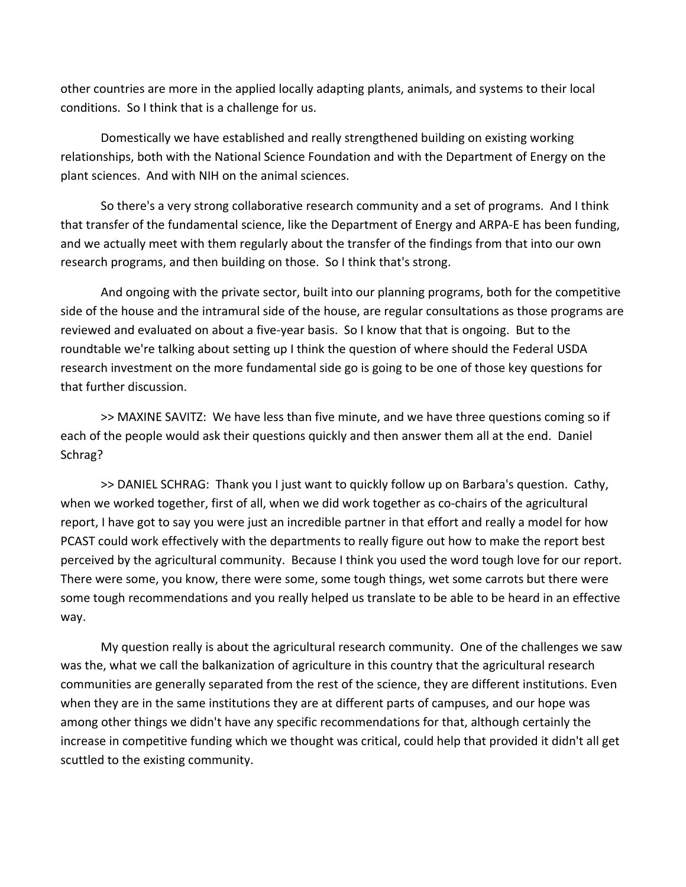other countries are more in the applied locally adapting plants, animals, and systems to their local conditions. So I think that is a challenge for us.

Domestically we have established and really strengthened building on existing working relationships, both with the National Science Foundation and with the Department of Energy on the plant sciences. And with NIH on the animal sciences.

So there's a very strong collaborative research community and a set of programs. And I think that transfer of the fundamental science, like the Department of Energy and ARPA‐E has been funding, and we actually meet with them regularly about the transfer of the findings from that into our own research programs, and then building on those. So I think that's strong.

And ongoing with the private sector, built into our planning programs, both for the competitive side of the house and the intramural side of the house, are regular consultations as those programs are reviewed and evaluated on about a five‐year basis. So I know that that is ongoing. But to the roundtable we're talking about setting up I think the question of where should the Federal USDA research investment on the more fundamental side go is going to be one of those key questions for that further discussion.

>> MAXINE SAVITZ: We have less than five minute, and we have three questions coming so if each of the people would ask their questions quickly and then answer them all at the end. Daniel Schrag?

>> DANIEL SCHRAG: Thank you I just want to quickly follow up on Barbara's question. Cathy, when we worked together, first of all, when we did work together as co-chairs of the agricultural report, I have got to say you were just an incredible partner in that effort and really a model for how PCAST could work effectively with the departments to really figure out how to make the report best perceived by the agricultural community. Because I think you used the word tough love for our report. There were some, you know, there were some, some tough things, wet some carrots but there were some tough recommendations and you really helped us translate to be able to be heard in an effective way.

My question really is about the agricultural research community. One of the challenges we saw was the, what we call the balkanization of agriculture in this country that the agricultural research communities are generally separated from the rest of the science, they are different institutions. Even when they are in the same institutions they are at different parts of campuses, and our hope was among other things we didn't have any specific recommendations for that, although certainly the increase in competitive funding which we thought was critical, could help that provided it didn't all get scuttled to the existing community.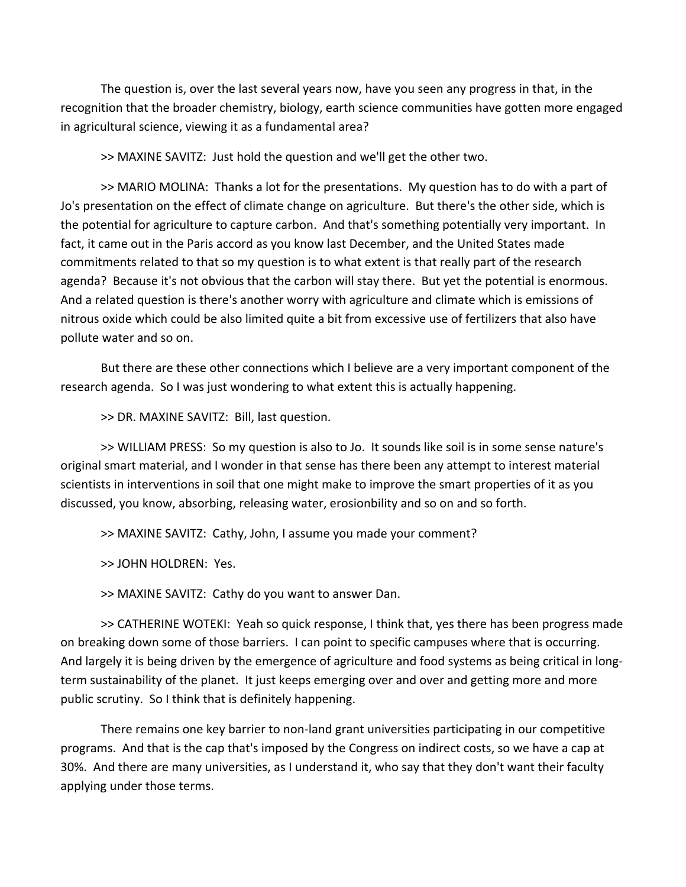The question is, over the last several years now, have you seen any progress in that, in the recognition that the broader chemistry, biology, earth science communities have gotten more engaged in agricultural science, viewing it as a fundamental area?

>> MAXINE SAVITZ: Just hold the question and we'll get the other two.

>> MARIO MOLINA: Thanks a lot for the presentations. My question has to do with a part of Jo's presentation on the effect of climate change on agriculture. But there's the other side, which is the potential for agriculture to capture carbon. And that's something potentially very important. In fact, it came out in the Paris accord as you know last December, and the United States made commitments related to that so my question is to what extent is that really part of the research agenda? Because it's not obvious that the carbon will stay there. But yet the potential is enormous. And a related question is there's another worry with agriculture and climate which is emissions of nitrous oxide which could be also limited quite a bit from excessive use of fertilizers that also have pollute water and so on.

But there are these other connections which I believe are a very important component of the research agenda. So I was just wondering to what extent this is actually happening.

>> DR. MAXINE SAVITZ: Bill, last question.

>> WILLIAM PRESS: So my question is also to Jo. It sounds like soil is in some sense nature's original smart material, and I wonder in that sense has there been any attempt to interest material scientists in interventions in soil that one might make to improve the smart properties of it as you discussed, you know, absorbing, releasing water, erosionbility and so on and so forth.

>> MAXINE SAVITZ: Cathy, John, I assume you made your comment?

>> JOHN HOLDREN: Yes.

>> MAXINE SAVITZ: Cathy do you want to answer Dan.

>> CATHERINE WOTEKI: Yeah so quick response, I think that, yes there has been progress made on breaking down some of those barriers. I can point to specific campuses where that is occurring. And largely it is being driven by the emergence of agriculture and food systems as being critical in long‐ term sustainability of the planet. It just keeps emerging over and over and getting more and more public scrutiny. So I think that is definitely happening.

There remains one key barrier to non‐land grant universities participating in our competitive programs. And that is the cap that's imposed by the Congress on indirect costs, so we have a cap at 30%. And there are many universities, as I understand it, who say that they don't want their faculty applying under those terms.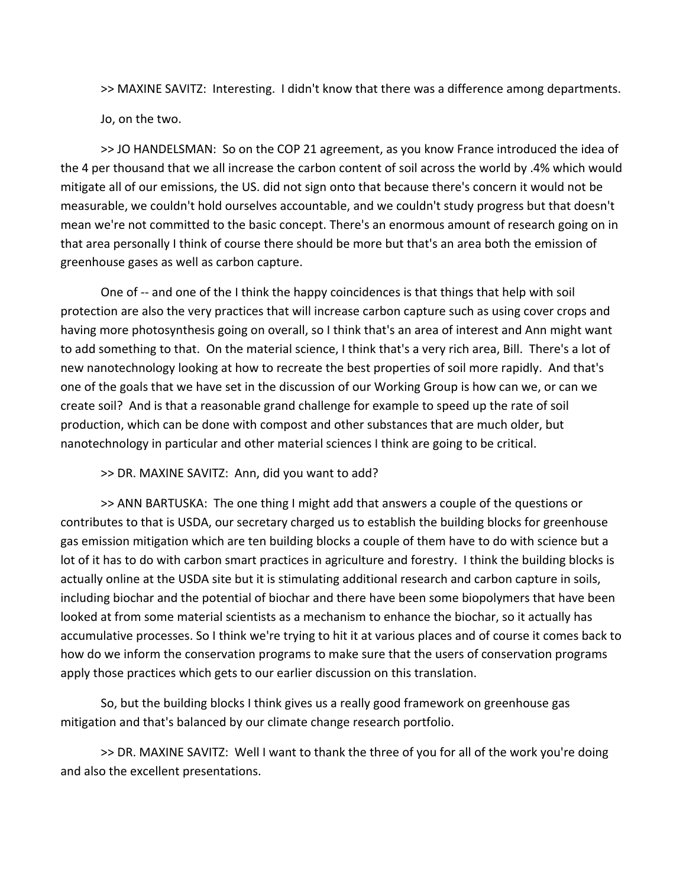>> MAXINE SAVITZ: Interesting. I didn't know that there was a difference among departments.

Jo, on the two.

>> JO HANDELSMAN: So on the COP 21 agreement, as you know France introduced the idea of the 4 per thousand that we all increase the carbon content of soil across the world by .4% which would mitigate all of our emissions, the US. did not sign onto that because there's concern it would not be measurable, we couldn't hold ourselves accountable, and we couldn't study progress but that doesn't mean we're not committed to the basic concept. There's an enormous amount of research going on in that area personally I think of course there should be more but that's an area both the emission of greenhouse gases as well as carbon capture.

One of -- and one of the I think the happy coincidences is that things that help with soil protection are also the very practices that will increase carbon capture such as using cover crops and having more photosynthesis going on overall, so I think that's an area of interest and Ann might want to add something to that. On the material science, I think that's a very rich area, Bill. There's a lot of new nanotechnology looking at how to recreate the best properties of soil more rapidly. And that's one of the goals that we have set in the discussion of our Working Group is how can we, or can we create soil? And is that a reasonable grand challenge for example to speed up the rate of soil production, which can be done with compost and other substances that are much older, but nanotechnology in particular and other material sciences I think are going to be critical.

>> DR. MAXINE SAVITZ: Ann, did you want to add?

>> ANN BARTUSKA: The one thing I might add that answers a couple of the questions or contributes to that is USDA, our secretary charged us to establish the building blocks for greenhouse gas emission mitigation which are ten building blocks a couple of them have to do with science but a lot of it has to do with carbon smart practices in agriculture and forestry. I think the building blocks is actually online at the USDA site but it is stimulating additional research and carbon capture in soils, including biochar and the potential of biochar and there have been some biopolymers that have been looked at from some material scientists as a mechanism to enhance the biochar, so it actually has accumulative processes. So I think we're trying to hit it at various places and of course it comes back to how do we inform the conservation programs to make sure that the users of conservation programs apply those practices which gets to our earlier discussion on this translation.

So, but the building blocks I think gives us a really good framework on greenhouse gas mitigation and that's balanced by our climate change research portfolio.

>> DR. MAXINE SAVITZ: Well I want to thank the three of you for all of the work you're doing and also the excellent presentations.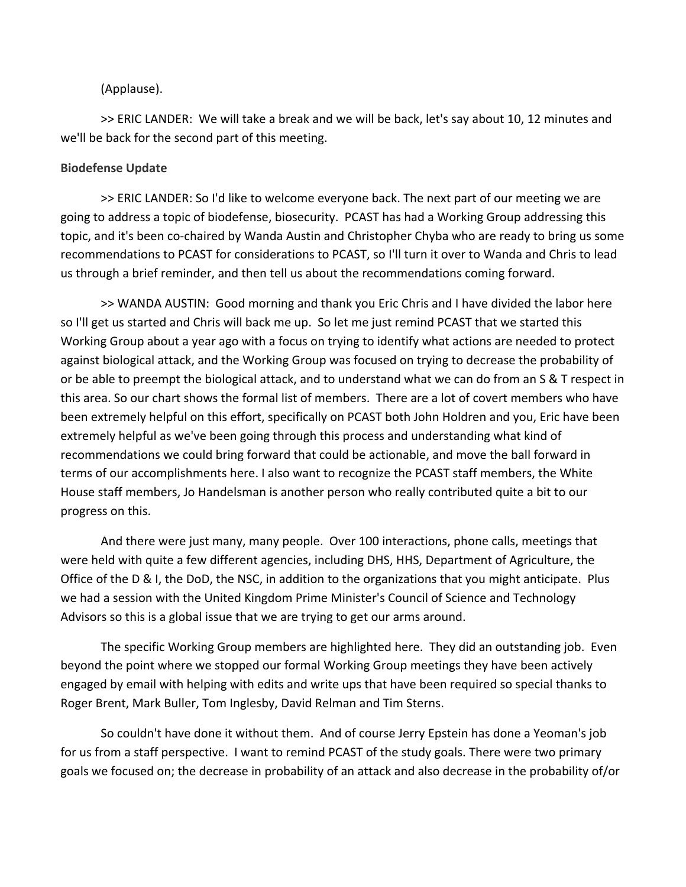### (Applause).

>> ERIC LANDER: We will take a break and we will be back, let's say about 10, 12 minutes and we'll be back for the second part of this meeting.

#### **Biodefense Update**

>> ERIC LANDER: So I'd like to welcome everyone back. The next part of our meeting we are going to address a topic of biodefense, biosecurity. PCAST has had a Working Group addressing this topic, and it's been co‐chaired by Wanda Austin and Christopher Chyba who are ready to bring us some recommendations to PCAST for considerations to PCAST, so I'll turn it over to Wanda and Chris to lead us through a brief reminder, and then tell us about the recommendations coming forward.

>> WANDA AUSTIN: Good morning and thank you Eric Chris and I have divided the labor here so I'll get us started and Chris will back me up. So let me just remind PCAST that we started this Working Group about a year ago with a focus on trying to identify what actions are needed to protect against biological attack, and the Working Group was focused on trying to decrease the probability of or be able to preempt the biological attack, and to understand what we can do from an S & T respect in this area. So our chart shows the formal list of members. There are a lot of covert members who have been extremely helpful on this effort, specifically on PCAST both John Holdren and you, Eric have been extremely helpful as we've been going through this process and understanding what kind of recommendations we could bring forward that could be actionable, and move the ball forward in terms of our accomplishments here. I also want to recognize the PCAST staff members, the White House staff members, Jo Handelsman is another person who really contributed quite a bit to our progress on this.

And there were just many, many people. Over 100 interactions, phone calls, meetings that were held with quite a few different agencies, including DHS, HHS, Department of Agriculture, the Office of the D & I, the DoD, the NSC, in addition to the organizations that you might anticipate. Plus we had a session with the United Kingdom Prime Minister's Council of Science and Technology Advisors so this is a global issue that we are trying to get our arms around.

The specific Working Group members are highlighted here. They did an outstanding job. Even beyond the point where we stopped our formal Working Group meetings they have been actively engaged by email with helping with edits and write ups that have been required so special thanks to Roger Brent, Mark Buller, Tom Inglesby, David Relman and Tim Sterns.

So couldn't have done it without them. And of course Jerry Epstein has done a Yeoman's job for us from a staff perspective. I want to remind PCAST of the study goals. There were two primary goals we focused on; the decrease in probability of an attack and also decrease in the probability of/or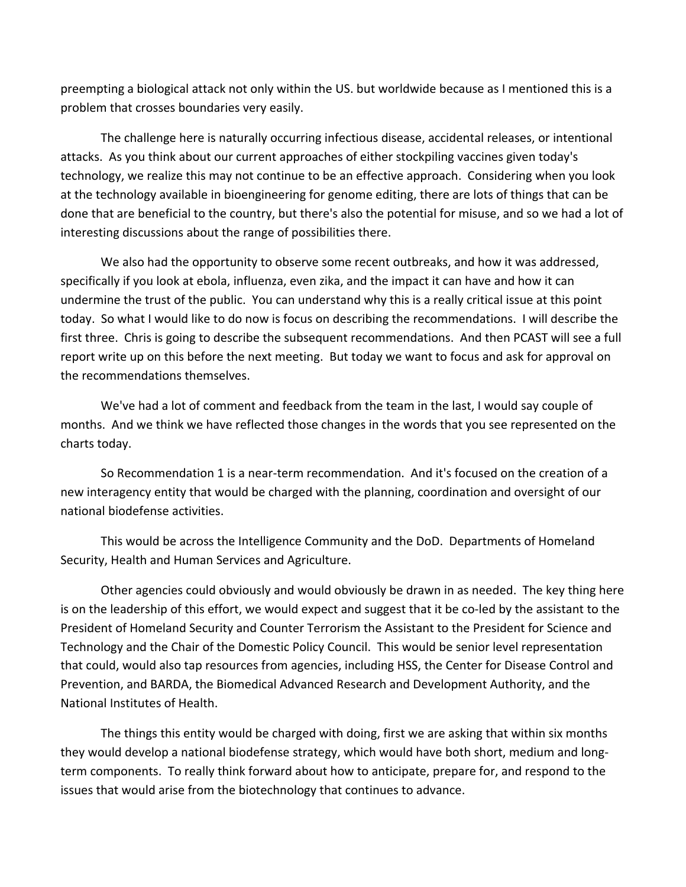preempting a biological attack not only within the US. but worldwide because as I mentioned this is a problem that crosses boundaries very easily.

The challenge here is naturally occurring infectious disease, accidental releases, or intentional attacks. As you think about our current approaches of either stockpiling vaccines given today's technology, we realize this may not continue to be an effective approach. Considering when you look at the technology available in bioengineering for genome editing, there are lots of things that can be done that are beneficial to the country, but there's also the potential for misuse, and so we had a lot of interesting discussions about the range of possibilities there.

We also had the opportunity to observe some recent outbreaks, and how it was addressed, specifically if you look at ebola, influenza, even zika, and the impact it can have and how it can undermine the trust of the public. You can understand why this is a really critical issue at this point today. So what I would like to do now is focus on describing the recommendations. I will describe the first three. Chris is going to describe the subsequent recommendations. And then PCAST will see a full report write up on this before the next meeting. But today we want to focus and ask for approval on the recommendations themselves.

We've had a lot of comment and feedback from the team in the last, I would say couple of months. And we think we have reflected those changes in the words that you see represented on the charts today.

So Recommendation 1 is a near‐term recommendation. And it's focused on the creation of a new interagency entity that would be charged with the planning, coordination and oversight of our national biodefense activities.

This would be across the Intelligence Community and the DoD. Departments of Homeland Security, Health and Human Services and Agriculture.

Other agencies could obviously and would obviously be drawn in as needed. The key thing here is on the leadership of this effort, we would expect and suggest that it be co‐led by the assistant to the President of Homeland Security and Counter Terrorism the Assistant to the President for Science and Technology and the Chair of the Domestic Policy Council. This would be senior level representation that could, would also tap resources from agencies, including HSS, the Center for Disease Control and Prevention, and BARDA, the Biomedical Advanced Research and Development Authority, and the National Institutes of Health.

The things this entity would be charged with doing, first we are asking that within six months they would develop a national biodefense strategy, which would have both short, medium and long‐ term components. To really think forward about how to anticipate, prepare for, and respond to the issues that would arise from the biotechnology that continues to advance.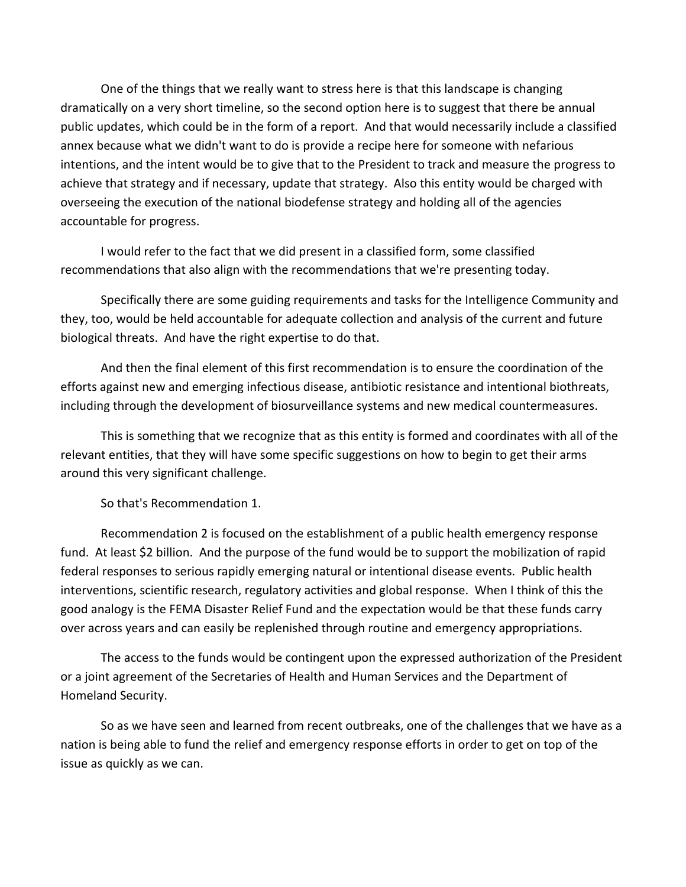One of the things that we really want to stress here is that this landscape is changing dramatically on a very short timeline, so the second option here is to suggest that there be annual public updates, which could be in the form of a report. And that would necessarily include a classified annex because what we didn't want to do is provide a recipe here for someone with nefarious intentions, and the intent would be to give that to the President to track and measure the progress to achieve that strategy and if necessary, update that strategy. Also this entity would be charged with overseeing the execution of the national biodefense strategy and holding all of the agencies accountable for progress.

I would refer to the fact that we did present in a classified form, some classified recommendations that also align with the recommendations that we're presenting today.

Specifically there are some guiding requirements and tasks for the Intelligence Community and they, too, would be held accountable for adequate collection and analysis of the current and future biological threats. And have the right expertise to do that.

And then the final element of this first recommendation is to ensure the coordination of the efforts against new and emerging infectious disease, antibiotic resistance and intentional biothreats, including through the development of biosurveillance systems and new medical countermeasures.

This is something that we recognize that as this entity is formed and coordinates with all of the relevant entities, that they will have some specific suggestions on how to begin to get their arms around this very significant challenge.

So that's Recommendation 1.

Recommendation 2 is focused on the establishment of a public health emergency response fund. At least \$2 billion. And the purpose of the fund would be to support the mobilization of rapid federal responses to serious rapidly emerging natural or intentional disease events. Public health interventions, scientific research, regulatory activities and global response. When I think of this the good analogy is the FEMA Disaster Relief Fund and the expectation would be that these funds carry over across years and can easily be replenished through routine and emergency appropriations.

The access to the funds would be contingent upon the expressed authorization of the President or a joint agreement of the Secretaries of Health and Human Services and the Department of Homeland Security.

So as we have seen and learned from recent outbreaks, one of the challenges that we have as a nation is being able to fund the relief and emergency response efforts in order to get on top of the issue as quickly as we can.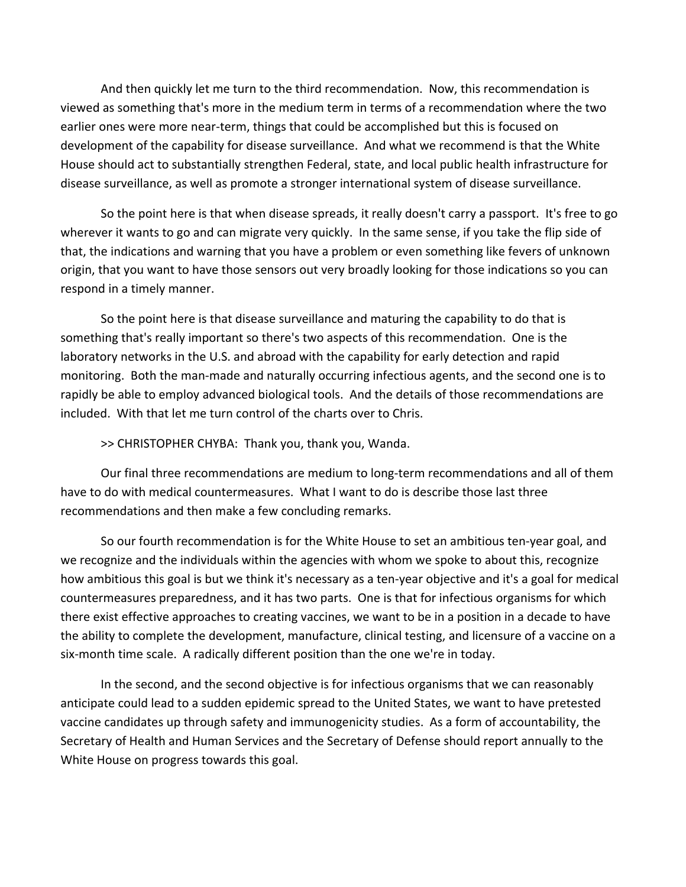And then quickly let me turn to the third recommendation. Now, this recommendation is viewed as something that's more in the medium term in terms of a recommendation where the two earlier ones were more near-term, things that could be accomplished but this is focused on development of the capability for disease surveillance. And what we recommend is that the White House should act to substantially strengthen Federal, state, and local public health infrastructure for disease surveillance, as well as promote a stronger international system of disease surveillance.

So the point here is that when disease spreads, it really doesn't carry a passport. It's free to go wherever it wants to go and can migrate very quickly. In the same sense, if you take the flip side of that, the indications and warning that you have a problem or even something like fevers of unknown origin, that you want to have those sensors out very broadly looking for those indications so you can respond in a timely manner.

So the point here is that disease surveillance and maturing the capability to do that is something that's really important so there's two aspects of this recommendation. One is the laboratory networks in the U.S. and abroad with the capability for early detection and rapid monitoring. Both the man‐made and naturally occurring infectious agents, and the second one is to rapidly be able to employ advanced biological tools. And the details of those recommendations are included. With that let me turn control of the charts over to Chris.

>> CHRISTOPHER CHYBA: Thank you, thank you, Wanda.

Our final three recommendations are medium to long‐term recommendations and all of them have to do with medical countermeasures. What I want to do is describe those last three recommendations and then make a few concluding remarks.

So our fourth recommendation is for the White House to set an ambitious ten‐year goal, and we recognize and the individuals within the agencies with whom we spoke to about this, recognize how ambitious this goal is but we think it's necessary as a ten‐year objective and it's a goal for medical countermeasures preparedness, and it has two parts. One is that for infectious organisms for which there exist effective approaches to creating vaccines, we want to be in a position in a decade to have the ability to complete the development, manufacture, clinical testing, and licensure of a vaccine on a six‐month time scale. A radically different position than the one we're in today.

In the second, and the second objective is for infectious organisms that we can reasonably anticipate could lead to a sudden epidemic spread to the United States, we want to have pretested vaccine candidates up through safety and immunogenicity studies. As a form of accountability, the Secretary of Health and Human Services and the Secretary of Defense should report annually to the White House on progress towards this goal.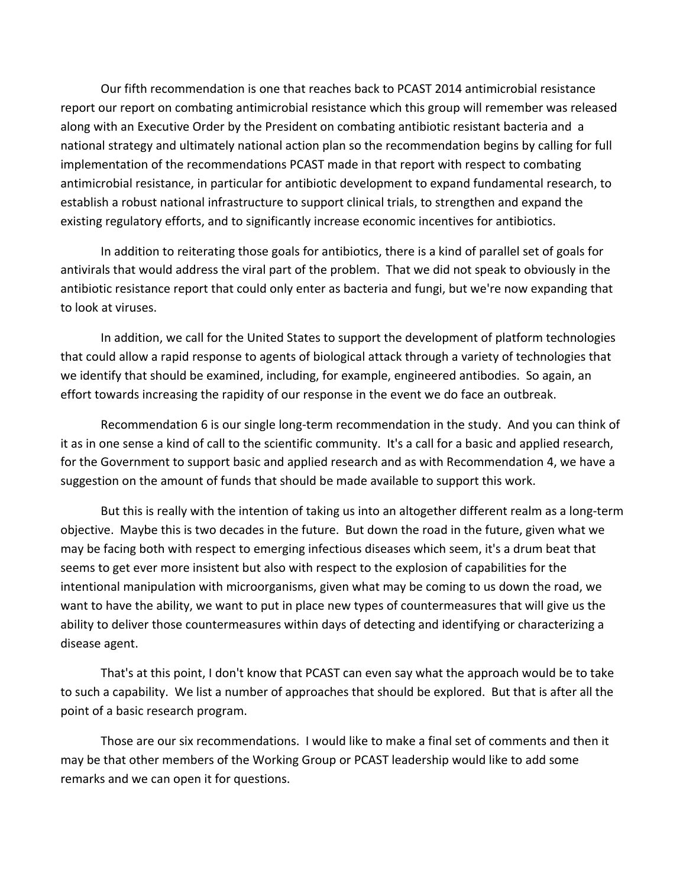Our fifth recommendation is one that reaches back to PCAST 2014 antimicrobial resistance report our report on combating antimicrobial resistance which this group will remember was released along with an Executive Order by the President on combating antibiotic resistant bacteria and a national strategy and ultimately national action plan so the recommendation begins by calling for full implementation of the recommendations PCAST made in that report with respect to combating antimicrobial resistance, in particular for antibiotic development to expand fundamental research, to establish a robust national infrastructure to support clinical trials, to strengthen and expand the existing regulatory efforts, and to significantly increase economic incentives for antibiotics.

In addition to reiterating those goals for antibiotics, there is a kind of parallel set of goals for antivirals that would address the viral part of the problem. That we did not speak to obviously in the antibiotic resistance report that could only enter as bacteria and fungi, but we're now expanding that to look at viruses.

In addition, we call for the United States to support the development of platform technologies that could allow a rapid response to agents of biological attack through a variety of technologies that we identify that should be examined, including, for example, engineered antibodies. So again, an effort towards increasing the rapidity of our response in the event we do face an outbreak.

Recommendation 6 is our single long-term recommendation in the study. And you can think of it as in one sense a kind of call to the scientific community. It's a call for a basic and applied research, for the Government to support basic and applied research and as with Recommendation 4, we have a suggestion on the amount of funds that should be made available to support this work.

But this is really with the intention of taking us into an altogether different realm as a long‐term objective. Maybe this is two decades in the future. But down the road in the future, given what we may be facing both with respect to emerging infectious diseases which seem, it's a drum beat that seems to get ever more insistent but also with respect to the explosion of capabilities for the intentional manipulation with microorganisms, given what may be coming to us down the road, we want to have the ability, we want to put in place new types of countermeasures that will give us the ability to deliver those countermeasures within days of detecting and identifying or characterizing a disease agent.

That's at this point, I don't know that PCAST can even say what the approach would be to take to such a capability. We list a number of approaches that should be explored. But that is after all the point of a basic research program.

Those are our six recommendations. I would like to make a final set of comments and then it may be that other members of the Working Group or PCAST leadership would like to add some remarks and we can open it for questions.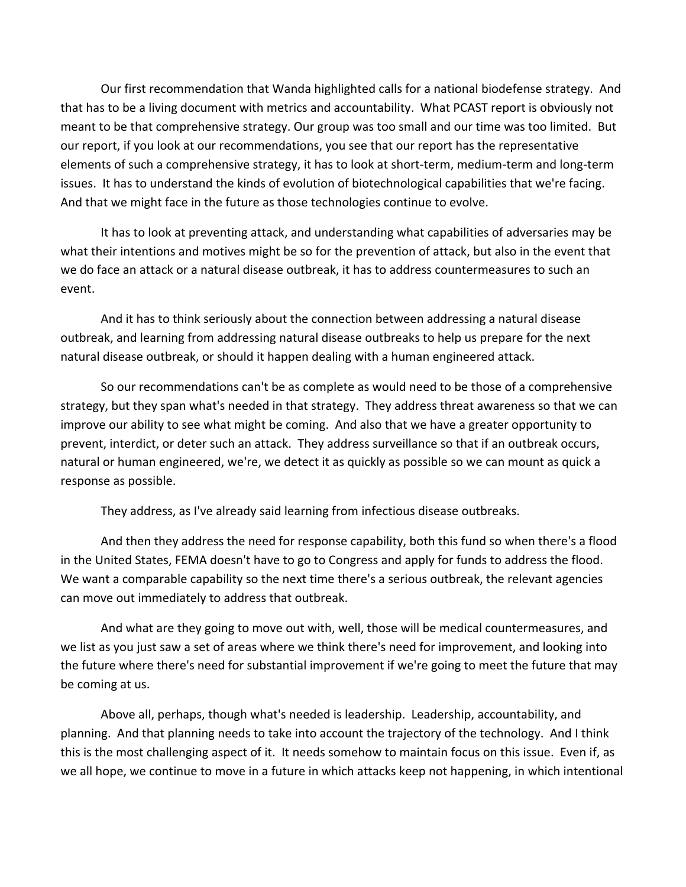Our first recommendation that Wanda highlighted calls for a national biodefense strategy. And that has to be a living document with metrics and accountability. What PCAST report is obviously not meant to be that comprehensive strategy. Our group was too small and our time was too limited. But our report, if you look at our recommendations, you see that our report has the representative elements of such a comprehensive strategy, it has to look at short-term, medium-term and long-term issues. It has to understand the kinds of evolution of biotechnological capabilities that we're facing. And that we might face in the future as those technologies continue to evolve.

It has to look at preventing attack, and understanding what capabilities of adversaries may be what their intentions and motives might be so for the prevention of attack, but also in the event that we do face an attack or a natural disease outbreak, it has to address countermeasures to such an event.

And it has to think seriously about the connection between addressing a natural disease outbreak, and learning from addressing natural disease outbreaks to help us prepare for the next natural disease outbreak, or should it happen dealing with a human engineered attack.

So our recommendations can't be as complete as would need to be those of a comprehensive strategy, but they span what's needed in that strategy. They address threat awareness so that we can improve our ability to see what might be coming. And also that we have a greater opportunity to prevent, interdict, or deter such an attack. They address surveillance so that if an outbreak occurs, natural or human engineered, we're, we detect it as quickly as possible so we can mount as quick a response as possible.

They address, as I've already said learning from infectious disease outbreaks.

And then they address the need for response capability, both this fund so when there's a flood in the United States, FEMA doesn't have to go to Congress and apply for funds to address the flood. We want a comparable capability so the next time there's a serious outbreak, the relevant agencies can move out immediately to address that outbreak.

And what are they going to move out with, well, those will be medical countermeasures, and we list as you just saw a set of areas where we think there's need for improvement, and looking into the future where there's need for substantial improvement if we're going to meet the future that may be coming at us.

Above all, perhaps, though what's needed is leadership. Leadership, accountability, and planning. And that planning needs to take into account the trajectory of the technology. And I think this is the most challenging aspect of it. It needs somehow to maintain focus on this issue. Even if, as we all hope, we continue to move in a future in which attacks keep not happening, in which intentional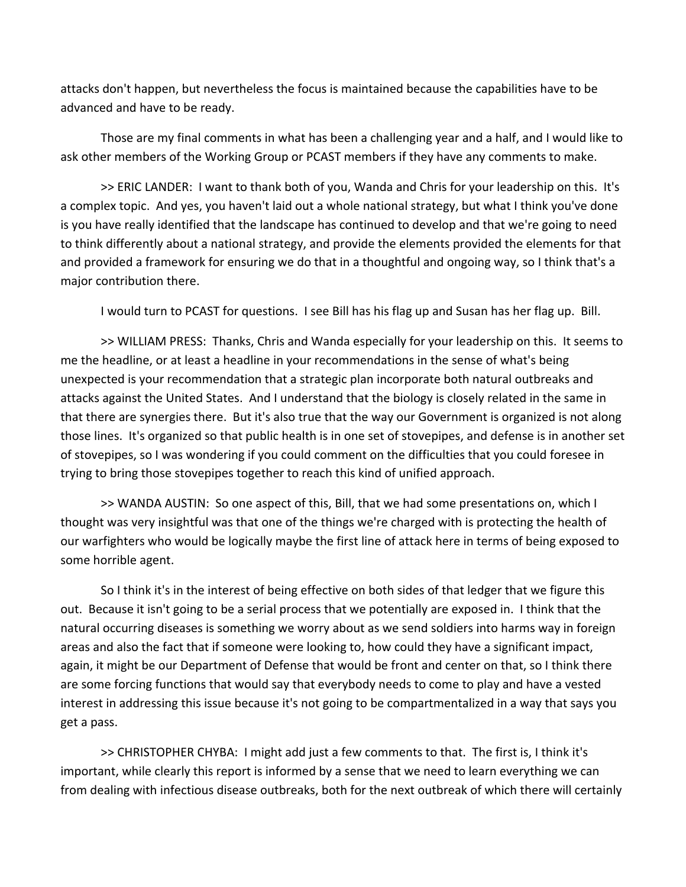attacks don't happen, but nevertheless the focus is maintained because the capabilities have to be advanced and have to be ready.

Those are my final comments in what has been a challenging year and a half, and I would like to ask other members of the Working Group or PCAST members if they have any comments to make.

>> ERIC LANDER: I want to thank both of you, Wanda and Chris for your leadership on this. It's a complex topic. And yes, you haven't laid out a whole national strategy, but what I think you've done is you have really identified that the landscape has continued to develop and that we're going to need to think differently about a national strategy, and provide the elements provided the elements for that and provided a framework for ensuring we do that in a thoughtful and ongoing way, so I think that's a major contribution there.

I would turn to PCAST for questions. I see Bill has his flag up and Susan has her flag up. Bill.

>> WILLIAM PRESS: Thanks, Chris and Wanda especially for your leadership on this. It seems to me the headline, or at least a headline in your recommendations in the sense of what's being unexpected is your recommendation that a strategic plan incorporate both natural outbreaks and attacks against the United States. And I understand that the biology is closely related in the same in that there are synergies there. But it's also true that the way our Government is organized is not along those lines. It's organized so that public health is in one set of stovepipes, and defense is in another set of stovepipes, so I was wondering if you could comment on the difficulties that you could foresee in trying to bring those stovepipes together to reach this kind of unified approach.

>> WANDA AUSTIN: So one aspect of this, Bill, that we had some presentations on, which I thought was very insightful was that one of the things we're charged with is protecting the health of our warfighters who would be logically maybe the first line of attack here in terms of being exposed to some horrible agent.

So I think it's in the interest of being effective on both sides of that ledger that we figure this out. Because it isn't going to be a serial process that we potentially are exposed in. I think that the natural occurring diseases is something we worry about as we send soldiers into harms way in foreign areas and also the fact that if someone were looking to, how could they have a significant impact, again, it might be our Department of Defense that would be front and center on that, so I think there are some forcing functions that would say that everybody needs to come to play and have a vested interest in addressing this issue because it's not going to be compartmentalized in a way that says you get a pass.

>> CHRISTOPHER CHYBA: I might add just a few comments to that. The first is, I think it's important, while clearly this report is informed by a sense that we need to learn everything we can from dealing with infectious disease outbreaks, both for the next outbreak of which there will certainly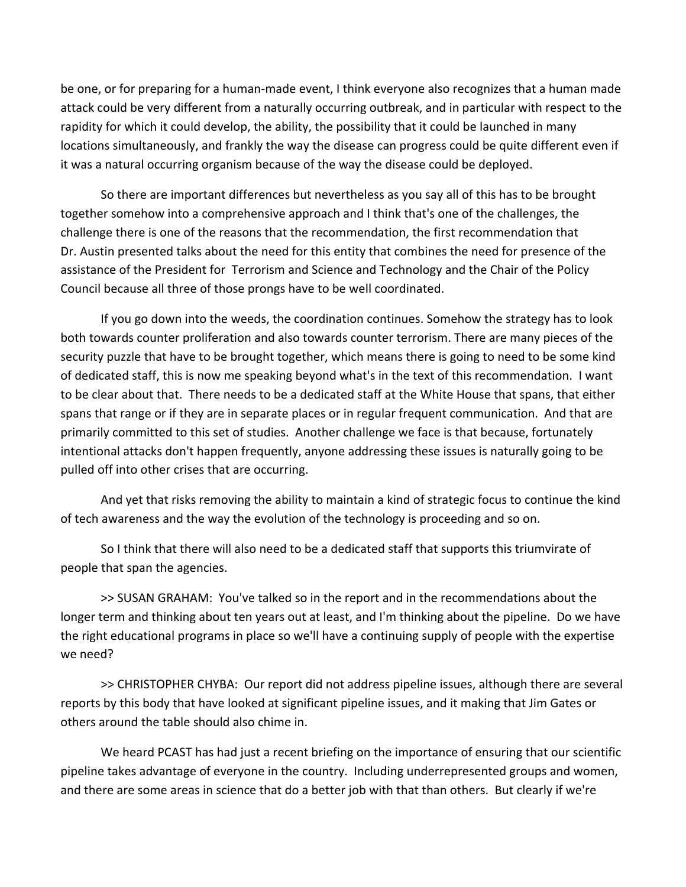be one, or for preparing for a human-made event, I think everyone also recognizes that a human made attack could be very different from a naturally occurring outbreak, and in particular with respect to the rapidity for which it could develop, the ability, the possibility that it could be launched in many locations simultaneously, and frankly the way the disease can progress could be quite different even if it was a natural occurring organism because of the way the disease could be deployed.

So there are important differences but nevertheless as you say all of this has to be brought together somehow into a comprehensive approach and I think that's one of the challenges, the challenge there is one of the reasons that the recommendation, the first recommendation that Dr. Austin presented talks about the need for this entity that combines the need for presence of the assistance of the President for Terrorism and Science and Technology and the Chair of the Policy Council because all three of those prongs have to be well coordinated.

If you go down into the weeds, the coordination continues. Somehow the strategy has to look both towards counter proliferation and also towards counter terrorism. There are many pieces of the security puzzle that have to be brought together, which means there is going to need to be some kind of dedicated staff, this is now me speaking beyond what's in the text of this recommendation. I want to be clear about that. There needs to be a dedicated staff at the White House that spans, that either spans that range or if they are in separate places or in regular frequent communication. And that are primarily committed to this set of studies. Another challenge we face is that because, fortunately intentional attacks don't happen frequently, anyone addressing these issues is naturally going to be pulled off into other crises that are occurring.

And yet that risks removing the ability to maintain a kind of strategic focus to continue the kind of tech awareness and the way the evolution of the technology is proceeding and so on.

So I think that there will also need to be a dedicated staff that supports this triumvirate of people that span the agencies.

>> SUSAN GRAHAM: You've talked so in the report and in the recommendations about the longer term and thinking about ten years out at least, and I'm thinking about the pipeline. Do we have the right educational programs in place so we'll have a continuing supply of people with the expertise we need?

>> CHRISTOPHER CHYBA: Our report did not address pipeline issues, although there are several reports by this body that have looked at significant pipeline issues, and it making that Jim Gates or others around the table should also chime in.

We heard PCAST has had just a recent briefing on the importance of ensuring that our scientific pipeline takes advantage of everyone in the country. Including underrepresented groups and women, and there are some areas in science that do a better job with that than others. But clearly if we're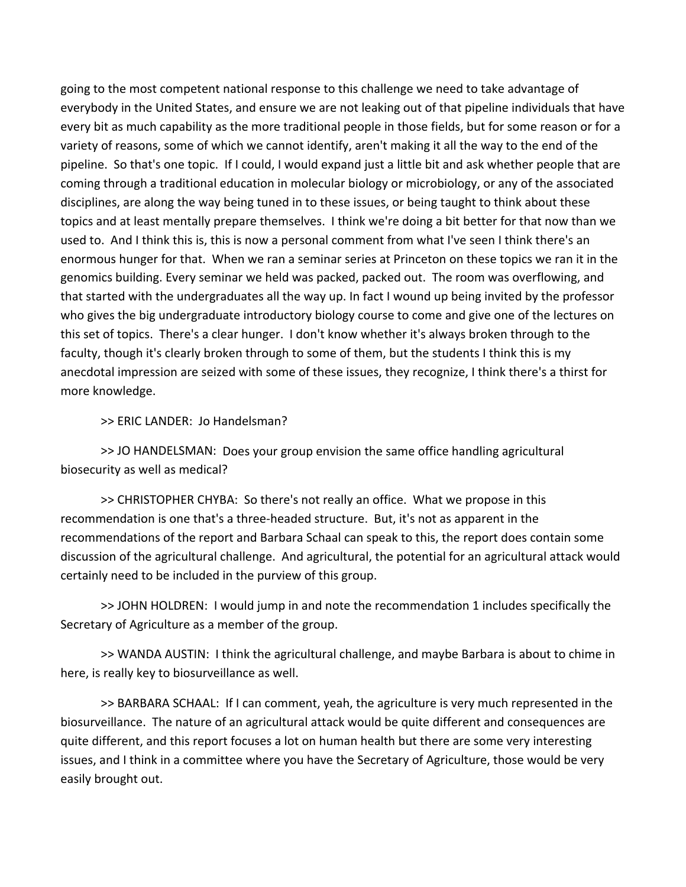going to the most competent national response to this challenge we need to take advantage of everybody in the United States, and ensure we are not leaking out of that pipeline individuals that have every bit as much capability as the more traditional people in those fields, but for some reason or for a variety of reasons, some of which we cannot identify, aren't making it all the way to the end of the pipeline. So that's one topic. If I could, I would expand just a little bit and ask whether people that are coming through a traditional education in molecular biology or microbiology, or any of the associated disciplines, are along the way being tuned in to these issues, or being taught to think about these topics and at least mentally prepare themselves. I think we're doing a bit better for that now than we used to. And I think this is, this is now a personal comment from what I've seen I think there's an enormous hunger for that. When we ran a seminar series at Princeton on these topics we ran it in the genomics building. Every seminar we held was packed, packed out. The room was overflowing, and that started with the undergraduates all the way up. In fact I wound up being invited by the professor who gives the big undergraduate introductory biology course to come and give one of the lectures on this set of topics. There's a clear hunger. I don't know whether it's always broken through to the faculty, though it's clearly broken through to some of them, but the students I think this is my anecdotal impression are seized with some of these issues, they recognize, I think there's a thirst for more knowledge.

>> ERIC LANDER: Jo Handelsman?

>> JO HANDELSMAN: Does your group envision the same office handling agricultural biosecurity as well as medical?

>> CHRISTOPHER CHYBA: So there's not really an office. What we propose in this recommendation is one that's a three‐headed structure. But, it's not as apparent in the recommendations of the report and Barbara Schaal can speak to this, the report does contain some discussion of the agricultural challenge. And agricultural, the potential for an agricultural attack would certainly need to be included in the purview of this group.

>> JOHN HOLDREN: I would jump in and note the recommendation 1 includes specifically the Secretary of Agriculture as a member of the group.

>> WANDA AUSTIN: I think the agricultural challenge, and maybe Barbara is about to chime in here, is really key to biosurveillance as well.

>> BARBARA SCHAAL: If I can comment, yeah, the agriculture is very much represented in the biosurveillance. The nature of an agricultural attack would be quite different and consequences are quite different, and this report focuses a lot on human health but there are some very interesting issues, and I think in a committee where you have the Secretary of Agriculture, those would be very easily brought out.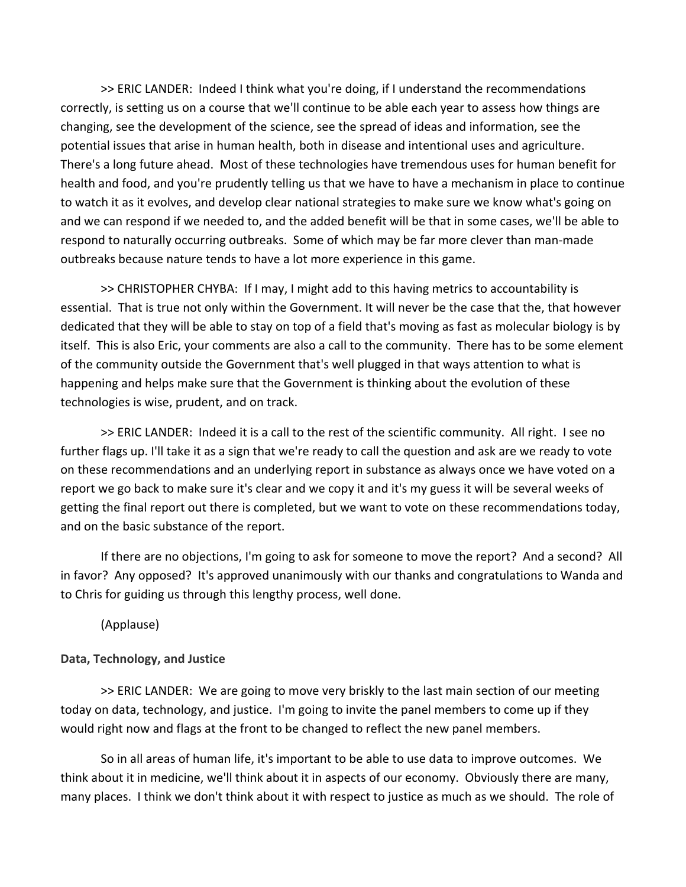>> ERIC LANDER: Indeed I think what you're doing, if I understand the recommendations correctly, is setting us on a course that we'll continue to be able each year to assess how things are changing, see the development of the science, see the spread of ideas and information, see the potential issues that arise in human health, both in disease and intentional uses and agriculture. There's a long future ahead. Most of these technologies have tremendous uses for human benefit for health and food, and you're prudently telling us that we have to have a mechanism in place to continue to watch it as it evolves, and develop clear national strategies to make sure we know what's going on and we can respond if we needed to, and the added benefit will be that in some cases, we'll be able to respond to naturally occurring outbreaks. Some of which may be far more clever than man-made outbreaks because nature tends to have a lot more experience in this game.

>> CHRISTOPHER CHYBA: If I may, I might add to this having metrics to accountability is essential. That is true not only within the Government. It will never be the case that the, that however dedicated that they will be able to stay on top of a field that's moving as fast as molecular biology is by itself. This is also Eric, your comments are also a call to the community. There has to be some element of the community outside the Government that's well plugged in that ways attention to what is happening and helps make sure that the Government is thinking about the evolution of these technologies is wise, prudent, and on track.

>> ERIC LANDER: Indeed it is a call to the rest of the scientific community. All right. I see no further flags up. I'll take it as a sign that we're ready to call the question and ask are we ready to vote on these recommendations and an underlying report in substance as always once we have voted on a report we go back to make sure it's clear and we copy it and it's my guess it will be several weeks of getting the final report out there is completed, but we want to vote on these recommendations today, and on the basic substance of the report.

If there are no objections, I'm going to ask for someone to move the report? And a second? All in favor? Any opposed? It's approved unanimously with our thanks and congratulations to Wanda and to Chris for guiding us through this lengthy process, well done.

(Applause)

### **Data, Technology, and Justice**

>> ERIC LANDER: We are going to move very briskly to the last main section of our meeting today on data, technology, and justice. I'm going to invite the panel members to come up if they would right now and flags at the front to be changed to reflect the new panel members.

So in all areas of human life, it's important to be able to use data to improve outcomes. We think about it in medicine, we'll think about it in aspects of our economy. Obviously there are many, many places. I think we don't think about it with respect to justice as much as we should. The role of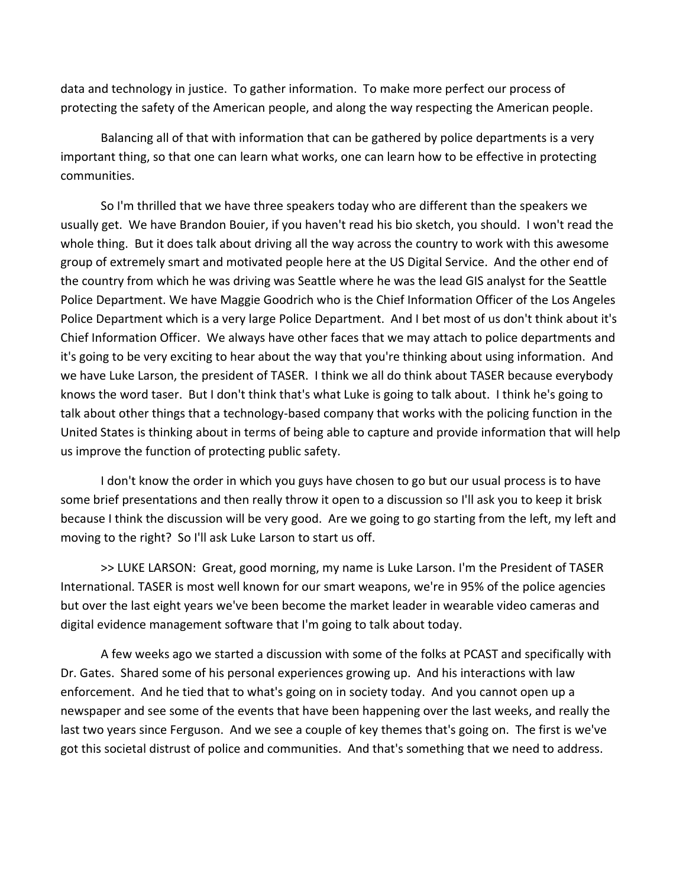data and technology in justice. To gather information. To make more perfect our process of protecting the safety of the American people, and along the way respecting the American people.

Balancing all of that with information that can be gathered by police departments is a very important thing, so that one can learn what works, one can learn how to be effective in protecting communities.

So I'm thrilled that we have three speakers today who are different than the speakers we usually get. We have Brandon Bouier, if you haven't read his bio sketch, you should. I won't read the whole thing. But it does talk about driving all the way across the country to work with this awesome group of extremely smart and motivated people here at the US Digital Service. And the other end of the country from which he was driving was Seattle where he was the lead GIS analyst for the Seattle Police Department. We have Maggie Goodrich who is the Chief Information Officer of the Los Angeles Police Department which is a very large Police Department. And I bet most of us don't think about it's Chief Information Officer. We always have other faces that we may attach to police departments and it's going to be very exciting to hear about the way that you're thinking about using information. And we have Luke Larson, the president of TASER. I think we all do think about TASER because everybody knows the word taser. But I don't think that's what Luke is going to talk about. I think he's going to talk about other things that a technology‐based company that works with the policing function in the United States is thinking about in terms of being able to capture and provide information that will help us improve the function of protecting public safety.

I don't know the order in which you guys have chosen to go but our usual process is to have some brief presentations and then really throw it open to a discussion so I'll ask you to keep it brisk because I think the discussion will be very good. Are we going to go starting from the left, my left and moving to the right? So I'll ask Luke Larson to start us off.

>> LUKE LARSON: Great, good morning, my name is Luke Larson. I'm the President of TASER International. TASER is most well known for our smart weapons, we're in 95% of the police agencies but over the last eight years we've been become the market leader in wearable video cameras and digital evidence management software that I'm going to talk about today.

A few weeks ago we started a discussion with some of the folks at PCAST and specifically with Dr. Gates. Shared some of his personal experiences growing up. And his interactions with law enforcement. And he tied that to what's going on in society today. And you cannot open up a newspaper and see some of the events that have been happening over the last weeks, and really the last two years since Ferguson. And we see a couple of key themes that's going on. The first is we've got this societal distrust of police and communities. And that's something that we need to address.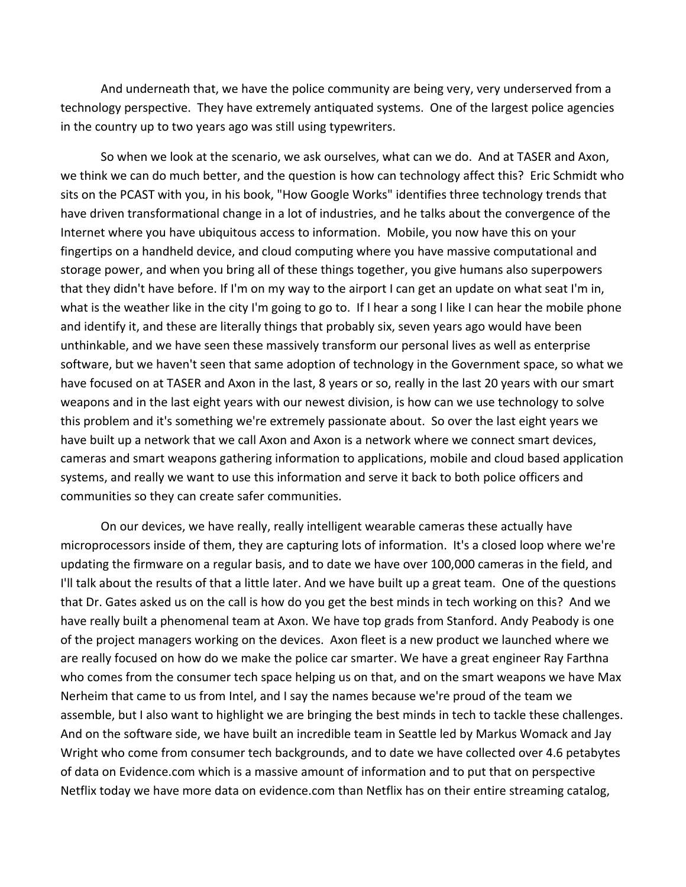And underneath that, we have the police community are being very, very underserved from a technology perspective. They have extremely antiquated systems. One of the largest police agencies in the country up to two years ago was still using typewriters.

So when we look at the scenario, we ask ourselves, what can we do. And at TASER and Axon, we think we can do much better, and the question is how can technology affect this? Eric Schmidt who sits on the PCAST with you, in his book, "How Google Works" identifies three technology trends that have driven transformational change in a lot of industries, and he talks about the convergence of the Internet where you have ubiquitous access to information. Mobile, you now have this on your fingertips on a handheld device, and cloud computing where you have massive computational and storage power, and when you bring all of these things together, you give humans also superpowers that they didn't have before. If I'm on my way to the airport I can get an update on what seat I'm in, what is the weather like in the city I'm going to go to. If I hear a song I like I can hear the mobile phone and identify it, and these are literally things that probably six, seven years ago would have been unthinkable, and we have seen these massively transform our personal lives as well as enterprise software, but we haven't seen that same adoption of technology in the Government space, so what we have focused on at TASER and Axon in the last, 8 years or so, really in the last 20 years with our smart weapons and in the last eight years with our newest division, is how can we use technology to solve this problem and it's something we're extremely passionate about. So over the last eight years we have built up a network that we call Axon and Axon is a network where we connect smart devices, cameras and smart weapons gathering information to applications, mobile and cloud based application systems, and really we want to use this information and serve it back to both police officers and communities so they can create safer communities.

On our devices, we have really, really intelligent wearable cameras these actually have microprocessors inside of them, they are capturing lots of information. It's a closed loop where we're updating the firmware on a regular basis, and to date we have over 100,000 cameras in the field, and I'll talk about the results of that a little later. And we have built up a great team. One of the questions that Dr. Gates asked us on the call is how do you get the best minds in tech working on this? And we have really built a phenomenal team at Axon. We have top grads from Stanford. Andy Peabody is one of the project managers working on the devices. Axon fleet is a new product we launched where we are really focused on how do we make the police car smarter. We have a great engineer Ray Farthna who comes from the consumer tech space helping us on that, and on the smart weapons we have Max Nerheim that came to us from Intel, and I say the names because we're proud of the team we assemble, but I also want to highlight we are bringing the best minds in tech to tackle these challenges. And on the software side, we have built an incredible team in Seattle led by Markus Womack and Jay Wright who come from consumer tech backgrounds, and to date we have collected over 4.6 petabytes of data on Evidence.com which is a massive amount of information and to put that on perspective Netflix today we have more data on evidence.com than Netflix has on their entire streaming catalog,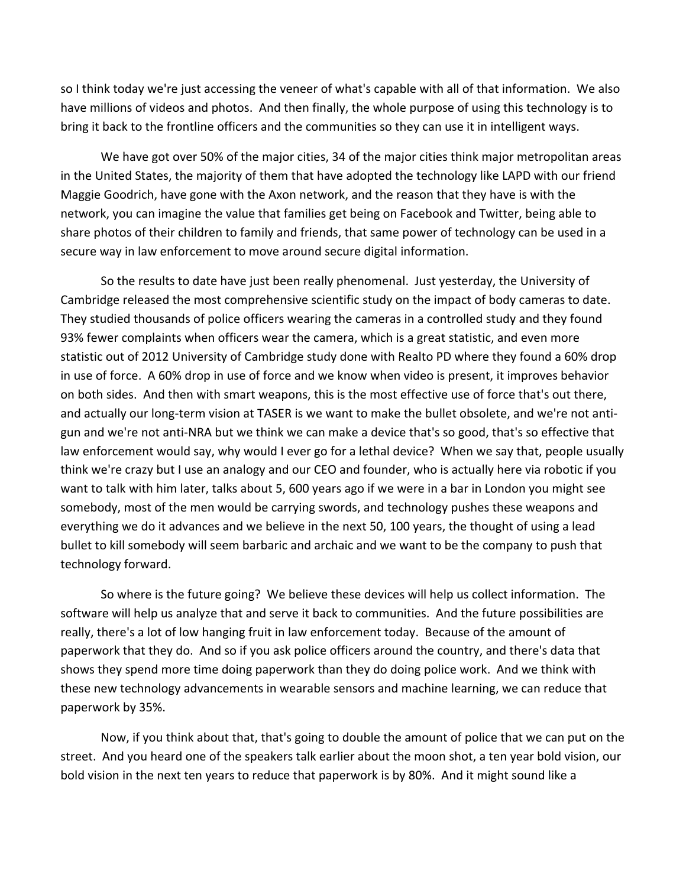so I think today we're just accessing the veneer of what's capable with all of that information. We also have millions of videos and photos. And then finally, the whole purpose of using this technology is to bring it back to the frontline officers and the communities so they can use it in intelligent ways.

We have got over 50% of the major cities, 34 of the major cities think major metropolitan areas in the United States, the majority of them that have adopted the technology like LAPD with our friend Maggie Goodrich, have gone with the Axon network, and the reason that they have is with the network, you can imagine the value that families get being on Facebook and Twitter, being able to share photos of their children to family and friends, that same power of technology can be used in a secure way in law enforcement to move around secure digital information.

So the results to date have just been really phenomenal. Just yesterday, the University of Cambridge released the most comprehensive scientific study on the impact of body cameras to date. They studied thousands of police officers wearing the cameras in a controlled study and they found 93% fewer complaints when officers wear the camera, which is a great statistic, and even more statistic out of 2012 University of Cambridge study done with Realto PD where they found a 60% drop in use of force. A 60% drop in use of force and we know when video is present, it improves behavior on both sides. And then with smart weapons, this is the most effective use of force that's out there, and actually our long-term vision at TASER is we want to make the bullet obsolete, and we're not antigun and we're not anti‐NRA but we think we can make a device that's so good, that's so effective that law enforcement would say, why would I ever go for a lethal device? When we say that, people usually think we're crazy but I use an analogy and our CEO and founder, who is actually here via robotic if you want to talk with him later, talks about 5, 600 years ago if we were in a bar in London you might see somebody, most of the men would be carrying swords, and technology pushes these weapons and everything we do it advances and we believe in the next 50, 100 years, the thought of using a lead bullet to kill somebody will seem barbaric and archaic and we want to be the company to push that technology forward.

So where is the future going? We believe these devices will help us collect information. The software will help us analyze that and serve it back to communities. And the future possibilities are really, there's a lot of low hanging fruit in law enforcement today. Because of the amount of paperwork that they do. And so if you ask police officers around the country, and there's data that shows they spend more time doing paperwork than they do doing police work. And we think with these new technology advancements in wearable sensors and machine learning, we can reduce that paperwork by 35%.

Now, if you think about that, that's going to double the amount of police that we can put on the street. And you heard one of the speakers talk earlier about the moon shot, a ten year bold vision, our bold vision in the next ten years to reduce that paperwork is by 80%. And it might sound like a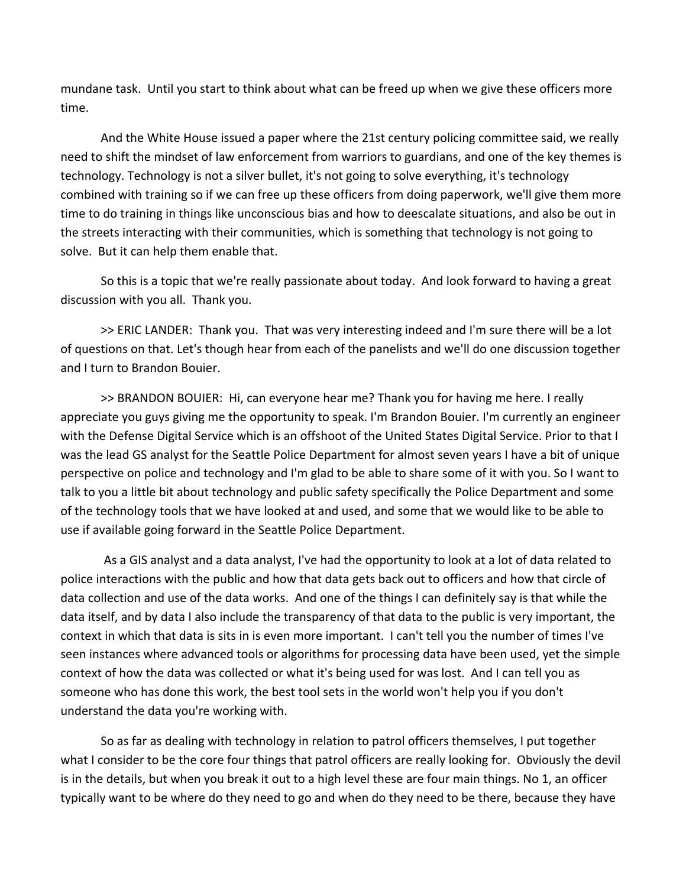mundane task. Until you start to think about what can be freed up when we give these officers more time.

And the White House issued a paper where the 21st century policing committee said, we really need to shift the mindset of law enforcement from warriors to guardians, and one of the key themes is technology. Technology is not a silver bullet, it's not going to solve everything, it's technology combined with training so if we can free up these officers from doing paperwork, we'll give them more time to do training in things like unconscious bias and how to deescalate situations, and also be out in the streets interacting with their communities, which is something that technology is not going to solve. But it can help them enable that.

So this is a topic that we're really passionate about today. And look forward to having a great discussion with you all. Thank you.

>> ERIC LANDER: Thank you. That was very interesting indeed and I'm sure there will be a lot of questions on that. Let's though hear from each of the panelists and we'll do one discussion together and I turn to Brandon Bouier.

>> BRANDON BOUIER: Hi, can everyone hear me? Thank you for having me here. I really appreciate you guys giving me the opportunity to speak. I'm Brandon Bouier. I'm currently an engineer with the Defense Digital Service which is an offshoot of the United States Digital Service. Prior to that I was the lead GS analyst for the Seattle Police Department for almost seven years I have a bit of unique perspective on police and technology and I'm glad to be able to share some of it with you. So I want to talk to you a little bit about technology and public safety specifically the Police Department and some of the technology tools that we have looked at and used, and some that we would like to be able to use if available going forward in the Seattle Police Department.

 As a GIS analyst and a data analyst, I've had the opportunity to look at a lot of data related to police interactions with the public and how that data gets back out to officers and how that circle of data collection and use of the data works. And one of the things I can definitely say is that while the data itself, and by data I also include the transparency of that data to the public is very important, the context in which that data is sits in is even more important. I can't tell you the number of times I've seen instances where advanced tools or algorithms for processing data have been used, yet the simple context of how the data was collected or what it's being used for was lost. And I can tell you as someone who has done this work, the best tool sets in the world won't help you if you don't understand the data you're working with.

So as far as dealing with technology in relation to patrol officers themselves, I put together what I consider to be the core four things that patrol officers are really looking for. Obviously the devil is in the details, but when you break it out to a high level these are four main things. No 1, an officer typically want to be where do they need to go and when do they need to be there, because they have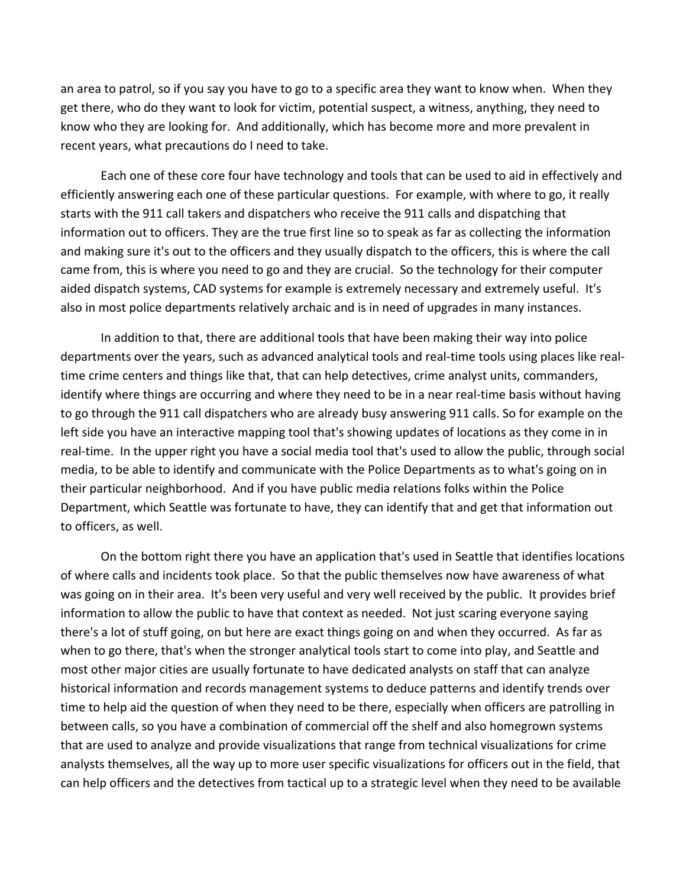an area to patrol, so if you say you have to go to a specific area they want to know when. When they get there, who do they want to look for victim, potential suspect, a witness, anything, they need to know who they are looking for. And additionally, which has become more and more prevalent in recent years, what precautions do I need to take.

Each one of these core four have technology and tools that can be used to aid in effectively and efficiently answering each one of these particular questions. For example, with where to go, it really starts with the 911 call takers and dispatchers who receive the 911 calls and dispatching that information out to officers. They are the true first line so to speak as far as collecting the information and making sure it's out to the officers and they usually dispatch to the officers, this is where the call came from, this is where you need to go and they are crucial. So the technology for their computer aided dispatch systems, CAD systems for example is extremely necessary and extremely useful. It's also in most police departments relatively archaic and is in need of upgrades in many instances.

In addition to that, there are additional tools that have been making their way into police departments over the years, such as advanced analytical tools and real‐time tools using places like real‐ time crime centers and things like that, that can help detectives, crime analyst units, commanders, identify where things are occurring and where they need to be in a near real-time basis without having to go through the 911 call dispatchers who are already busy answering 911 calls. So for example on the left side you have an interactive mapping tool that's showing updates of locations as they come in in real-time. In the upper right you have a social media tool that's used to allow the public, through social media, to be able to identify and communicate with the Police Departments as to what's going on in their particular neighborhood. And if you have public media relations folks within the Police Department, which Seattle was fortunate to have, they can identify that and get that information out to officers, as well.

On the bottom right there you have an application that's used in Seattle that identifies locations of where calls and incidents took place. So that the public themselves now have awareness of what was going on in their area. It's been very useful and very well received by the public. It provides brief information to allow the public to have that context as needed. Not just scaring everyone saying there's a lot of stuff going, on but here are exact things going on and when they occurred. As far as when to go there, that's when the stronger analytical tools start to come into play, and Seattle and most other major cities are usually fortunate to have dedicated analysts on staff that can analyze historical information and records management systems to deduce patterns and identify trends over time to help aid the question of when they need to be there, especially when officers are patrolling in between calls, so you have a combination of commercial off the shelf and also homegrown systems that are used to analyze and provide visualizations that range from technical visualizations for crime analysts themselves, all the way up to more user specific visualizations for officers out in the field, that can help officers and the detectives from tactical up to a strategic level when they need to be available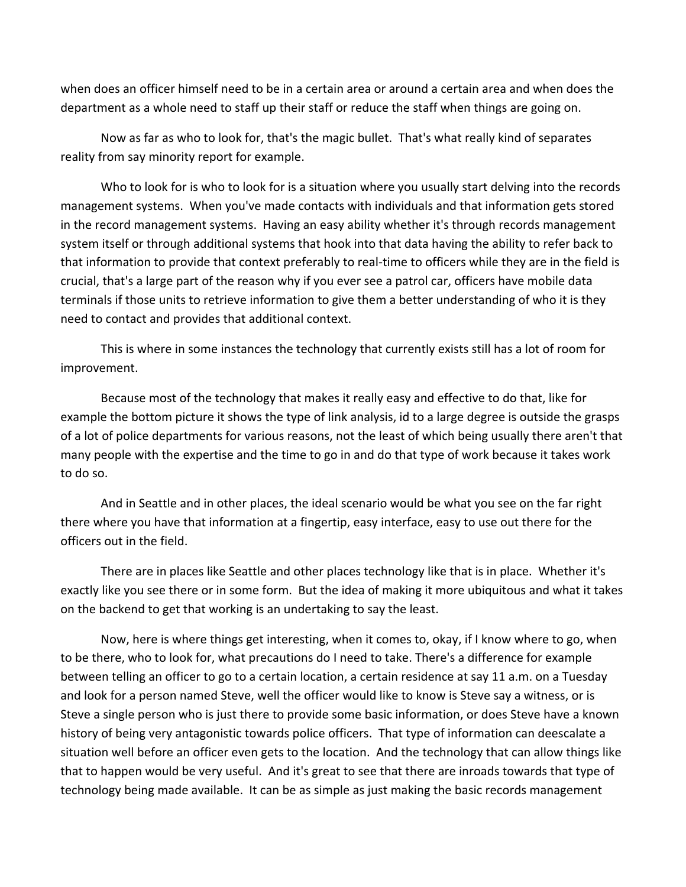when does an officer himself need to be in a certain area or around a certain area and when does the department as a whole need to staff up their staff or reduce the staff when things are going on.

Now as far as who to look for, that's the magic bullet. That's what really kind of separates reality from say minority report for example.

Who to look for is who to look for is a situation where you usually start delving into the records management systems. When you've made contacts with individuals and that information gets stored in the record management systems. Having an easy ability whether it's through records management system itself or through additional systems that hook into that data having the ability to refer back to that information to provide that context preferably to real‐time to officers while they are in the field is crucial, that's a large part of the reason why if you ever see a patrol car, officers have mobile data terminals if those units to retrieve information to give them a better understanding of who it is they need to contact and provides that additional context.

This is where in some instances the technology that currently exists still has a lot of room for improvement.

Because most of the technology that makes it really easy and effective to do that, like for example the bottom picture it shows the type of link analysis, id to a large degree is outside the grasps of a lot of police departments for various reasons, not the least of which being usually there aren't that many people with the expertise and the time to go in and do that type of work because it takes work to do so.

And in Seattle and in other places, the ideal scenario would be what you see on the far right there where you have that information at a fingertip, easy interface, easy to use out there for the officers out in the field.

There are in places like Seattle and other places technology like that is in place. Whether it's exactly like you see there or in some form. But the idea of making it more ubiquitous and what it takes on the backend to get that working is an undertaking to say the least.

Now, here is where things get interesting, when it comes to, okay, if I know where to go, when to be there, who to look for, what precautions do I need to take. There's a difference for example between telling an officer to go to a certain location, a certain residence at say 11 a.m. on a Tuesday and look for a person named Steve, well the officer would like to know is Steve say a witness, or is Steve a single person who is just there to provide some basic information, or does Steve have a known history of being very antagonistic towards police officers. That type of information can deescalate a situation well before an officer even gets to the location. And the technology that can allow things like that to happen would be very useful. And it's great to see that there are inroads towards that type of technology being made available. It can be as simple as just making the basic records management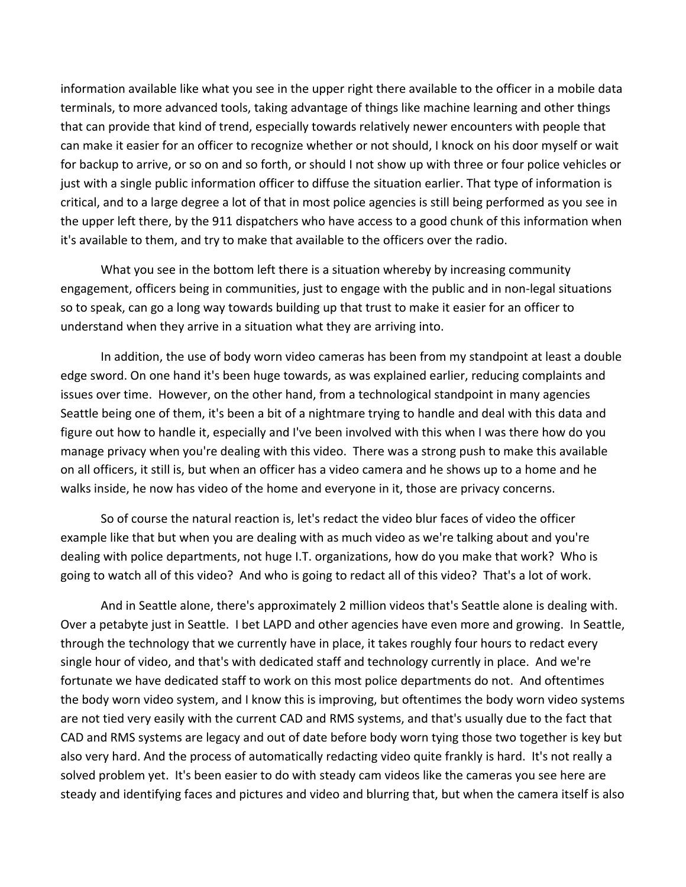information available like what you see in the upper right there available to the officer in a mobile data terminals, to more advanced tools, taking advantage of things like machine learning and other things that can provide that kind of trend, especially towards relatively newer encounters with people that can make it easier for an officer to recognize whether or not should, I knock on his door myself or wait for backup to arrive, or so on and so forth, or should I not show up with three or four police vehicles or just with a single public information officer to diffuse the situation earlier. That type of information is critical, and to a large degree a lot of that in most police agencies is still being performed as you see in the upper left there, by the 911 dispatchers who have access to a good chunk of this information when it's available to them, and try to make that available to the officers over the radio.

What you see in the bottom left there is a situation whereby by increasing community engagement, officers being in communities, just to engage with the public and in non‐legal situations so to speak, can go a long way towards building up that trust to make it easier for an officer to understand when they arrive in a situation what they are arriving into.

In addition, the use of body worn video cameras has been from my standpoint at least a double edge sword. On one hand it's been huge towards, as was explained earlier, reducing complaints and issues over time. However, on the other hand, from a technological standpoint in many agencies Seattle being one of them, it's been a bit of a nightmare trying to handle and deal with this data and figure out how to handle it, especially and I've been involved with this when I was there how do you manage privacy when you're dealing with this video. There was a strong push to make this available on all officers, it still is, but when an officer has a video camera and he shows up to a home and he walks inside, he now has video of the home and everyone in it, those are privacy concerns.

So of course the natural reaction is, let's redact the video blur faces of video the officer example like that but when you are dealing with as much video as we're talking about and you're dealing with police departments, not huge I.T. organizations, how do you make that work? Who is going to watch all of this video? And who is going to redact all of this video? That's a lot of work.

And in Seattle alone, there's approximately 2 million videos that's Seattle alone is dealing with. Over a petabyte just in Seattle. I bet LAPD and other agencies have even more and growing. In Seattle, through the technology that we currently have in place, it takes roughly four hours to redact every single hour of video, and that's with dedicated staff and technology currently in place. And we're fortunate we have dedicated staff to work on this most police departments do not. And oftentimes the body worn video system, and I know this is improving, but oftentimes the body worn video systems are not tied very easily with the current CAD and RMS systems, and that's usually due to the fact that CAD and RMS systems are legacy and out of date before body worn tying those two together is key but also very hard. And the process of automatically redacting video quite frankly is hard. It's not really a solved problem yet. It's been easier to do with steady cam videos like the cameras you see here are steady and identifying faces and pictures and video and blurring that, but when the camera itself is also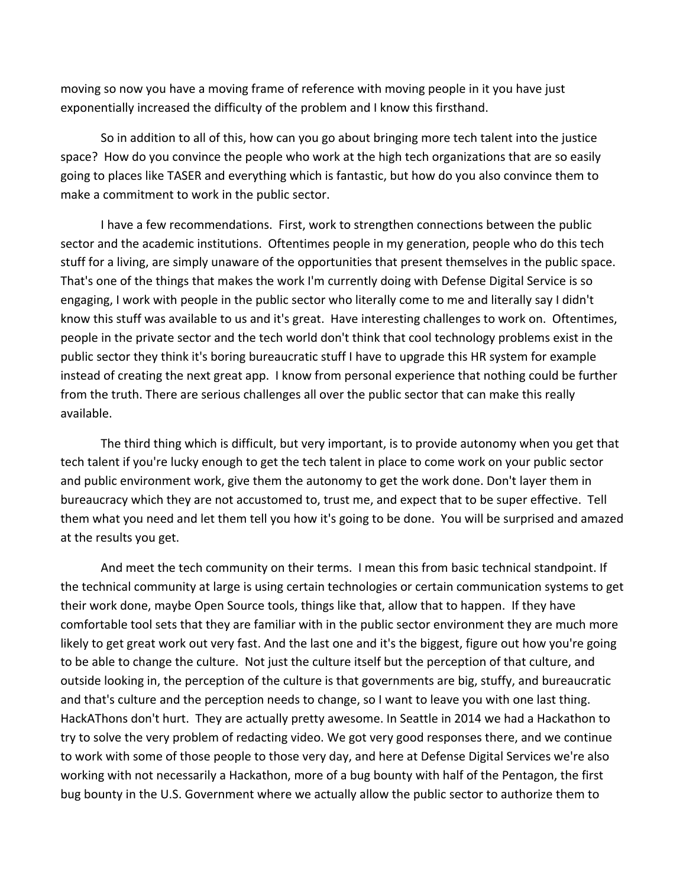moving so now you have a moving frame of reference with moving people in it you have just exponentially increased the difficulty of the problem and I know this firsthand.

So in addition to all of this, how can you go about bringing more tech talent into the justice space? How do you convince the people who work at the high tech organizations that are so easily going to places like TASER and everything which is fantastic, but how do you also convince them to make a commitment to work in the public sector.

I have a few recommendations. First, work to strengthen connections between the public sector and the academic institutions. Oftentimes people in my generation, people who do this tech stuff for a living, are simply unaware of the opportunities that present themselves in the public space. That's one of the things that makes the work I'm currently doing with Defense Digital Service is so engaging, I work with people in the public sector who literally come to me and literally say I didn't know this stuff was available to us and it's great. Have interesting challenges to work on. Oftentimes, people in the private sector and the tech world don't think that cool technology problems exist in the public sector they think it's boring bureaucratic stuff I have to upgrade this HR system for example instead of creating the next great app. I know from personal experience that nothing could be further from the truth. There are serious challenges all over the public sector that can make this really available.

The third thing which is difficult, but very important, is to provide autonomy when you get that tech talent if you're lucky enough to get the tech talent in place to come work on your public sector and public environment work, give them the autonomy to get the work done. Don't layer them in bureaucracy which they are not accustomed to, trust me, and expect that to be super effective. Tell them what you need and let them tell you how it's going to be done. You will be surprised and amazed at the results you get.

And meet the tech community on their terms. I mean this from basic technical standpoint. If the technical community at large is using certain technologies or certain communication systems to get their work done, maybe Open Source tools, things like that, allow that to happen. If they have comfortable tool sets that they are familiar with in the public sector environment they are much more likely to get great work out very fast. And the last one and it's the biggest, figure out how you're going to be able to change the culture. Not just the culture itself but the perception of that culture, and outside looking in, the perception of the culture is that governments are big, stuffy, and bureaucratic and that's culture and the perception needs to change, so I want to leave you with one last thing. HackAThons don't hurt. They are actually pretty awesome. In Seattle in 2014 we had a Hackathon to try to solve the very problem of redacting video. We got very good responses there, and we continue to work with some of those people to those very day, and here at Defense Digital Services we're also working with not necessarily a Hackathon, more of a bug bounty with half of the Pentagon, the first bug bounty in the U.S. Government where we actually allow the public sector to authorize them to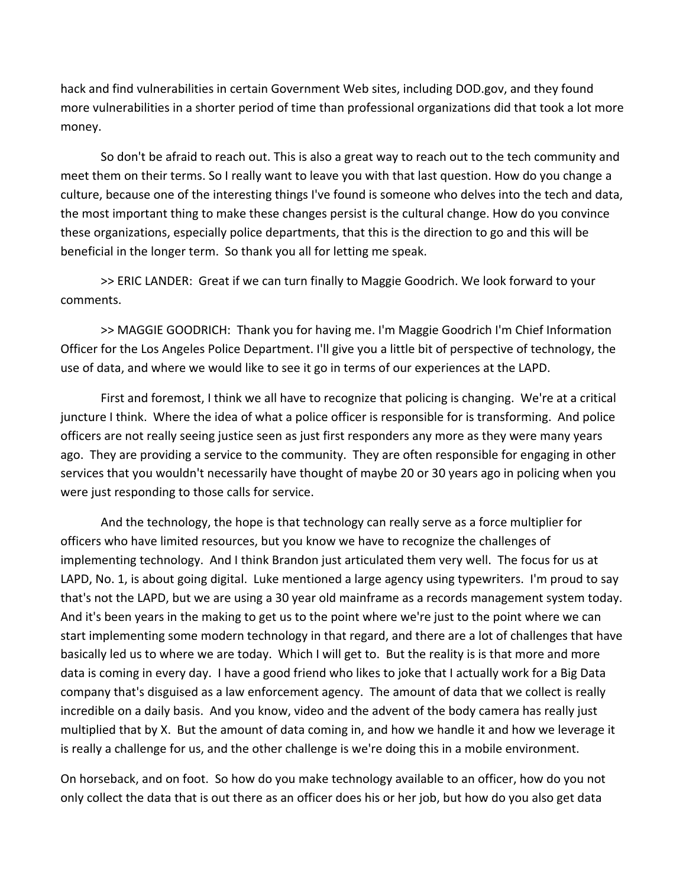hack and find vulnerabilities in certain Government Web sites, including DOD.gov, and they found more vulnerabilities in a shorter period of time than professional organizations did that took a lot more money.

So don't be afraid to reach out. This is also a great way to reach out to the tech community and meet them on their terms. So I really want to leave you with that last question. How do you change a culture, because one of the interesting things I've found is someone who delves into the tech and data, the most important thing to make these changes persist is the cultural change. How do you convince these organizations, especially police departments, that this is the direction to go and this will be beneficial in the longer term. So thank you all for letting me speak.

>> ERIC LANDER: Great if we can turn finally to Maggie Goodrich. We look forward to your comments.

>> MAGGIE GOODRICH: Thank you for having me. I'm Maggie Goodrich I'm Chief Information Officer for the Los Angeles Police Department. I'll give you a little bit of perspective of technology, the use of data, and where we would like to see it go in terms of our experiences at the LAPD.

First and foremost, I think we all have to recognize that policing is changing. We're at a critical juncture I think. Where the idea of what a police officer is responsible for is transforming. And police officers are not really seeing justice seen as just first responders any more as they were many years ago. They are providing a service to the community. They are often responsible for engaging in other services that you wouldn't necessarily have thought of maybe 20 or 30 years ago in policing when you were just responding to those calls for service.

And the technology, the hope is that technology can really serve as a force multiplier for officers who have limited resources, but you know we have to recognize the challenges of implementing technology. And I think Brandon just articulated them very well. The focus for us at LAPD, No. 1, is about going digital. Luke mentioned a large agency using typewriters. I'm proud to say that's not the LAPD, but we are using a 30 year old mainframe as a records management system today. And it's been years in the making to get us to the point where we're just to the point where we can start implementing some modern technology in that regard, and there are a lot of challenges that have basically led us to where we are today. Which I will get to. But the reality is is that more and more data is coming in every day. I have a good friend who likes to joke that I actually work for a Big Data company that's disguised as a law enforcement agency. The amount of data that we collect is really incredible on a daily basis. And you know, video and the advent of the body camera has really just multiplied that by X. But the amount of data coming in, and how we handle it and how we leverage it is really a challenge for us, and the other challenge is we're doing this in a mobile environment.

On horseback, and on foot. So how do you make technology available to an officer, how do you not only collect the data that is out there as an officer does his or her job, but how do you also get data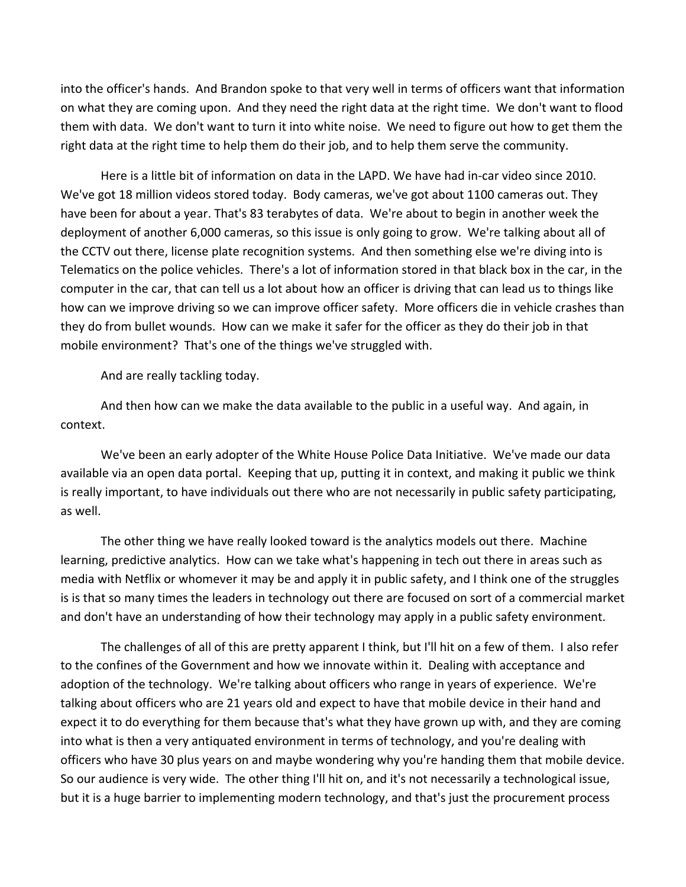into the officer's hands. And Brandon spoke to that very well in terms of officers want that information on what they are coming upon. And they need the right data at the right time. We don't want to flood them with data. We don't want to turn it into white noise. We need to figure out how to get them the right data at the right time to help them do their job, and to help them serve the community.

Here is a little bit of information on data in the LAPD. We have had in‐car video since 2010. We've got 18 million videos stored today. Body cameras, we've got about 1100 cameras out. They have been for about a year. That's 83 terabytes of data. We're about to begin in another week the deployment of another 6,000 cameras, so this issue is only going to grow. We're talking about all of the CCTV out there, license plate recognition systems. And then something else we're diving into is Telematics on the police vehicles. There's a lot of information stored in that black box in the car, in the computer in the car, that can tell us a lot about how an officer is driving that can lead us to things like how can we improve driving so we can improve officer safety. More officers die in vehicle crashes than they do from bullet wounds. How can we make it safer for the officer as they do their job in that mobile environment? That's one of the things we've struggled with.

And are really tackling today.

And then how can we make the data available to the public in a useful way. And again, in context.

We've been an early adopter of the White House Police Data Initiative. We've made our data available via an open data portal. Keeping that up, putting it in context, and making it public we think is really important, to have individuals out there who are not necessarily in public safety participating, as well.

The other thing we have really looked toward is the analytics models out there. Machine learning, predictive analytics. How can we take what's happening in tech out there in areas such as media with Netflix or whomever it may be and apply it in public safety, and I think one of the struggles is is that so many times the leaders in technology out there are focused on sort of a commercial market and don't have an understanding of how their technology may apply in a public safety environment.

The challenges of all of this are pretty apparent I think, but I'll hit on a few of them. I also refer to the confines of the Government and how we innovate within it. Dealing with acceptance and adoption of the technology. We're talking about officers who range in years of experience. We're talking about officers who are 21 years old and expect to have that mobile device in their hand and expect it to do everything for them because that's what they have grown up with, and they are coming into what is then a very antiquated environment in terms of technology, and you're dealing with officers who have 30 plus years on and maybe wondering why you're handing them that mobile device. So our audience is very wide. The other thing I'll hit on, and it's not necessarily a technological issue, but it is a huge barrier to implementing modern technology, and that's just the procurement process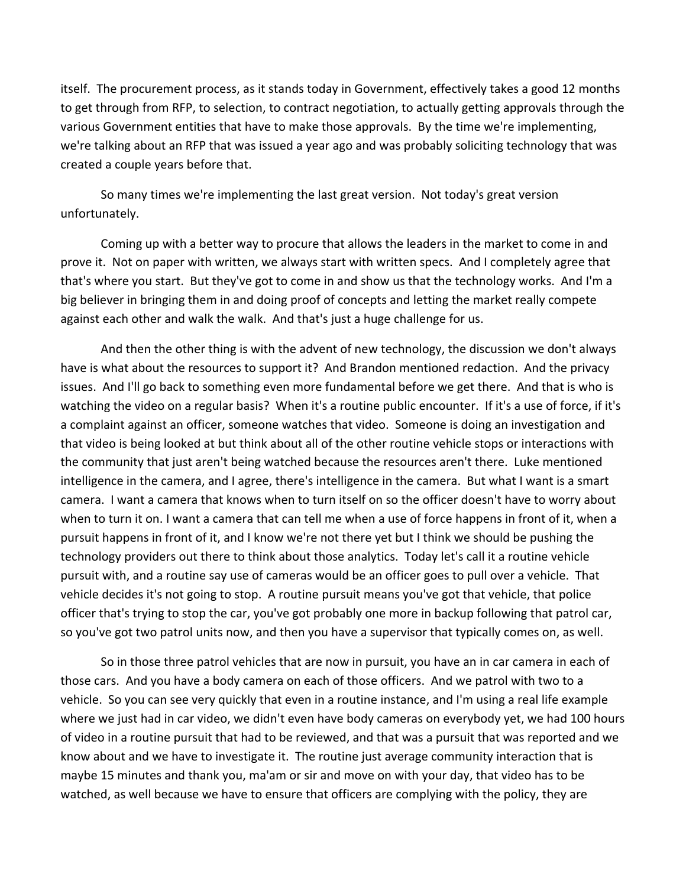itself. The procurement process, as it stands today in Government, effectively takes a good 12 months to get through from RFP, to selection, to contract negotiation, to actually getting approvals through the various Government entities that have to make those approvals. By the time we're implementing, we're talking about an RFP that was issued a year ago and was probably soliciting technology that was created a couple years before that.

So many times we're implementing the last great version. Not today's great version unfortunately.

Coming up with a better way to procure that allows the leaders in the market to come in and prove it. Not on paper with written, we always start with written specs. And I completely agree that that's where you start. But they've got to come in and show us that the technology works. And I'm a big believer in bringing them in and doing proof of concepts and letting the market really compete against each other and walk the walk. And that's just a huge challenge for us.

And then the other thing is with the advent of new technology, the discussion we don't always have is what about the resources to support it? And Brandon mentioned redaction. And the privacy issues. And I'll go back to something even more fundamental before we get there. And that is who is watching the video on a regular basis? When it's a routine public encounter. If it's a use of force, if it's a complaint against an officer, someone watches that video. Someone is doing an investigation and that video is being looked at but think about all of the other routine vehicle stops or interactions with the community that just aren't being watched because the resources aren't there. Luke mentioned intelligence in the camera, and I agree, there's intelligence in the camera. But what I want is a smart camera. I want a camera that knows when to turn itself on so the officer doesn't have to worry about when to turn it on. I want a camera that can tell me when a use of force happens in front of it, when a pursuit happens in front of it, and I know we're not there yet but I think we should be pushing the technology providers out there to think about those analytics. Today let's call it a routine vehicle pursuit with, and a routine say use of cameras would be an officer goes to pull over a vehicle. That vehicle decides it's not going to stop. A routine pursuit means you've got that vehicle, that police officer that's trying to stop the car, you've got probably one more in backup following that patrol car, so you've got two patrol units now, and then you have a supervisor that typically comes on, as well.

So in those three patrol vehicles that are now in pursuit, you have an in car camera in each of those cars. And you have a body camera on each of those officers. And we patrol with two to a vehicle. So you can see very quickly that even in a routine instance, and I'm using a real life example where we just had in car video, we didn't even have body cameras on everybody yet, we had 100 hours of video in a routine pursuit that had to be reviewed, and that was a pursuit that was reported and we know about and we have to investigate it. The routine just average community interaction that is maybe 15 minutes and thank you, ma'am or sir and move on with your day, that video has to be watched, as well because we have to ensure that officers are complying with the policy, they are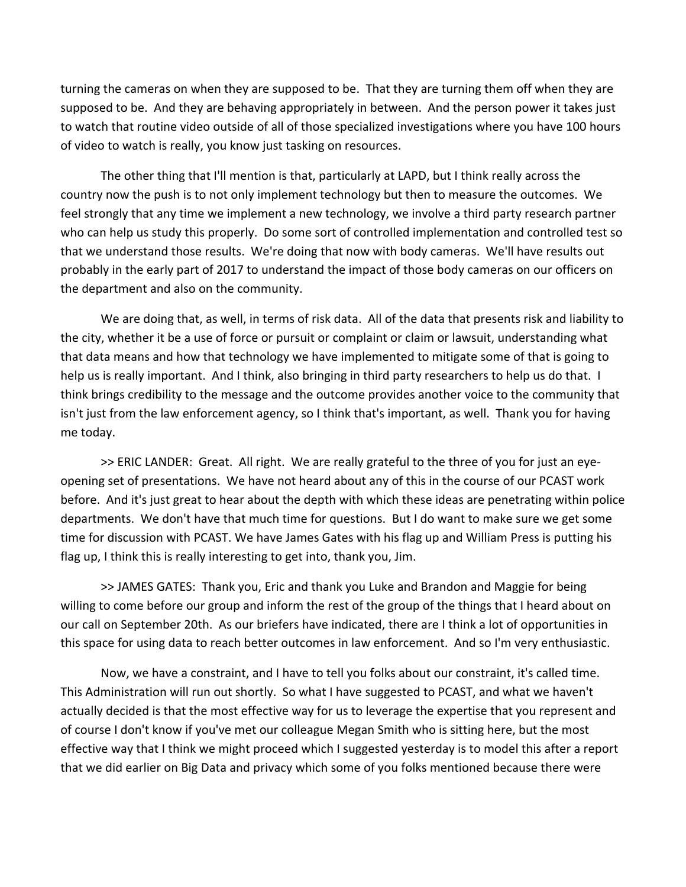turning the cameras on when they are supposed to be. That they are turning them off when they are supposed to be. And they are behaving appropriately in between. And the person power it takes just to watch that routine video outside of all of those specialized investigations where you have 100 hours of video to watch is really, you know just tasking on resources.

The other thing that I'll mention is that, particularly at LAPD, but I think really across the country now the push is to not only implement technology but then to measure the outcomes. We feel strongly that any time we implement a new technology, we involve a third party research partner who can help us study this properly. Do some sort of controlled implementation and controlled test so that we understand those results. We're doing that now with body cameras. We'll have results out probably in the early part of 2017 to understand the impact of those body cameras on our officers on the department and also on the community.

We are doing that, as well, in terms of risk data. All of the data that presents risk and liability to the city, whether it be a use of force or pursuit or complaint or claim or lawsuit, understanding what that data means and how that technology we have implemented to mitigate some of that is going to help us is really important. And I think, also bringing in third party researchers to help us do that. I think brings credibility to the message and the outcome provides another voice to the community that isn't just from the law enforcement agency, so I think that's important, as well. Thank you for having me today.

>> ERIC LANDER: Great. All right. We are really grateful to the three of you for just an eyeopening set of presentations. We have not heard about any of this in the course of our PCAST work before. And it's just great to hear about the depth with which these ideas are penetrating within police departments. We don't have that much time for questions. But I do want to make sure we get some time for discussion with PCAST. We have James Gates with his flag up and William Press is putting his flag up, I think this is really interesting to get into, thank you, Jim.

>> JAMES GATES: Thank you, Eric and thank you Luke and Brandon and Maggie for being willing to come before our group and inform the rest of the group of the things that I heard about on our call on September 20th. As our briefers have indicated, there are I think a lot of opportunities in this space for using data to reach better outcomes in law enforcement. And so I'm very enthusiastic.

Now, we have a constraint, and I have to tell you folks about our constraint, it's called time. This Administration will run out shortly. So what I have suggested to PCAST, and what we haven't actually decided is that the most effective way for us to leverage the expertise that you represent and of course I don't know if you've met our colleague Megan Smith who is sitting here, but the most effective way that I think we might proceed which I suggested yesterday is to model this after a report that we did earlier on Big Data and privacy which some of you folks mentioned because there were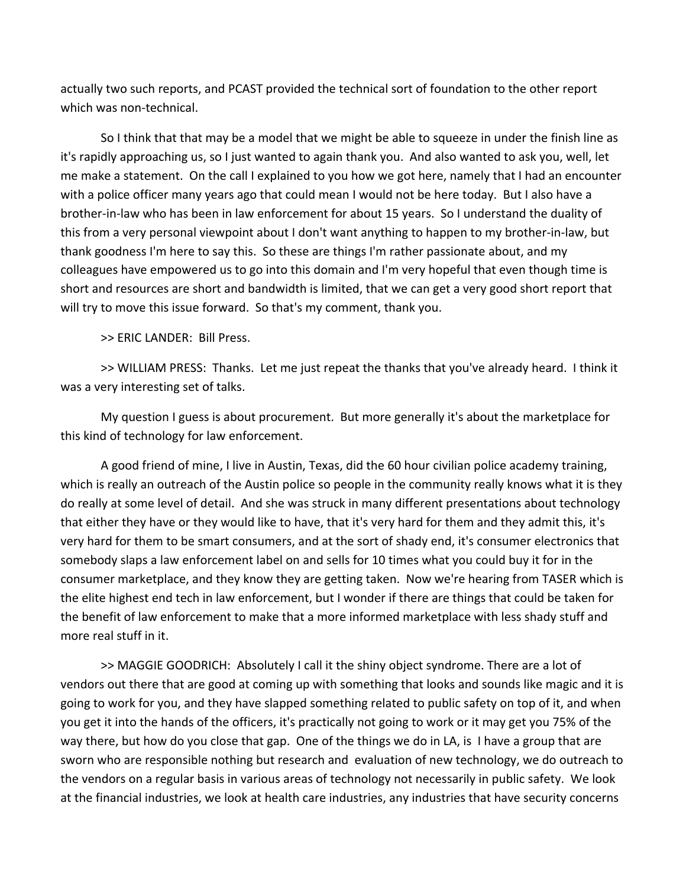actually two such reports, and PCAST provided the technical sort of foundation to the other report which was non-technical.

So I think that that may be a model that we might be able to squeeze in under the finish line as it's rapidly approaching us, so I just wanted to again thank you. And also wanted to ask you, well, let me make a statement. On the call I explained to you how we got here, namely that I had an encounter with a police officer many years ago that could mean I would not be here today. But I also have a brother‐in‐law who has been in law enforcement for about 15 years. So I understand the duality of this from a very personal viewpoint about I don't want anything to happen to my brother‐in‐law, but thank goodness I'm here to say this. So these are things I'm rather passionate about, and my colleagues have empowered us to go into this domain and I'm very hopeful that even though time is short and resources are short and bandwidth is limited, that we can get a very good short report that will try to move this issue forward. So that's my comment, thank you.

>> ERIC LANDER: Bill Press.

>> WILLIAM PRESS: Thanks. Let me just repeat the thanks that you've already heard. I think it was a very interesting set of talks.

My question I guess is about procurement. But more generally it's about the marketplace for this kind of technology for law enforcement.

A good friend of mine, I live in Austin, Texas, did the 60 hour civilian police academy training, which is really an outreach of the Austin police so people in the community really knows what it is they do really at some level of detail. And she was struck in many different presentations about technology that either they have or they would like to have, that it's very hard for them and they admit this, it's very hard for them to be smart consumers, and at the sort of shady end, it's consumer electronics that somebody slaps a law enforcement label on and sells for 10 times what you could buy it for in the consumer marketplace, and they know they are getting taken. Now we're hearing from TASER which is the elite highest end tech in law enforcement, but I wonder if there are things that could be taken for the benefit of law enforcement to make that a more informed marketplace with less shady stuff and more real stuff in it.

>> MAGGIE GOODRICH: Absolutely I call it the shiny object syndrome. There are a lot of vendors out there that are good at coming up with something that looks and sounds like magic and it is going to work for you, and they have slapped something related to public safety on top of it, and when you get it into the hands of the officers, it's practically not going to work or it may get you 75% of the way there, but how do you close that gap. One of the things we do in LA, is I have a group that are sworn who are responsible nothing but research and evaluation of new technology, we do outreach to the vendors on a regular basis in various areas of technology not necessarily in public safety. We look at the financial industries, we look at health care industries, any industries that have security concerns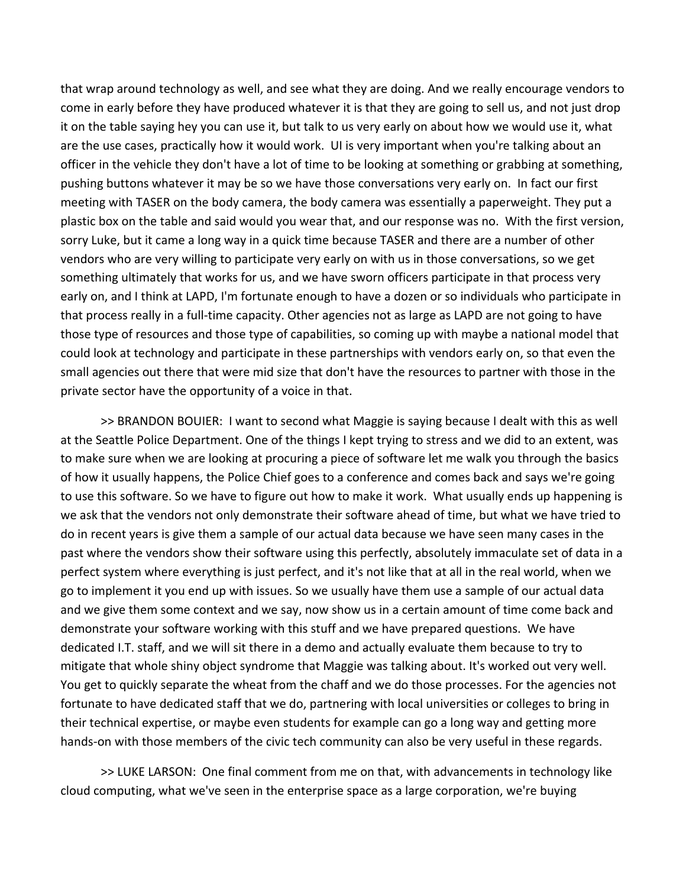that wrap around technology as well, and see what they are doing. And we really encourage vendors to come in early before they have produced whatever it is that they are going to sell us, and not just drop it on the table saying hey you can use it, but talk to us very early on about how we would use it, what are the use cases, practically how it would work. UI is very important when you're talking about an officer in the vehicle they don't have a lot of time to be looking at something or grabbing at something, pushing buttons whatever it may be so we have those conversations very early on. In fact our first meeting with TASER on the body camera, the body camera was essentially a paperweight. They put a plastic box on the table and said would you wear that, and our response was no. With the first version, sorry Luke, but it came a long way in a quick time because TASER and there are a number of other vendors who are very willing to participate very early on with us in those conversations, so we get something ultimately that works for us, and we have sworn officers participate in that process very early on, and I think at LAPD, I'm fortunate enough to have a dozen or so individuals who participate in that process really in a full‐time capacity. Other agencies not as large as LAPD are not going to have those type of resources and those type of capabilities, so coming up with maybe a national model that could look at technology and participate in these partnerships with vendors early on, so that even the small agencies out there that were mid size that don't have the resources to partner with those in the private sector have the opportunity of a voice in that.

>> BRANDON BOUIER: I want to second what Maggie is saying because I dealt with this as well at the Seattle Police Department. One of the things I kept trying to stress and we did to an extent, was to make sure when we are looking at procuring a piece of software let me walk you through the basics of how it usually happens, the Police Chief goes to a conference and comes back and says we're going to use this software. So we have to figure out how to make it work. What usually ends up happening is we ask that the vendors not only demonstrate their software ahead of time, but what we have tried to do in recent years is give them a sample of our actual data because we have seen many cases in the past where the vendors show their software using this perfectly, absolutely immaculate set of data in a perfect system where everything is just perfect, and it's not like that at all in the real world, when we go to implement it you end up with issues. So we usually have them use a sample of our actual data and we give them some context and we say, now show us in a certain amount of time come back and demonstrate your software working with this stuff and we have prepared questions. We have dedicated I.T. staff, and we will sit there in a demo and actually evaluate them because to try to mitigate that whole shiny object syndrome that Maggie was talking about. It's worked out very well. You get to quickly separate the wheat from the chaff and we do those processes. For the agencies not fortunate to have dedicated staff that we do, partnering with local universities or colleges to bring in their technical expertise, or maybe even students for example can go a long way and getting more hands-on with those members of the civic tech community can also be very useful in these regards.

>> LUKE LARSON: One final comment from me on that, with advancements in technology like cloud computing, what we've seen in the enterprise space as a large corporation, we're buying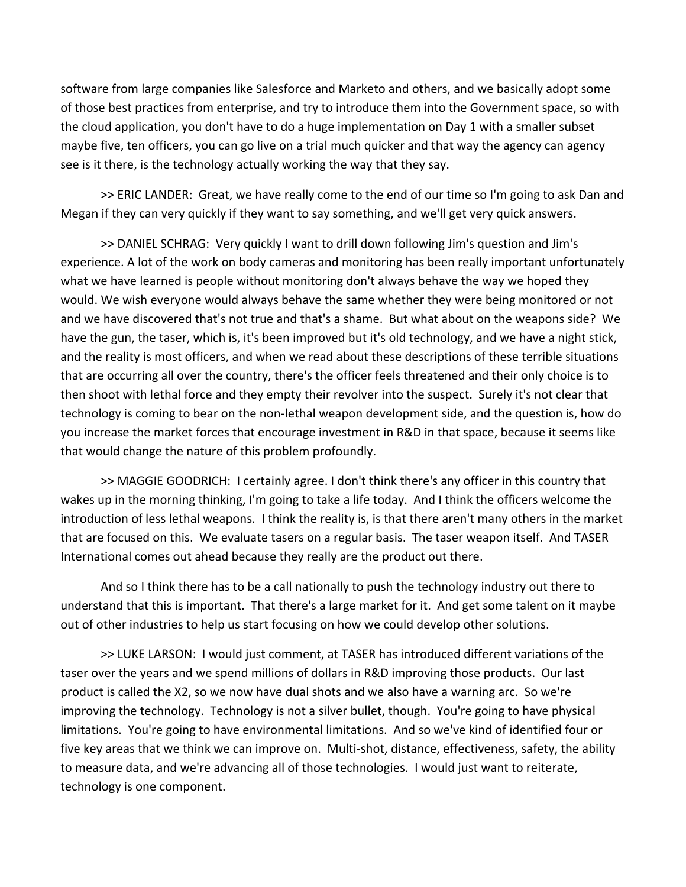software from large companies like Salesforce and Marketo and others, and we basically adopt some of those best practices from enterprise, and try to introduce them into the Government space, so with the cloud application, you don't have to do a huge implementation on Day 1 with a smaller subset maybe five, ten officers, you can go live on a trial much quicker and that way the agency can agency see is it there, is the technology actually working the way that they say.

>> ERIC LANDER: Great, we have really come to the end of our time so I'm going to ask Dan and Megan if they can very quickly if they want to say something, and we'll get very quick answers.

>> DANIEL SCHRAG: Very quickly I want to drill down following Jim's question and Jim's experience. A lot of the work on body cameras and monitoring has been really important unfortunately what we have learned is people without monitoring don't always behave the way we hoped they would. We wish everyone would always behave the same whether they were being monitored or not and we have discovered that's not true and that's a shame. But what about on the weapons side? We have the gun, the taser, which is, it's been improved but it's old technology, and we have a night stick, and the reality is most officers, and when we read about these descriptions of these terrible situations that are occurring all over the country, there's the officer feels threatened and their only choice is to then shoot with lethal force and they empty their revolver into the suspect. Surely it's not clear that technology is coming to bear on the non‐lethal weapon development side, and the question is, how do you increase the market forces that encourage investment in R&D in that space, because it seems like that would change the nature of this problem profoundly.

>> MAGGIE GOODRICH: I certainly agree. I don't think there's any officer in this country that wakes up in the morning thinking, I'm going to take a life today. And I think the officers welcome the introduction of less lethal weapons. I think the reality is, is that there aren't many others in the market that are focused on this. We evaluate tasers on a regular basis. The taser weapon itself. And TASER International comes out ahead because they really are the product out there.

And so I think there has to be a call nationally to push the technology industry out there to understand that this is important. That there's a large market for it. And get some talent on it maybe out of other industries to help us start focusing on how we could develop other solutions.

>> LUKE LARSON: I would just comment, at TASER has introduced different variations of the taser over the years and we spend millions of dollars in R&D improving those products. Our last product is called the X2, so we now have dual shots and we also have a warning arc. So we're improving the technology. Technology is not a silver bullet, though. You're going to have physical limitations. You're going to have environmental limitations. And so we've kind of identified four or five key areas that we think we can improve on. Multi‐shot, distance, effectiveness, safety, the ability to measure data, and we're advancing all of those technologies. I would just want to reiterate, technology is one component.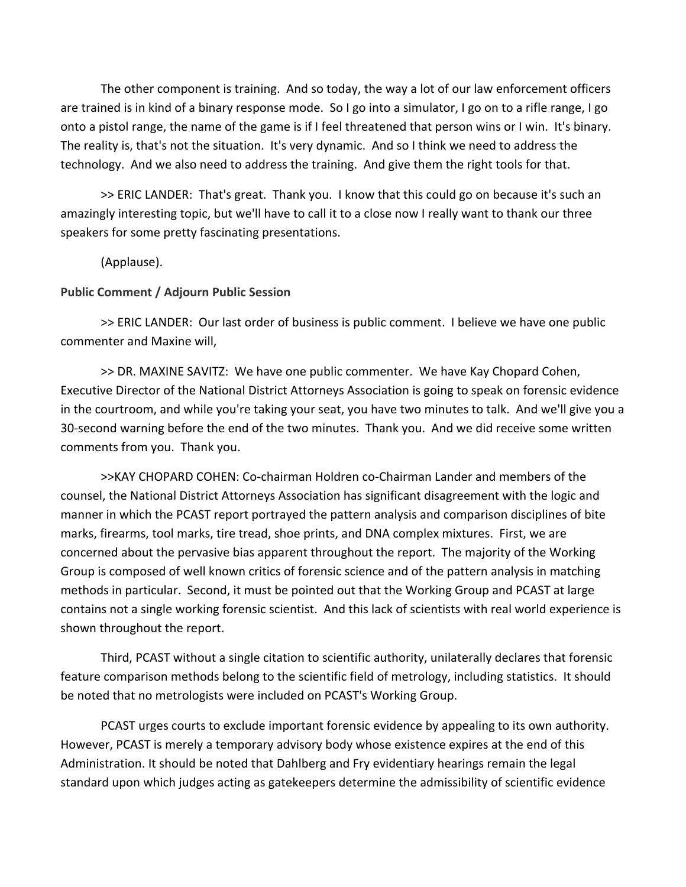The other component is training. And so today, the way a lot of our law enforcement officers are trained is in kind of a binary response mode. So I go into a simulator, I go on to a rifle range, I go onto a pistol range, the name of the game is if I feel threatened that person wins or I win. It's binary. The reality is, that's not the situation. It's very dynamic. And so I think we need to address the technology. And we also need to address the training. And give them the right tools for that.

>> ERIC LANDER: That's great. Thank you. I know that this could go on because it's such an amazingly interesting topic, but we'll have to call it to a close now I really want to thank our three speakers for some pretty fascinating presentations.

(Applause).

#### **Public Comment / Adjourn Public Session**

>> ERIC LANDER: Our last order of business is public comment. I believe we have one public commenter and Maxine will,

>> DR. MAXINE SAVITZ: We have one public commenter. We have Kay Chopard Cohen, Executive Director of the National District Attorneys Association is going to speak on forensic evidence in the courtroom, and while you're taking your seat, you have two minutes to talk. And we'll give you a 30‐second warning before the end of the two minutes. Thank you. And we did receive some written comments from you. Thank you.

>>KAY CHOPARD COHEN: Co‐chairman Holdren co‐Chairman Lander and members of the counsel, the National District Attorneys Association has significant disagreement with the logic and manner in which the PCAST report portrayed the pattern analysis and comparison disciplines of bite marks, firearms, tool marks, tire tread, shoe prints, and DNA complex mixtures. First, we are concerned about the pervasive bias apparent throughout the report. The majority of the Working Group is composed of well known critics of forensic science and of the pattern analysis in matching methods in particular. Second, it must be pointed out that the Working Group and PCAST at large contains not a single working forensic scientist. And this lack of scientists with real world experience is shown throughout the report.

Third, PCAST without a single citation to scientific authority, unilaterally declares that forensic feature comparison methods belong to the scientific field of metrology, including statistics. It should be noted that no metrologists were included on PCAST's Working Group.

PCAST urges courts to exclude important forensic evidence by appealing to its own authority. However, PCAST is merely a temporary advisory body whose existence expires at the end of this Administration. It should be noted that Dahlberg and Fry evidentiary hearings remain the legal standard upon which judges acting as gatekeepers determine the admissibility of scientific evidence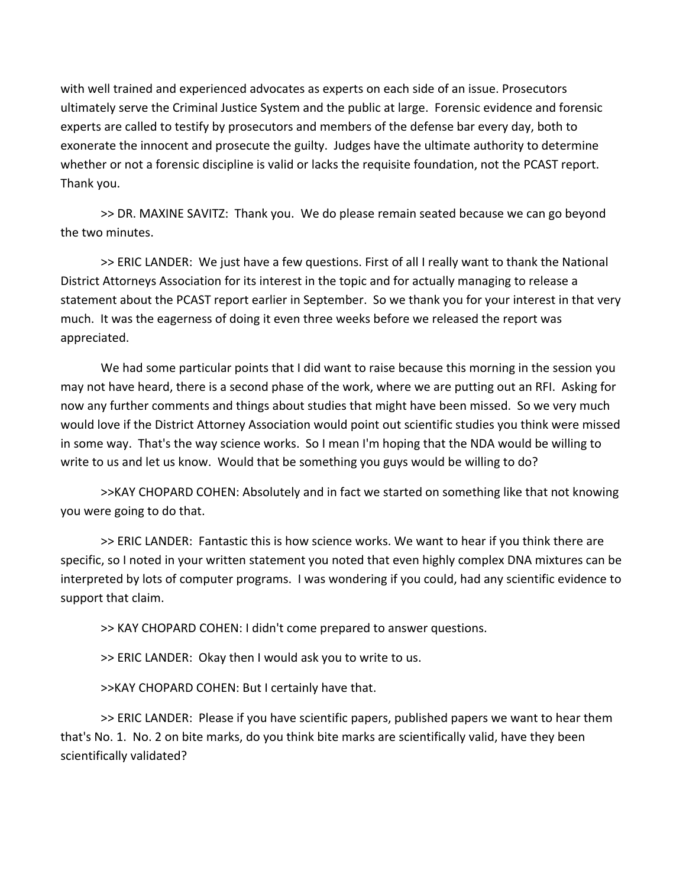with well trained and experienced advocates as experts on each side of an issue. Prosecutors ultimately serve the Criminal Justice System and the public at large. Forensic evidence and forensic experts are called to testify by prosecutors and members of the defense bar every day, both to exonerate the innocent and prosecute the guilty. Judges have the ultimate authority to determine whether or not a forensic discipline is valid or lacks the requisite foundation, not the PCAST report. Thank you.

>> DR. MAXINE SAVITZ: Thank you. We do please remain seated because we can go beyond the two minutes.

>> ERIC LANDER: We just have a few questions. First of all I really want to thank the National District Attorneys Association for its interest in the topic and for actually managing to release a statement about the PCAST report earlier in September. So we thank you for your interest in that very much. It was the eagerness of doing it even three weeks before we released the report was appreciated.

We had some particular points that I did want to raise because this morning in the session you may not have heard, there is a second phase of the work, where we are putting out an RFI. Asking for now any further comments and things about studies that might have been missed. So we very much would love if the District Attorney Association would point out scientific studies you think were missed in some way. That's the way science works. So I mean I'm hoping that the NDA would be willing to write to us and let us know. Would that be something you guys would be willing to do?

>>KAY CHOPARD COHEN: Absolutely and in fact we started on something like that not knowing you were going to do that.

>> ERIC LANDER: Fantastic this is how science works. We want to hear if you think there are specific, so I noted in your written statement you noted that even highly complex DNA mixtures can be interpreted by lots of computer programs. I was wondering if you could, had any scientific evidence to support that claim.

>> KAY CHOPARD COHEN: I didn't come prepared to answer questions.

>> ERIC LANDER: Okay then I would ask you to write to us.

>>KAY CHOPARD COHEN: But I certainly have that.

>> ERIC LANDER: Please if you have scientific papers, published papers we want to hear them that's No. 1. No. 2 on bite marks, do you think bite marks are scientifically valid, have they been scientifically validated?